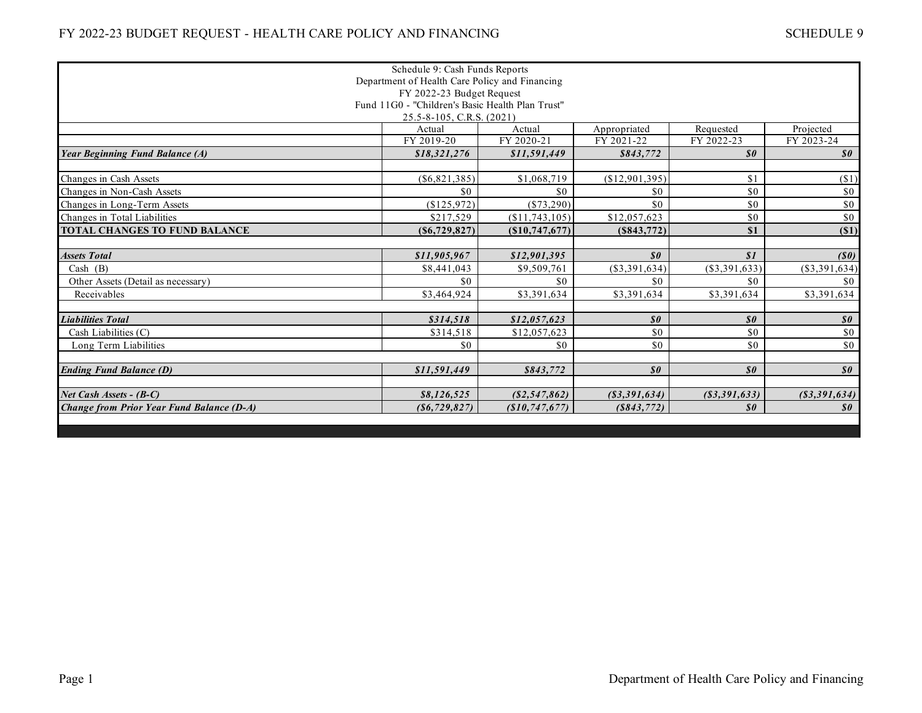|                                                  | Schedule 9: Cash Funds Reports                   |                  |                                               |                            |                                               |  |
|--------------------------------------------------|--------------------------------------------------|------------------|-----------------------------------------------|----------------------------|-----------------------------------------------|--|
|                                                  | Department of Health Care Policy and Financing   |                  |                                               |                            |                                               |  |
|                                                  | FY 2022-23 Budget Request                        |                  |                                               |                            |                                               |  |
|                                                  | Fund 11G0 - "Children's Basic Health Plan Trust" |                  |                                               |                            |                                               |  |
|                                                  | 25.5-8-105, C.R.S. (2021)                        |                  |                                               |                            |                                               |  |
|                                                  | Actual                                           | Actual           | Appropriated                                  | Requested                  | Projected                                     |  |
|                                                  | FY 2019-20                                       | FY 2020-21       | FY 2021-22                                    | FY 2022-23                 | FY 2023-24                                    |  |
| <b>Year Beginning Fund Balance (A)</b>           | \$18,321,276                                     | \$11,591,449     | \$843,772                                     | $\boldsymbol{\mathit{s0}}$ | $\boldsymbol{\mathit{s0}}$                    |  |
| Changes in Cash Assets                           | $(\$6,821,385)$                                  | \$1,068,719      | (\$12,901,395)                                | \$1                        | $(\$1)$                                       |  |
| Changes in Non-Cash Assets                       | \$0                                              | \$0              | \$0                                           | \$0                        | \$0                                           |  |
| Changes in Long-Term Assets                      | (\$125,972)                                      | $(\$73,290)$     | \$0                                           | \$0                        | \$0                                           |  |
| Changes in Total Liabilities                     | \$217,529                                        | (\$11,743,105)   | \$12,057,623                                  | \$0                        | \$0                                           |  |
| <b>TOTAL CHANGES TO FUND BALANCE</b>             | (S6, 729, 827)                                   | $(\$10,747,677)$ | (S843,772)                                    | \$1                        | $(\$1)$                                       |  |
|                                                  |                                                  |                  |                                               |                            |                                               |  |
| <b>Assets Total</b>                              | \$11,905,967                                     | \$12,901,395     | $\boldsymbol{\mathit{s0}}$                    | S1                         | (S0)                                          |  |
| Cash $(B)$                                       | \$8,441,043                                      | \$9,509,761      | (\$3,391,634)                                 | $(\$3,391,633)$            | $(\$3,391,634)$                               |  |
| Other Assets (Detail as necessary)               | \$0                                              | \$0              | \$0                                           | \$0                        | \$0                                           |  |
| Receivables                                      | \$3,464,924                                      | \$3,391,634      | \$3,391,634                                   | \$3,391,634                | \$3,391,634                                   |  |
| <b>Liabilities Total</b>                         | \$314,518                                        | \$12,057,623     | $\boldsymbol{\mathit{s0}}$                    | $\boldsymbol{\mathit{s0}}$ | $\boldsymbol{\mathit{s0}}$                    |  |
| Cash Liabilities (C)                             | \$314,518                                        | \$12,057,623     | \$0                                           | \$0                        | \$0                                           |  |
| Long Term Liabilities                            | \$0                                              | \$0              | \$0                                           | \$0                        | \$0                                           |  |
|                                                  |                                                  |                  |                                               |                            |                                               |  |
| <b>Ending Fund Balance (D)</b>                   | \$11,591,449                                     | \$843,772        | $\boldsymbol{\mathcal{S}}\boldsymbol{\theta}$ | $\boldsymbol{\mathit{s0}}$ | $\boldsymbol{\mathcal{S}}\boldsymbol{\theta}$ |  |
| Net Cash Assets - (B-C)                          | \$8,126,525                                      | ( \$2,547,862)   | $($ \$3,391,634 $)$                           | $($ \$3,391,633 $)$        | $($ \$3,391,634 $)$                           |  |
| <b>Change from Prior Year Fund Balance (D-A)</b> | (S6, 729, 827)                                   | (S10, 747, 677)  | (S843,772)                                    | $\boldsymbol{s}$           | $\boldsymbol{\mathit{s0}}$                    |  |
|                                                  |                                                  |                  |                                               |                            |                                               |  |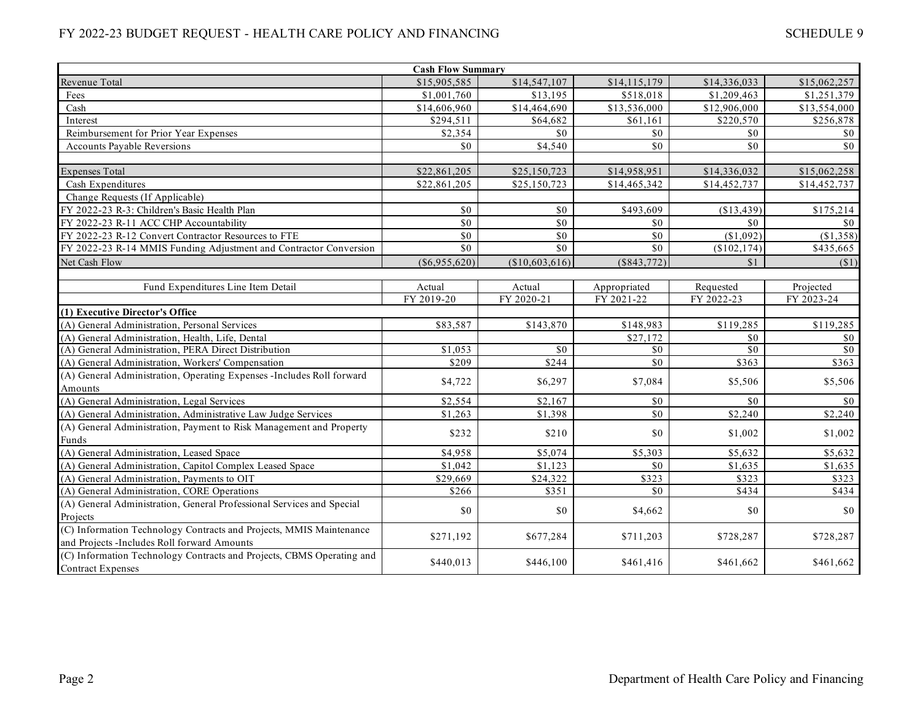|                                                                       | <b>Cash Flow Summary</b> |                 |                  |              |              |
|-----------------------------------------------------------------------|--------------------------|-----------------|------------------|--------------|--------------|
| Revenue Total                                                         | \$15,905,585             | \$14,547,107    | \$14,115,179     | \$14,336,033 | \$15,062,257 |
| Fees                                                                  | \$1,001,760              | \$13,195        | \$518,018        | \$1,209,463  | \$1,251,379  |
| Cash                                                                  | \$14,606,960             | \$14,464,690    | \$13,536,000     | \$12,906,000 | \$13,554,000 |
| Interest                                                              | \$294,511                | \$64,682        | \$61,161         | \$220,570    | \$256,878    |
| Reimbursement for Prior Year Expenses                                 | \$2,354                  | \$0             | \$0              | \$0          | \$0          |
| <b>Accounts Payable Reversions</b>                                    | \$0                      | \$4,540         | \$0              | \$0          | \$0          |
|                                                                       |                          |                 |                  |              |              |
| <b>Expenses Total</b>                                                 | \$22,861,205             | \$25,150,723    | \$14,958,951     | \$14,336,032 | \$15,062,258 |
| Cash Expenditures                                                     | \$22,861,205             | \$25,150,723    | \$14,465,342     | \$14,452,737 | \$14,452,737 |
| Change Requests (If Applicable)                                       |                          |                 |                  |              |              |
| FY 2022-23 R-3: Children's Basic Health Plan                          | \$0                      | \$0             | \$493,609        | (\$13,439)   | \$175,214    |
| FY 2022-23 R-11 ACC CHP Accountability                                | \$0                      | $\overline{50}$ | \$0              | \$0          | \$0\$        |
| FY 2022-23 R-12 Convert Contractor Resources to FTE                   | \$0                      | \$0             | \$0              | (\$1,092)    | (S1, 358)    |
| FY 2022-23 R-14 MMIS Funding Adjustment and Contractor Conversion     | \$0                      | \$0             | \$0              | (\$102,174)  | \$435,665    |
| Net Cash Flow                                                         | $(\$6,955,620)$          | (\$10,603,616)  | $(\$843,772)$    | \$1          | $(\$1)$      |
|                                                                       |                          |                 |                  |              |              |
| Fund Expenditures Line Item Detail                                    | Actual                   | Actual          | Appropriated     | Requested    | Projected    |
|                                                                       | FY 2019-20               | FY 2020-21      | FY 2021-22       | FY 2022-23   | FY 2023-24   |
| (1) Executive Director's Office                                       |                          |                 |                  |              |              |
| (A) General Administration, Personal Services                         | \$83,587                 | \$143,870       | \$148,983        | \$119,285    | \$119,285    |
| (A) General Administration, Health, Life, Dental                      |                          |                 | \$27,172         | \$0          | \$0          |
| (A) General Administration, PERA Direct Distribution                  | \$1,053                  | \$0             | \$0              | \$0          | \$0          |
| (A) General Administration, Workers' Compensation                     | \$209                    | \$244           | $\overline{\$0}$ | \$363        | \$363        |
| (A) General Administration, Operating Expenses -Includes Roll forward | \$4,722                  | \$6,297         | \$7,084          | \$5,506      | \$5,506      |
| Amounts                                                               |                          |                 |                  |              |              |
| (A) General Administration, Legal Services                            | \$2,554                  | \$2,167         | \$0              | \$0          | $\$0$        |
| (A) General Administration, Administrative Law Judge Services         | \$1,263                  | \$1,398         | \$0              | \$2,240      | \$2,240      |
| (A) General Administration, Payment to Risk Management and Property   | \$232                    | \$210           | \$0              | \$1,002      | \$1,002      |
| Funds                                                                 |                          |                 |                  |              |              |
| (A) General Administration, Leased Space                              | \$4,958                  | \$5,074         | \$5,303          | \$5,632      | \$5,632      |
| (A) General Administration, Capitol Complex Leased Space              | \$1,042                  | \$1,123         | \$0              | \$1,635      | \$1,635      |
| (A) General Administration, Payments to OIT                           | \$29,669                 | \$24,322        | \$323            | \$323        | \$323        |
| (A) General Administration, CORE Operations                           | \$266                    | \$351           | \$0              | \$434        | \$434        |
| (A) General Administration, General Professional Services and Special | \$0                      | \$0             |                  | \$0          | \$0          |
| Projects                                                              |                          |                 | \$4,662          |              |              |
| (C) Information Technology Contracts and Projects, MMIS Maintenance   |                          |                 |                  |              |              |
| and Projects -Includes Roll forward Amounts                           | \$271,192                | \$677,284       | \$711,203        | \$728,287    | \$728,287    |
| (C) Information Technology Contracts and Projects, CBMS Operating and | \$440,013                | \$446,100       | \$461,416        | \$461,662    | \$461,662    |
| <b>Contract Expenses</b>                                              |                          |                 |                  |              |              |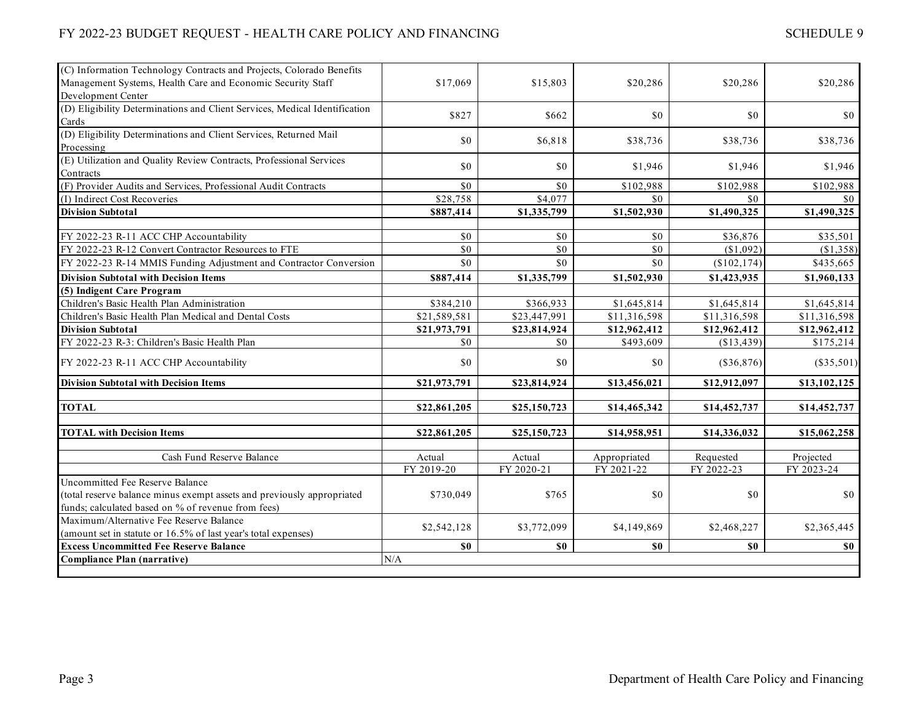| (C) Information Technology Contracts and Projects, Colorado Benefits       |              |                  |              |              |              |
|----------------------------------------------------------------------------|--------------|------------------|--------------|--------------|--------------|
| Management Systems, Health Care and Economic Security Staff                | \$17,069     | \$15,803         | \$20,286     | \$20,286     | \$20,286     |
| Development Center                                                         |              |                  |              |              |              |
| (D) Eligibility Determinations and Client Services, Medical Identification |              |                  |              |              |              |
| Cards                                                                      | \$827        | \$662            | \$0          | \$0          | \$0          |
| (D) Eligibility Determinations and Client Services, Returned Mail          |              |                  |              |              |              |
| Processing                                                                 | \$0          | \$6,818          | \$38,736     | \$38,736     | \$38,736     |
| (E) Utilization and Quality Review Contracts, Professional Services        |              | \$0              |              |              |              |
| Contracts                                                                  | \$0          |                  | \$1,946      | \$1,946      | \$1,946      |
| (F) Provider Audits and Services, Professional Audit Contracts             | \$0          | \$0              | \$102,988    | \$102,988    | \$102,988    |
| (I) Indirect Cost Recoveries                                               | \$28,758     | \$4,077          | \$0          | \$0          | $\$0$        |
| <b>Division Subtotal</b>                                                   | \$887,414    | \$1,335,799      | \$1,502,930  | \$1,490,325  | \$1,490,325  |
|                                                                            |              |                  |              |              |              |
| FY 2022-23 R-11 ACC CHP Accountability                                     | \$0          | \$0              | \$0          | \$36,876     | \$35,501     |
| FY 2022-23 R-12 Convert Contractor Resources to FTE                        | \$0          | $\overline{\$0}$ | \$0          | (\$1,092)    | (\$1,358)    |
| FY 2022-23 R-14 MMIS Funding Adjustment and Contractor Conversion          | \$0          | \$0              | \$0          | (\$102,174)  | \$435,665    |
| <b>Division Subtotal with Decision Items</b>                               | \$887,414    | \$1,335,799      | \$1,502,930  | \$1,423,935  | \$1,960,133  |
| (5) Indigent Care Program                                                  |              |                  |              |              |              |
| Children's Basic Health Plan Administration                                | \$384,210    | \$366,933        | \$1,645,814  | \$1,645,814  | \$1,645,814  |
| Children's Basic Health Plan Medical and Dental Costs                      | \$21,589,581 | \$23,447,991     | \$11,316,598 | \$11,316,598 | \$11,316,598 |
| <b>Division Subtotal</b>                                                   | \$21,973,791 | \$23,814,924     | \$12,962,412 | \$12,962,412 | \$12,962,412 |
| FY 2022-23 R-3: Children's Basic Health Plan                               | \$0          | \$0              | \$493,609    | (\$13,439)   | \$175,214    |
| FY 2022-23 R-11 ACC CHP Accountability                                     | \$0          | \$0              | \$0          | (\$36,876)   | $(\$35,501)$ |
| <b>Division Subtotal with Decision Items</b>                               | \$21,973,791 | \$23,814,924     | \$13,456,021 | \$12,912,097 | \$13,102,125 |
|                                                                            |              |                  |              |              |              |
| <b>TOTAL</b>                                                               | \$22,861,205 | \$25,150,723     | \$14,465,342 | \$14,452,737 | \$14,452,737 |
| <b>TOTAL with Decision Items</b>                                           | \$22,861,205 | \$25,150,723     | \$14,958,951 | \$14,336,032 | \$15,062,258 |
|                                                                            |              |                  |              |              |              |
| Cash Fund Reserve Balance                                                  | Actual       | Actual           | Appropriated | Requested    | Projected    |
|                                                                            | FY 2019-20   | FY 2020-21       | FY 2021-22   | FY 2022-23   | FY 2023-24   |
| Uncommitted Fee Reserve Balance                                            |              |                  |              |              |              |
| (total reserve balance minus exempt assets and previously appropriated     | \$730,049    | \$765            | \$0          | \$0          | $\$0$        |
| funds; calculated based on % of revenue from fees)                         |              |                  |              |              |              |
| Maximum/Alternative Fee Reserve Balance                                    | \$2,542,128  | \$3,772,099      | \$4,149,869  | \$2,468,227  | \$2,365,445  |
| (amount set in statute or 16.5% of last year's total expenses)             |              |                  |              |              |              |
| <b>Excess Uncommitted Fee Reserve Balance</b>                              | \$0          | \$0              | $\$0$        | \$0          | <b>SO</b>    |
| <b>Compliance Plan (narrative)</b>                                         | N/A          |                  |              |              |              |
|                                                                            |              |                  |              |              |              |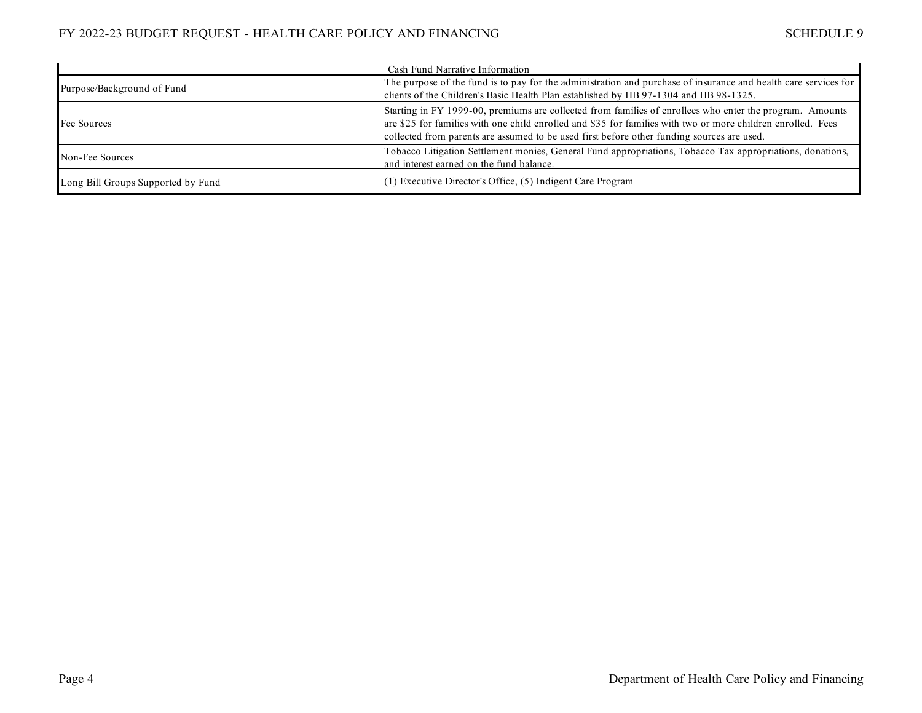| Cash Fund Narrative Information                                                                                                                                                                                                        |                                                                                                                                                                                                                                                                                                                        |  |  |  |
|----------------------------------------------------------------------------------------------------------------------------------------------------------------------------------------------------------------------------------------|------------------------------------------------------------------------------------------------------------------------------------------------------------------------------------------------------------------------------------------------------------------------------------------------------------------------|--|--|--|
| The purpose of the fund is to pay for the administration and purchase of insurance and health care services for<br>Purpose/Background of Fund<br>clients of the Children's Basic Health Plan established by HB 97-1304 and HB 98-1325. |                                                                                                                                                                                                                                                                                                                        |  |  |  |
| Fee Sources                                                                                                                                                                                                                            | Starting in FY 1999-00, premiums are collected from families of enrollees who enter the program. Amounts<br>are \$25 for families with one child enrolled and \$35 for families with two or more children enrolled. Fees<br>collected from parents are assumed to be used first before other funding sources are used. |  |  |  |
| Non-Fee Sources                                                                                                                                                                                                                        | Tobacco Litigation Settlement monies, General Fund appropriations, Tobacco Tax appropriations, donations,<br>and interest earned on the fund balance.                                                                                                                                                                  |  |  |  |
| Long Bill Groups Supported by Fund                                                                                                                                                                                                     | $(1)$ Executive Director's Office, $(5)$ Indigent Care Program                                                                                                                                                                                                                                                         |  |  |  |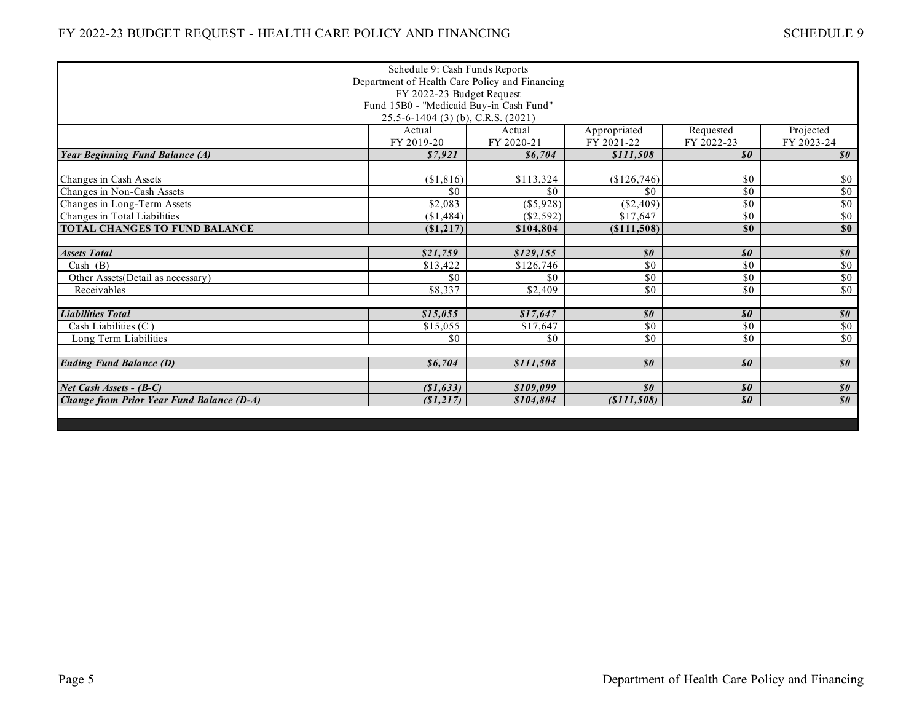| Schedule 9: Cash Funds Reports                   |                                         |                      |                                   |                            |                                               |  |
|--------------------------------------------------|-----------------------------------------|----------------------|-----------------------------------|----------------------------|-----------------------------------------------|--|
| Department of Health Care Policy and Financing   |                                         |                      |                                   |                            |                                               |  |
| FY 2022-23 Budget Request                        |                                         |                      |                                   |                            |                                               |  |
|                                                  | Fund 15B0 - "Medicaid Buy-in Cash Fund" |                      |                                   |                            |                                               |  |
| 25.5-6-1404 (3) (b), C.R.S. (2021)<br>Actual     |                                         |                      |                                   |                            |                                               |  |
|                                                  | FY 2019-20                              | Actual<br>FY 2020-21 | Appropriated<br>FY 2021-22        | Requested<br>FY 2022-23    | Projected<br>FY 2023-24                       |  |
| <b>Year Beginning Fund Balance (A)</b>           | \$7,921                                 | \$6,704              | \$111,508                         | $\boldsymbol{\mathit{s0}}$ | $\boldsymbol{\mathcal{S}}\boldsymbol{\theta}$ |  |
|                                                  |                                         |                      |                                   |                            |                                               |  |
| Changes in Cash Assets                           | (\$1,816)                               | \$113,324            | (\$126,746)                       | \$0                        | \$0                                           |  |
| Changes in Non-Cash Assets                       | \$0                                     | \$0                  | \$0                               | \$0                        | $\sqrt{6}$                                    |  |
| Changes in Long-Term Assets                      | \$2,083                                 | $($ \$5,928)         | $(\$2,409)$                       | \$0                        | $\overline{50}$                               |  |
| Changes in Total Liabilities                     | (\$1,484)                               | (S2.592)             | \$17.647                          | \$0                        | $\sqrt{6}$                                    |  |
| <b>TOTAL CHANGES TO FUND BALANCE</b>             | (\$1,217)                               | \$104,804            | (S111,508)                        | \$0                        | \$0                                           |  |
|                                                  |                                         |                      |                                   |                            |                                               |  |
| <b>Assets Total</b>                              | \$21,759                                | \$129,155            | $\boldsymbol{\mathit{s0}}$        | $\boldsymbol{\mathit{s0}}$ | $\boldsymbol{\mathcal{S}}\boldsymbol{\theta}$ |  |
| Cash (B)                                         | \$13,422                                | \$126,746            | \$0                               | \$0                        | \$0                                           |  |
| Other Assets (Detail as necessary)               | \$0                                     | \$0                  | \$0                               | \$0                        | \$0                                           |  |
| Receivables                                      | $\overline{$8,337}$                     | \$2,409              | \$0                               | \$0                        | \$0                                           |  |
|                                                  |                                         |                      |                                   |                            |                                               |  |
| <b>Liabilities Total</b>                         | \$15,055                                | \$17,647             | $\boldsymbol{\mathit{s0}}$<br>\$0 | $\boldsymbol{\mathit{s0}}$ | $\boldsymbol{\mathit{s0}}$<br>$\sqrt{6}$      |  |
| Cash Liabilities (C)<br>Long Term Liabilities    | \$15,055<br>\$0                         | \$17,647<br>\$0      | \$0                               | \$0<br>\$0                 | $\overline{50}$                               |  |
|                                                  |                                         |                      |                                   |                            |                                               |  |
| <b>Ending Fund Balance (D)</b>                   | \$6,704                                 | \$111,508            | $\boldsymbol{s}$ o                | $\boldsymbol{\mathit{s0}}$ | $\boldsymbol{\mathit{s0}}$                    |  |
|                                                  |                                         |                      |                                   |                            |                                               |  |
| Net Cash Assets - (B-C)                          | (\$1,633)                               | \$109,099            | $\boldsymbol{s}$ o                | $\boldsymbol{\mathit{s0}}$ | $\boldsymbol{\mathcal{S}}\boldsymbol{\theta}$ |  |
| <b>Change from Prior Year Fund Balance (D-A)</b> | (S1, 217)                               | \$104,804            | ( \$111, 508)                     | $\boldsymbol{\mathit{s0}}$ | $\boldsymbol{\mathit{s0}}$                    |  |
|                                                  |                                         |                      |                                   |                            |                                               |  |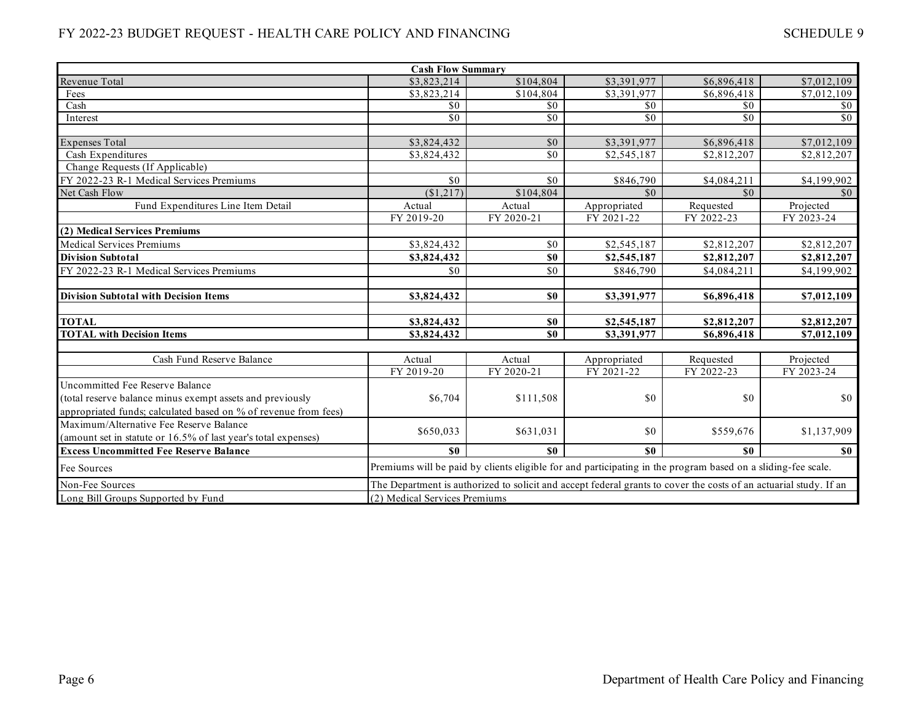| SCHEDULE 9 |  |
|------------|--|
|------------|--|

|                                                                 | <b>Cash Flow Summary</b>                                                                                          |                               |              |             |                 |  |
|-----------------------------------------------------------------|-------------------------------------------------------------------------------------------------------------------|-------------------------------|--------------|-------------|-----------------|--|
| Revenue Total                                                   | \$3,823,214                                                                                                       | \$104,804                     | \$3,391,977  | \$6,896,418 | \$7,012,109     |  |
| Fees                                                            | \$3,823,214                                                                                                       | \$104,804                     | \$3,391,977  | \$6,896,418 | \$7,012,109     |  |
| Cash                                                            | \$0                                                                                                               | \$0                           | \$0          | \$0         | \$0             |  |
| Interest                                                        | \$0                                                                                                               | \$0                           | \$0          | \$0         | $\overline{50}$ |  |
|                                                                 |                                                                                                                   |                               |              |             |                 |  |
| <b>Expenses Total</b>                                           | \$3,824,432                                                                                                       | $\sqrt{6}$                    | \$3,391,977  | \$6,896,418 | \$7,012,109     |  |
| Cash Expenditures                                               | \$3,824,432                                                                                                       | \$0                           | \$2,545,187  | \$2,812,207 | \$2,812,207     |  |
| Change Requests (If Applicable)                                 |                                                                                                                   |                               |              |             |                 |  |
| FY 2022-23 R-1 Medical Services Premiums                        | \$0                                                                                                               | \$0                           | \$846,790    | \$4,084,211 | \$4,199,902     |  |
| Net Cash Flow                                                   | (\$1,217)                                                                                                         | \$104,804                     | \$0          | \$0         | $\$0$           |  |
| Fund Expenditures Line Item Detail                              | Actual                                                                                                            | Actual                        | Appropriated | Requested   | Projected       |  |
|                                                                 | FY 2019-20                                                                                                        | FY 2020-21                    | FY 2021-22   | FY 2022-23  | FY 2023-24      |  |
| (2) Medical Services Premiums                                   |                                                                                                                   |                               |              |             |                 |  |
| <b>Medical Services Premiums</b>                                | \$3,824,432                                                                                                       | \$0                           | \$2,545,187  | \$2,812,207 | \$2,812,207     |  |
| <b>Division Subtotal</b>                                        | \$3,824,432                                                                                                       | \$0                           | \$2,545,187  | \$2,812,207 | \$2,812,207     |  |
| FY 2022-23 R-1 Medical Services Premiums                        | \$0                                                                                                               | \$0                           | \$846,790    | \$4,084,211 | \$4,199,902     |  |
|                                                                 |                                                                                                                   |                               |              |             |                 |  |
| <b>Division Subtotal with Decision Items</b>                    | \$3,824,432                                                                                                       | \$0                           | \$3,391,977  | \$6,896,418 | \$7,012,109     |  |
|                                                                 |                                                                                                                   |                               |              |             |                 |  |
| <b>TOTAL</b>                                                    | \$3,824,432                                                                                                       | \$0                           | \$2,545,187  | \$2,812,207 | \$2,812,207     |  |
| <b>TOTAL with Decision Items</b>                                | \$3,824,432                                                                                                       | \$0                           | \$3,391,977  | \$6,896,418 | \$7,012,109     |  |
|                                                                 |                                                                                                                   |                               |              |             |                 |  |
| Cash Fund Reserve Balance                                       | Actual                                                                                                            | Actual                        | Appropriated | Requested   | Projected       |  |
|                                                                 | FY 2019-20                                                                                                        | FY 2020-21                    | FY 2021-22   | FY 2022-23  | FY 2023-24      |  |
| Uncommitted Fee Reserve Balance                                 |                                                                                                                   |                               |              |             |                 |  |
| (total reserve balance minus exempt assets and previously       | \$6,704                                                                                                           | \$111,508                     | \$0          | \$0         | \$0             |  |
| appropriated funds; calculated based on % of revenue from fees) |                                                                                                                   |                               |              |             |                 |  |
| Maximum/Alternative Fee Reserve Balance                         |                                                                                                                   |                               | \$0          |             |                 |  |
| (amount set in statute or 16.5% of last year's total expenses)  | \$650,033                                                                                                         | \$631,031                     |              | \$559,676   | \$1,137,909     |  |
| <b>Excess Uncommitted Fee Reserve Balance</b>                   | \$0                                                                                                               | \$0                           | \$0\$        | \$0         | \$0             |  |
| Fee Sources                                                     | Premiums will be paid by clients eligible for and participating in the program based on a sliding-fee scale.      |                               |              |             |                 |  |
| Non-Fee Sources                                                 | The Department is authorized to solicit and accept federal grants to cover the costs of an actuarial study. If an |                               |              |             |                 |  |
| Long Bill Groups Supported by Fund                              |                                                                                                                   | (2) Medical Services Premiums |              |             |                 |  |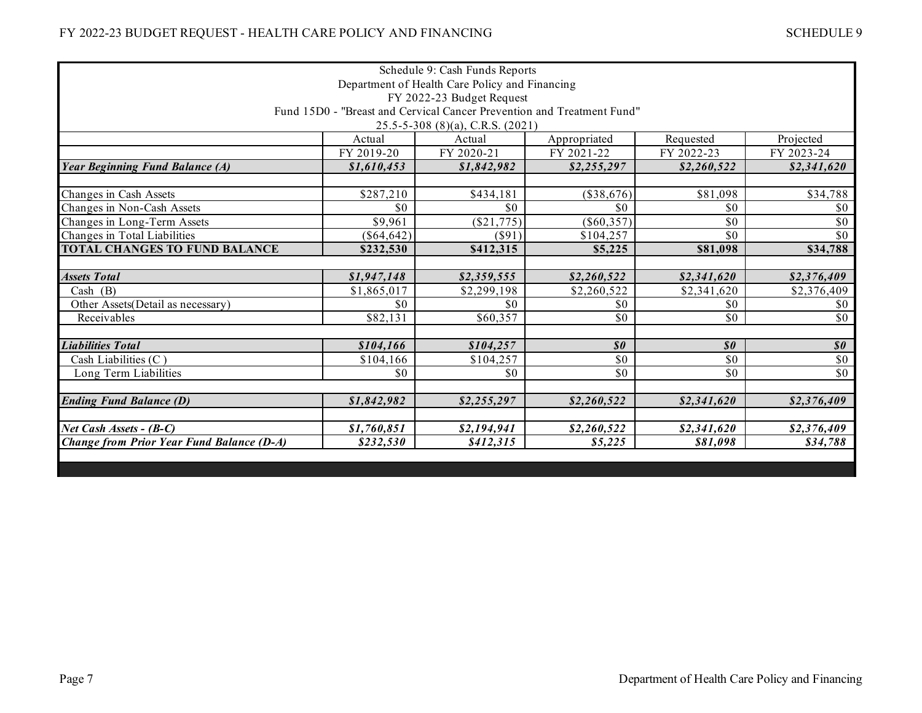| Schedule 9: Cash Funds Reports                                                                      |              |                                        |                                               |                                               |                                               |
|-----------------------------------------------------------------------------------------------------|--------------|----------------------------------------|-----------------------------------------------|-----------------------------------------------|-----------------------------------------------|
| Department of Health Care Policy and Financing                                                      |              |                                        |                                               |                                               |                                               |
| FY 2022-23 Budget Request<br>Fund 15D0 - "Breast and Cervical Cancer Prevention and Treatment Fund" |              |                                        |                                               |                                               |                                               |
|                                                                                                     |              | $25.5 - 5 - 308$ (8)(a), C.R.S. (2021) |                                               |                                               |                                               |
|                                                                                                     | Actual       | Actual                                 | Appropriated                                  | Requested                                     | Projected                                     |
|                                                                                                     | FY 2019-20   | FY 2020-21                             | FY 2021-22                                    | FY 2022-23                                    | FY 2023-24                                    |
| Year Beginning Fund Balance (A)                                                                     | \$1,610,453  | \$1,842,982                            | \$2,255,297                                   | \$2,260,522                                   | \$2,341,620                                   |
|                                                                                                     |              |                                        |                                               |                                               |                                               |
| Changes in Cash Assets                                                                              | \$287,210    | \$434,181                              | $(\$38,676)$                                  | \$81,098                                      | \$34,788                                      |
| Changes in Non-Cash Assets                                                                          | \$0          | \$0                                    | \$0                                           | \$0                                           | \$0                                           |
| Changes in Long-Term Assets                                                                         | \$9,961      | (\$21,775)                             | $(\$60,357)$                                  | \$0                                           | \$0                                           |
| Changes in Total Liabilities                                                                        | $(\$64,642)$ | $($ \$91)                              | \$104,257                                     | \$0                                           | \$0                                           |
| TOTAL CHANGES TO FUND BALANCE                                                                       | \$232,530    | \$412,315                              | \$5,225                                       | \$81,098                                      | \$34,788                                      |
|                                                                                                     |              |                                        |                                               |                                               |                                               |
| <b>Assets Total</b>                                                                                 | \$1,947,148  | \$2,359,555                            | \$2,260,522                                   | \$2,341,620                                   | \$2,376,409                                   |
| Cash (B)                                                                                            | \$1,865,017  | \$2,299,198                            | \$2,260,522                                   | \$2,341,620                                   | \$2,376,409                                   |
| Other Assets (Detail as necessary)                                                                  | \$0          | \$0                                    | \$0                                           | \$0                                           | \$0                                           |
| Receivables                                                                                         | \$82,131     | \$60,357                               | \$0                                           | \$0                                           | \$0                                           |
| <b>Liabilities Total</b>                                                                            | \$104,166    | \$104,257                              | $\boldsymbol{\mathcal{S}}\boldsymbol{\theta}$ | $\boldsymbol{\mathcal{S}}\boldsymbol{\theta}$ | $\boldsymbol{\mathcal{S}}\boldsymbol{\theta}$ |
| Cash Liabilities $(C)$                                                                              | \$104,166    | \$104,257                              | \$0                                           | \$0                                           | \$0                                           |
| Long Term Liabilities                                                                               | \$0          | \$0                                    | \$0                                           | \$0                                           | \$0                                           |
|                                                                                                     |              |                                        |                                               |                                               |                                               |
| <b>Ending Fund Balance (D)</b>                                                                      | \$1,842,982  | \$2,255,297                            | \$2,260,522                                   | \$2,341,620                                   | \$2,376,409                                   |
| Net Cash Assets - (B-C)                                                                             | \$1,760,851  | \$2,194,941                            | \$2,260,522                                   | \$2,341,620                                   | \$2,376,409                                   |
| <b>Change from Prior Year Fund Balance (D-A)</b>                                                    | \$232,530    | \$412,315                              | \$5,225                                       | \$81,098                                      | \$34,788                                      |
|                                                                                                     |              |                                        |                                               |                                               |                                               |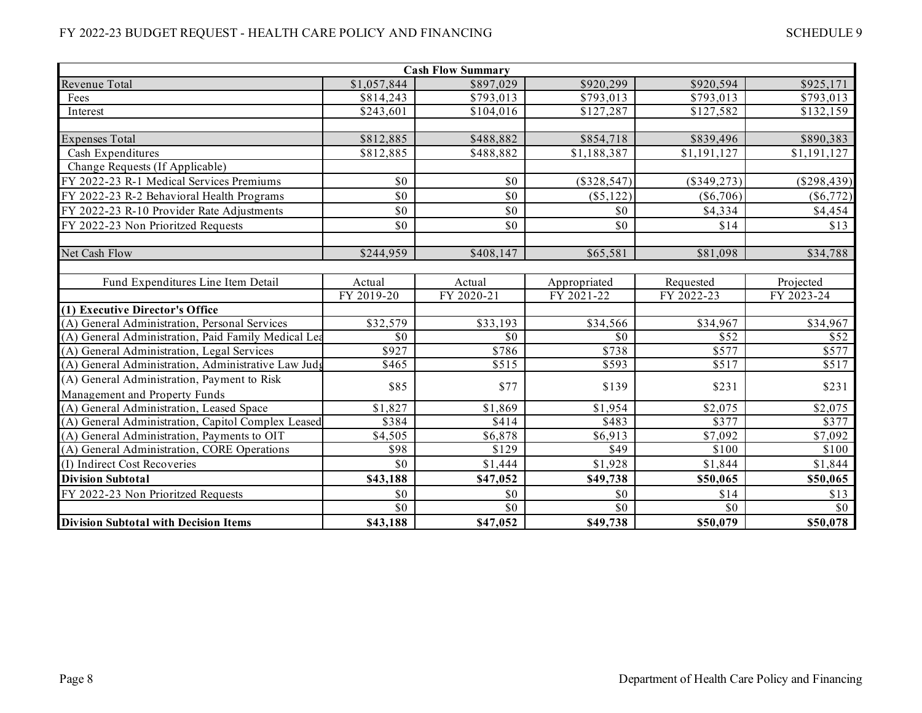|                                                     |             | <b>Cash Flow Summary</b> |               |             |             |
|-----------------------------------------------------|-------------|--------------------------|---------------|-------------|-------------|
| Revenue Total                                       | \$1,057,844 | \$897,029                | \$920,299     | \$920,594   | \$925,171   |
| Fees                                                | \$814,243   | \$793,013                | \$793,013     | \$793,013   | \$793,013   |
| Interest                                            | \$243,601   | \$104,016                | \$127,287     | \$127,582   | \$132,159   |
|                                                     |             |                          |               |             |             |
| <b>Expenses Total</b>                               | \$812,885   | \$488,882                | \$854,718     | \$839,496   | \$890,383   |
| Cash Expenditures                                   | \$812,885   | \$488,882                | \$1,188,387   | \$1,191,127 | \$1,191,127 |
| Change Requests (If Applicable)                     |             |                          |               |             |             |
| FY 2022-23 R-1 Medical Services Premiums            | \$0         | \$0                      | $(\$328,547)$ | (\$349,273) | (\$298,439) |
| FY 2022-23 R-2 Behavioral Health Programs           | \$0         | \$0                      | (\$5,122)     | $(\$6,706)$ | $(\$6,772)$ |
| FY 2022-23 R-10 Provider Rate Adjustments           | \$0         | \$0                      | \$0           | \$4,334     | \$4,454     |
| FY 2022-23 Non Prioritzed Requests                  | \$0         | \$0                      | \$0           | \$14        | \$13        |
|                                                     |             |                          |               |             |             |
| Net Cash Flow                                       | \$244,959   | \$408,147                | \$65,581      | \$81,098    | \$34,788    |
|                                                     |             |                          |               |             |             |
| Fund Expenditures Line Item Detail                  | Actual      | Actual                   | Appropriated  | Requested   | Projected   |
|                                                     | FY 2019-20  | FY 2020-21               | FY 2021-22    | FY 2022-23  | FY 2023-24  |
| (1) Executive Director's Office                     |             |                          |               |             |             |
| (A) General Administration, Personal Services       | \$32,579    | \$33,193                 | \$34,566      | \$34,967    | \$34,967    |
| (A) General Administration, Paid Family Medical Lea | \$0         | \$0                      | \$0\$         | \$52        | \$52        |
| (A) General Administration, Legal Services          | \$927       | \$786                    | \$738         | \$577       | \$577       |
| (A) General Administration, Administrative Law Judg | \$465       | \$515                    | \$593         | \$517       | \$517       |
| (A) General Administration, Payment to Risk         | \$85        | \$77                     | \$139         | \$231       | \$231       |
| Management and Property Funds                       |             |                          |               |             |             |
| (A) General Administration, Leased Space            | \$1,827     | \$1,869                  | \$1,954       | \$2,075     | \$2,075     |
| (A) General Administration, Capitol Complex Leased  | \$384       | \$414                    | \$483         | \$377       | \$377       |
| (A) General Administration, Payments to OIT         | \$4,505     | \$6,878                  | \$6,913       | \$7,092     | \$7,092     |
| (A) General Administration, CORE Operations         | \$98        | \$129                    | \$49          | \$100       | \$100       |
| (I) Indirect Cost Recoveries                        | \$0         | \$1,444                  | \$1,928       | \$1,844     | \$1,844     |
| <b>Division Subtotal</b>                            | \$43,188    | \$47,052                 | \$49,738      | \$50,065    | \$50,065    |
| FY 2022-23 Non Prioritzed Requests                  | \$0         | \$0                      | \$0           | \$14        | \$13        |
|                                                     | \$0         | \$0                      | \$0           | \$0         | \$0         |
| <b>Division Subtotal with Decision Items</b>        | \$43,188    | \$47,052                 | \$49,738      | \$50,079    | \$50,078    |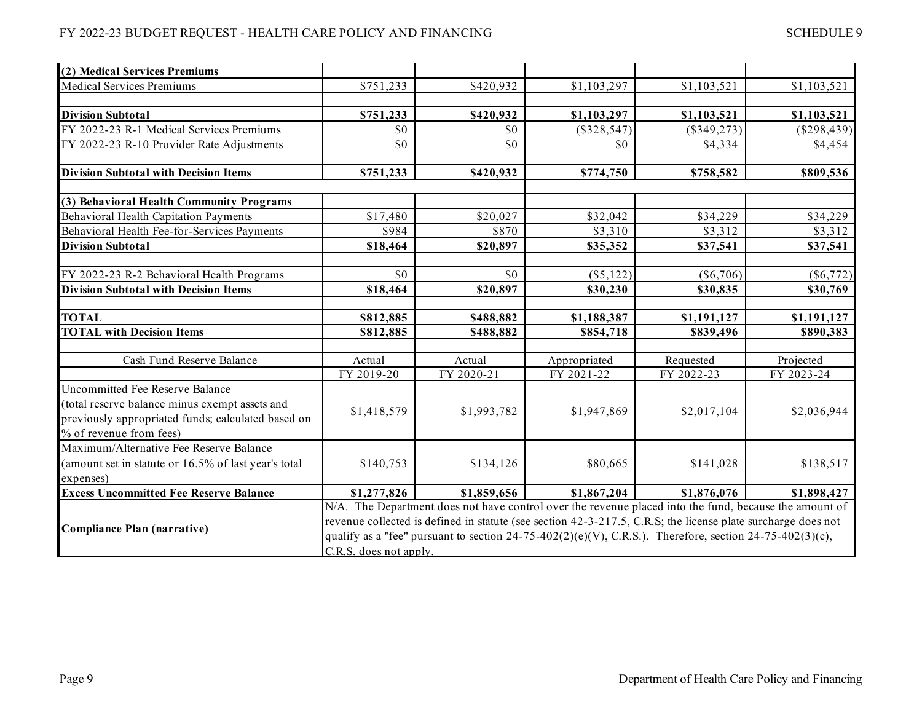**(2) Medical Services Premiums** Medical Services Premiums

**Division Subtotal** 

|           |           | <u>JULIDULLI</u>   |               |               |
|-----------|-----------|--------------------|---------------|---------------|
|           |           |                    |               |               |
|           |           |                    |               |               |
| \$751,233 | \$420,932 | \$1,103,297        | \$1,103,521   | \$1,103,521   |
|           |           |                    |               |               |
| \$751,233 | \$420,932 | \$1,103,297        | \$1,103,521   | \$1,103,521   |
| \$0       | \$0       | (\$328,547)        | $(\$349,273)$ | $(\$298,439)$ |
| \$0       | \$0       | \$0                | \$4,334       | \$4,454       |
|           |           |                    |               |               |
| \$751,233 | \$420,932 | \$774,750          | \$758,582     | \$809,536     |
|           |           |                    |               |               |
|           |           |                    |               |               |
|           |           | кетопет авреплавно |               |               |

| FY 2022-23 R-1 Medical Services Premiums                                                                                                                           | \$0                                                                                                                                                                                                                                                                                                                                                               | \$0         | $(\$328,547)$ | $(\$349,273)$ | $(\$298,439)$ |
|--------------------------------------------------------------------------------------------------------------------------------------------------------------------|-------------------------------------------------------------------------------------------------------------------------------------------------------------------------------------------------------------------------------------------------------------------------------------------------------------------------------------------------------------------|-------------|---------------|---------------|---------------|
| FY 2022-23 R-10 Provider Rate Adjustments                                                                                                                          | \$0                                                                                                                                                                                                                                                                                                                                                               | \$0         | \$0           | \$4,334       | \$4,454       |
|                                                                                                                                                                    |                                                                                                                                                                                                                                                                                                                                                                   |             |               |               |               |
| <b>Division Subtotal with Decision Items</b>                                                                                                                       | \$751,233                                                                                                                                                                                                                                                                                                                                                         | \$420,932   | \$774,750     | \$758,582     | \$809,536     |
|                                                                                                                                                                    |                                                                                                                                                                                                                                                                                                                                                                   |             |               |               |               |
| (3) Behavioral Health Community Programs                                                                                                                           |                                                                                                                                                                                                                                                                                                                                                                   |             |               |               |               |
| Behavioral Health Capitation Payments                                                                                                                              | \$17,480                                                                                                                                                                                                                                                                                                                                                          | \$20,027    | \$32,042      | \$34,229      | \$34,229      |
| Behavioral Health Fee-for-Services Payments                                                                                                                        | \$984                                                                                                                                                                                                                                                                                                                                                             | \$870       | \$3,310       | \$3,312       | \$3,312       |
| <b>Division Subtotal</b>                                                                                                                                           | \$18,464                                                                                                                                                                                                                                                                                                                                                          | \$20,897    | \$35,352      | \$37,541      | \$37,541      |
|                                                                                                                                                                    |                                                                                                                                                                                                                                                                                                                                                                   |             |               |               |               |
| FY 2022-23 R-2 Behavioral Health Programs                                                                                                                          | \$0                                                                                                                                                                                                                                                                                                                                                               | \$0         | (\$5,122)     | $(\$6,706)$   | $(\$6,772)$   |
| <b>Division Subtotal with Decision Items</b>                                                                                                                       | \$18,464                                                                                                                                                                                                                                                                                                                                                          | \$20,897    | \$30,230      | \$30,835      | \$30,769      |
|                                                                                                                                                                    |                                                                                                                                                                                                                                                                                                                                                                   |             |               |               |               |
| <b>TOTAL</b>                                                                                                                                                       | \$812,885                                                                                                                                                                                                                                                                                                                                                         | \$488,882   | \$1,188,387   | \$1,191,127   | \$1,191,127   |
| <b>TOTAL with Decision Items</b>                                                                                                                                   | \$812,885                                                                                                                                                                                                                                                                                                                                                         | \$488,882   | \$854,718     | \$839,496     | \$890,383     |
|                                                                                                                                                                    |                                                                                                                                                                                                                                                                                                                                                                   |             |               |               |               |
| Cash Fund Reserve Balance                                                                                                                                          | Actual                                                                                                                                                                                                                                                                                                                                                            | Actual      | Appropriated  | Requested     | Projected     |
|                                                                                                                                                                    | FY 2019-20                                                                                                                                                                                                                                                                                                                                                        | FY 2020-21  | FY 2021-22    | FY 2022-23    | FY 2023-24    |
| Uncommitted Fee Reserve Balance<br>(total reserve balance minus exempt assets and<br>previously appropriated funds; calculated based on<br>% of revenue from fees) | \$1,418,579                                                                                                                                                                                                                                                                                                                                                       | \$1,993,782 | \$1,947,869   | \$2,017,104   | \$2,036,944   |
| Maximum/Alternative Fee Reserve Balance<br>(amount set in statute or 16.5% of last year's total<br>expenses)                                                       | \$140,753                                                                                                                                                                                                                                                                                                                                                         | \$134,126   | \$80,665      | \$141,028     | \$138,517     |
| <b>Excess Uncommitted Fee Reserve Balance</b>                                                                                                                      | \$1,277,826                                                                                                                                                                                                                                                                                                                                                       | \$1,859,656 | \$1,867,204   | \$1,876,076   | \$1,898,427   |
| Compliance Plan (narrative)                                                                                                                                        | N/A. The Department does not have control over the revenue placed into the fund, because the amount of<br>revenue collected is defined in statute (see section 42-3-217.5, C.R.S; the license plate surcharge does not<br>qualify as a "fee" pursuant to section $24-75-402(2)(e)(V)$ , C.R.S.). Therefore, section $24-75-402(3)(c)$ ,<br>C.R.S. does not apply. |             |               |               |               |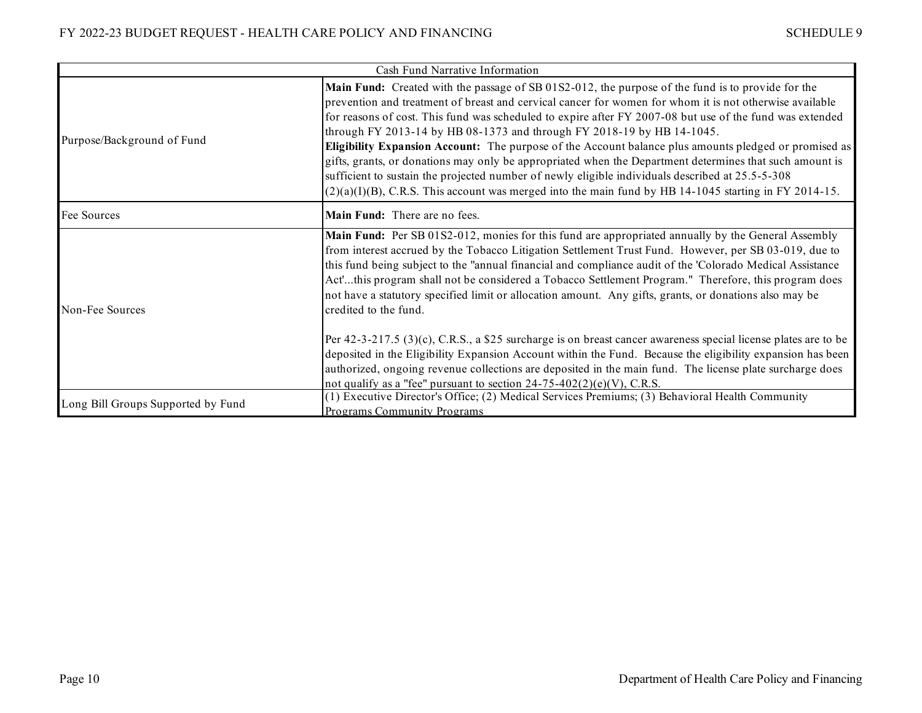|                                    | Cash Fund Narrative Information                                                                                                                                                                                                                                                                                                                                                                                                                                                                                                                                                                                                                                                                                                                                                                                                        |
|------------------------------------|----------------------------------------------------------------------------------------------------------------------------------------------------------------------------------------------------------------------------------------------------------------------------------------------------------------------------------------------------------------------------------------------------------------------------------------------------------------------------------------------------------------------------------------------------------------------------------------------------------------------------------------------------------------------------------------------------------------------------------------------------------------------------------------------------------------------------------------|
| Purpose/Background of Fund         | Main Fund: Created with the passage of SB 01S2-012, the purpose of the fund is to provide for the<br>prevention and treatment of breast and cervical cancer for women for whom it is not otherwise available<br>for reasons of cost. This fund was scheduled to expire after FY 2007-08 but use of the fund was extended<br>through FY 2013-14 by HB 08-1373 and through FY 2018-19 by HB 14-1045.<br>Eligibility Expansion Account: The purpose of the Account balance plus amounts pledged or promised as<br>gifts, grants, or donations may only be appropriated when the Department determines that such amount is<br>sufficient to sustain the projected number of newly eligible individuals described at 25.5-5-308<br>$(2)(a)(I)(B)$ , C.R.S. This account was merged into the main fund by HB 14-1045 starting in FY 2014-15. |
| Fee Sources                        | Main Fund: There are no fees.                                                                                                                                                                                                                                                                                                                                                                                                                                                                                                                                                                                                                                                                                                                                                                                                          |
| Non-Fee Sources                    | Main Fund: Per SB 01S2-012, monies for this fund are appropriated annually by the General Assembly<br>from interest accrued by the Tobacco Litigation Settlement Trust Fund. However, per SB 03-019, due to<br>this fund being subject to the "annual financial and compliance audit of the 'Colorado Medical Assistance<br>Act'this program shall not be considered a Tobacco Settlement Program." Therefore, this program does<br>not have a statutory specified limit or allocation amount. Any gifts, grants, or donations also may be<br>credited to the fund.                                                                                                                                                                                                                                                                    |
|                                    | Per 42-3-217.5 (3)(c), C.R.S., a \$25 surcharge is on breast cancer awareness special license plates are to be<br>deposited in the Eligibility Expansion Account within the Fund. Because the eligibility expansion has been<br>authorized, ongoing revenue collections are deposited in the main fund. The license plate surcharge does<br>not qualify as a "fee" pursuant to section $24-75-402(2)(e)(V)$ , C.R.S.                                                                                                                                                                                                                                                                                                                                                                                                                   |
| Long Bill Groups Supported by Fund | (1) Executive Director's Office; (2) Medical Services Premiums; (3) Behavioral Health Community<br>Programs Community Programs                                                                                                                                                                                                                                                                                                                                                                                                                                                                                                                                                                                                                                                                                                         |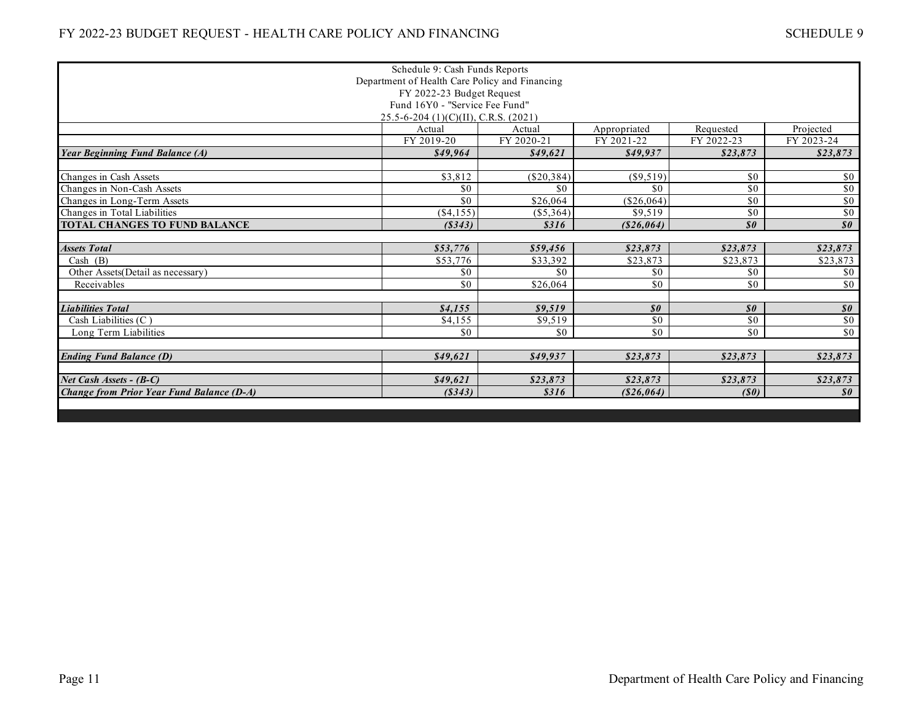|                                                  | Schedule 9: Cash Funds Reports       |              |                                               |                                               |                            |  |  |  |
|--------------------------------------------------|--------------------------------------|--------------|-----------------------------------------------|-----------------------------------------------|----------------------------|--|--|--|
| Department of Health Care Policy and Financing   |                                      |              |                                               |                                               |                            |  |  |  |
| FY 2022-23 Budget Request                        |                                      |              |                                               |                                               |                            |  |  |  |
| Fund 16Y0 - "Service Fee Fund"                   |                                      |              |                                               |                                               |                            |  |  |  |
|                                                  | 25.5-6-204 (1)(C)(II), C.R.S. (2021) |              |                                               |                                               |                            |  |  |  |
|                                                  | Actual                               | Actual       | Appropriated                                  | Requested                                     | Projected                  |  |  |  |
|                                                  | FY 2019-20                           | FY 2020-21   | FY 2021-22                                    | FY 2022-23                                    | FY 2023-24                 |  |  |  |
| <b>Year Beginning Fund Balance (A)</b>           | \$49,964                             | \$49,621     | \$49,937                                      | \$23,873                                      | \$23,873                   |  |  |  |
| Changes in Cash Assets                           | \$3,812                              | $(\$20,384)$ | $(\$9,519)$                                   | \$0                                           | \$0                        |  |  |  |
| Changes in Non-Cash Assets                       | \$0                                  | \$0          | \$0                                           | \$0                                           | \$0                        |  |  |  |
| Changes in Long-Term Assets                      | \$0                                  | \$26,064     | (\$26,064)                                    | \$0                                           | \$0                        |  |  |  |
| Changes in Total Liabilities                     | ( \$4,155)                           | $(\$5,364)$  | \$9,519                                       | \$0                                           | $\sqrt{50}$                |  |  |  |
| <b>TOTAL CHANGES TO FUND BALANCE</b>             | (S343)                               | \$316        | ( \$26,064)                                   | $\boldsymbol{\mathcal{S}}\boldsymbol{\theta}$ | $\boldsymbol{\mathit{s0}}$ |  |  |  |
|                                                  |                                      |              |                                               |                                               |                            |  |  |  |
| <b>Assets Total</b>                              | \$53,776                             | \$59,456     | \$23,873                                      | \$23,873                                      | \$23,873                   |  |  |  |
| Cash $(B)$                                       | \$53,776                             | \$33,392     | \$23,873                                      | \$23,873                                      | \$23,873                   |  |  |  |
| Other Assets(Detail as necessary)                | \$0                                  | \$0          | \$0                                           | \$0                                           | \$0                        |  |  |  |
| Receivables                                      | \$0                                  | \$26,064     | \$0                                           | \$0                                           | \$0                        |  |  |  |
|                                                  |                                      |              |                                               |                                               |                            |  |  |  |
| <b>Liabilities Total</b>                         | \$4,155                              | \$9,519      | $\boldsymbol{\mathcal{S}}\boldsymbol{\theta}$ | $\boldsymbol{\mathit{s0}}$                    | $\boldsymbol{\mathit{s0}}$ |  |  |  |
| Cash Liabilities (C)                             | \$4.155                              | \$9,519      | \$0                                           | \$0                                           | $\sqrt{50}$                |  |  |  |
| Long Term Liabilities                            | \$0                                  | \$0          | \$0                                           | \$0                                           | $\sqrt{50}$                |  |  |  |
| <b>Ending Fund Balance (D)</b>                   | \$49,621                             | \$49,937     | \$23,873                                      | \$23,873                                      | \$23,873                   |  |  |  |
|                                                  |                                      |              |                                               |                                               |                            |  |  |  |
| Net Cash Assets - (B-C)                          | \$49.621                             | \$23,873     | \$23,873                                      | \$23,873                                      | \$23,873                   |  |  |  |
| <b>Change from Prior Year Fund Balance (D-A)</b> | (S343)                               | \$316        | ( \$26,064)                                   | (S0)                                          | $\boldsymbol{\mathit{s0}}$ |  |  |  |
|                                                  |                                      |              |                                               |                                               |                            |  |  |  |
|                                                  |                                      |              |                                               |                                               |                            |  |  |  |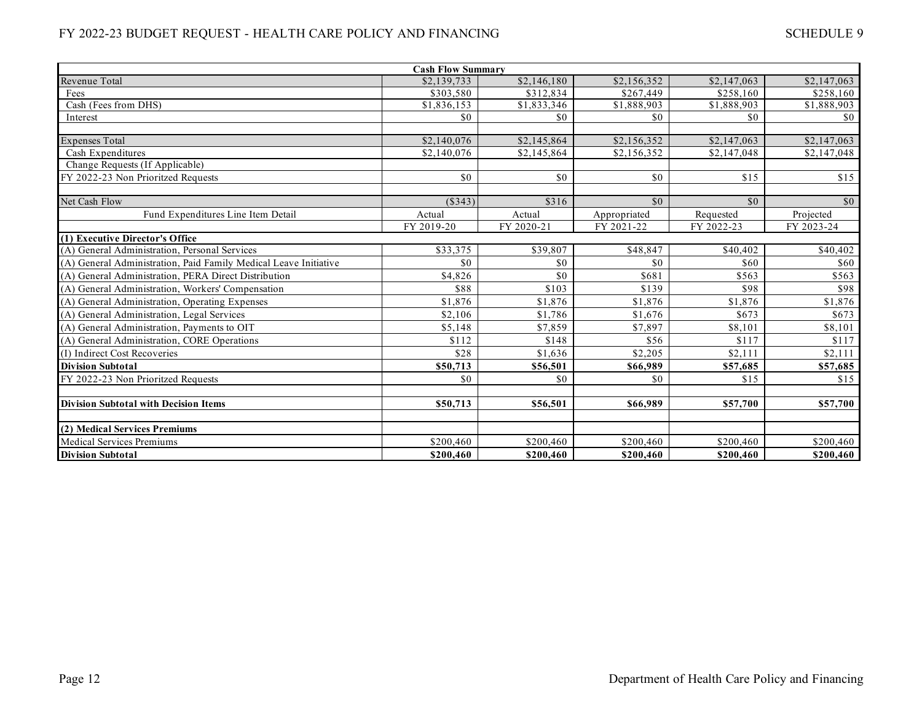| <b>Cash Flow Summary</b>                                         |             |                         |              |             |             |  |  |  |
|------------------------------------------------------------------|-------------|-------------------------|--------------|-------------|-------------|--|--|--|
| Revenue Total                                                    | \$2,139,733 | \$2,146,180             | \$2,156,352  | \$2,147,063 | \$2,147,063 |  |  |  |
| Fees                                                             | \$303,580   | \$312,834               | \$267,449    | \$258,160   | \$258,160   |  |  |  |
| Cash (Fees from DHS)                                             | \$1,836,153 | \$1,833,346             | \$1,888,903  | \$1,888,903 | \$1,888,903 |  |  |  |
| Interest                                                         | \$0         | \$0                     | \$0          | \$0         | \$0         |  |  |  |
|                                                                  |             |                         |              |             |             |  |  |  |
| <b>Expenses Total</b>                                            | \$2,140,076 | \$2,145,864             | \$2,156,352  | \$2,147,063 | \$2,147,063 |  |  |  |
| Cash Expenditures                                                | \$2,140,076 | $\overline{$2,145,864}$ | \$2,156,352  | \$2,147,048 | \$2,147,048 |  |  |  |
| Change Requests (If Applicable)                                  |             |                         |              |             |             |  |  |  |
| FY 2022-23 Non Prioritzed Requests                               | \$0         | \$0                     | \$0          | \$15        | \$15        |  |  |  |
|                                                                  |             |                         |              |             |             |  |  |  |
| Net Cash Flow                                                    | (S343)      | \$316                   | \$0          | \$0         | \$0         |  |  |  |
| Fund Expenditures Line Item Detail                               | Actual      | Actual                  | Appropriated | Requested   | Projected   |  |  |  |
|                                                                  | FY 2019-20  | FY 2020-21              | FY 2021-22   | FY 2022-23  | FY 2023-24  |  |  |  |
| (1) Executive Director's Office                                  |             |                         |              |             |             |  |  |  |
| (A) General Administration, Personal Services                    | \$33,375    | \$39,807                | \$48,847     | \$40,402    | \$40,402    |  |  |  |
| (A) General Administration, Paid Family Medical Leave Initiative | \$0         | \$0                     | \$0          | \$60        | \$60        |  |  |  |
| (A) General Administration, PERA Direct Distribution             | \$4,826     | \$0                     | \$681        | \$563       | \$563       |  |  |  |
| (A) General Administration, Workers' Compensation                | \$88        | \$103                   | \$139        | \$98        | \$98        |  |  |  |
| (A) General Administration, Operating Expenses                   | \$1,876     | \$1,876                 | \$1,876      | \$1,876     | \$1,876     |  |  |  |
| (A) General Administration, Legal Services                       | \$2,106     | \$1,786                 | \$1,676      | \$673       | \$673       |  |  |  |
| (A) General Administration, Payments to OIT                      | \$5,148     | \$7,859                 | \$7,897      | \$8.101     | \$8,101     |  |  |  |
| (A) General Administration, CORE Operations                      | \$112       | \$148                   | \$56         | \$117       | \$117       |  |  |  |
| (I) Indirect Cost Recoveries                                     | \$28        | \$1,636                 | \$2,205      | \$2,111     | \$2,111     |  |  |  |
| <b>Division Subtotal</b>                                         | \$50,713    | \$56,501                | \$66,989     | \$57,685    | \$57,685    |  |  |  |
| FY 2022-23 Non Prioritzed Requests                               | \$0         | \$0                     | \$0          | \$15        | \$15        |  |  |  |
|                                                                  |             |                         |              |             |             |  |  |  |
| <b>Division Subtotal with Decision Items</b>                     | \$50,713    | \$56,501                | \$66,989     | \$57,700    | \$57,700    |  |  |  |
|                                                                  |             |                         |              |             |             |  |  |  |
| (2) Medical Services Premiums                                    |             |                         |              |             |             |  |  |  |
| <b>Medical Services Premiums</b>                                 | \$200,460   | \$200,460               | \$200,460    | \$200,460   | \$200,460   |  |  |  |
| <b>Division Subtotal</b>                                         | \$200,460   | \$200,460               | \$200,460    | \$200,460   | \$200,460   |  |  |  |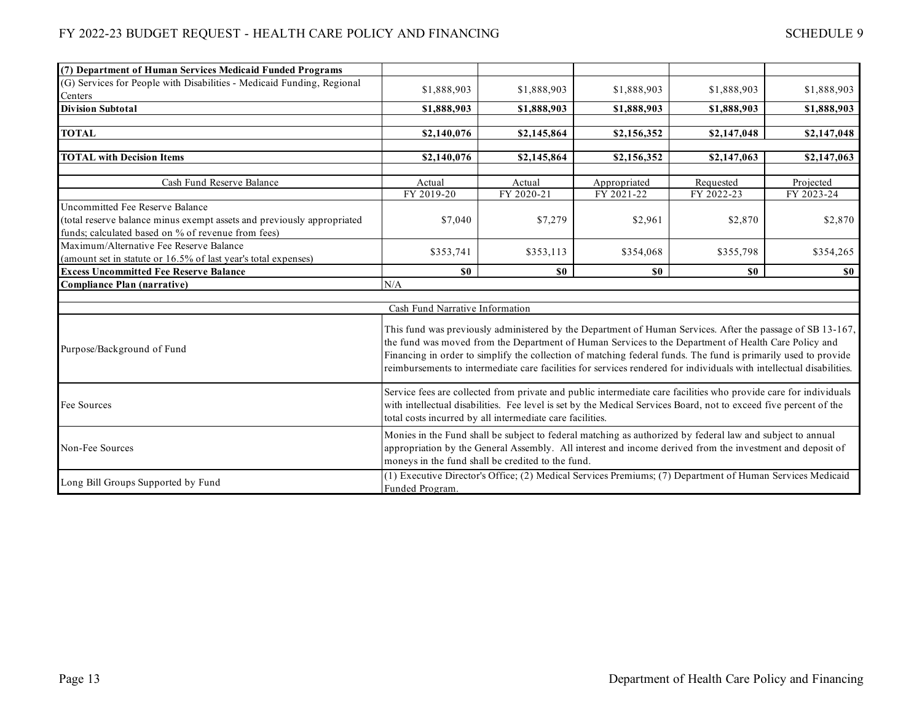| (7) Department of Human Services Medicaid Funded Programs              |                                                                                                                                                                                                                                       |                                                                                                            |              |             |             |  |  |
|------------------------------------------------------------------------|---------------------------------------------------------------------------------------------------------------------------------------------------------------------------------------------------------------------------------------|------------------------------------------------------------------------------------------------------------|--------------|-------------|-------------|--|--|
| (G) Services for People with Disabilities - Medicaid Funding, Regional | \$1,888,903                                                                                                                                                                                                                           | \$1,888,903                                                                                                | \$1,888,903  | \$1,888,903 | \$1,888,903 |  |  |
| Centers                                                                |                                                                                                                                                                                                                                       |                                                                                                            |              |             |             |  |  |
| <b>Division Subtotal</b>                                               | \$1,888,903                                                                                                                                                                                                                           | \$1,888,903                                                                                                | \$1,888,903  | \$1,888,903 | \$1,888,903 |  |  |
|                                                                        |                                                                                                                                                                                                                                       |                                                                                                            |              |             |             |  |  |
| <b>TOTAL</b>                                                           | \$2,140,076                                                                                                                                                                                                                           | \$2,145,864                                                                                                | \$2,156,352  | \$2,147,048 | \$2,147,048 |  |  |
|                                                                        |                                                                                                                                                                                                                                       |                                                                                                            |              |             |             |  |  |
| <b>TOTAL with Decision Items</b>                                       | \$2,140,076                                                                                                                                                                                                                           | \$2,145,864                                                                                                | \$2,156,352  | \$2,147,063 | \$2,147,063 |  |  |
| Cash Fund Reserve Balance                                              | Actual                                                                                                                                                                                                                                | Actual                                                                                                     | Appropriated | Requested   | Projected   |  |  |
|                                                                        | FY 2019-20                                                                                                                                                                                                                            | FY 2020-21                                                                                                 | FY 2021-22   | FY 2022-23  | FY 2023-24  |  |  |
| Uncommitted Fee Reserve Balance                                        |                                                                                                                                                                                                                                       |                                                                                                            |              |             |             |  |  |
| (total reserve balance minus exempt assets and previously appropriated | \$7,040                                                                                                                                                                                                                               | \$7,279                                                                                                    | \$2,961      | \$2,870     | \$2,870     |  |  |
| funds; calculated based on % of revenue from fees)                     |                                                                                                                                                                                                                                       |                                                                                                            |              |             |             |  |  |
| Maximum/Alternative Fee Reserve Balance                                |                                                                                                                                                                                                                                       |                                                                                                            |              |             |             |  |  |
| (amount set in statute or 16.5% of last year's total expenses)         | \$353,741                                                                                                                                                                                                                             | \$353,113                                                                                                  | \$354,068    | \$355,798   | \$354,265   |  |  |
| <b>Excess Uncommitted Fee Reserve Balance</b>                          | \$0                                                                                                                                                                                                                                   | \$0                                                                                                        | \$0          | \$0         | \$0         |  |  |
| <b>Compliance Plan (narrative)</b>                                     | N/A                                                                                                                                                                                                                                   |                                                                                                            |              |             |             |  |  |
|                                                                        |                                                                                                                                                                                                                                       |                                                                                                            |              |             |             |  |  |
|                                                                        | Cash Fund Narrative Information                                                                                                                                                                                                       |                                                                                                            |              |             |             |  |  |
|                                                                        |                                                                                                                                                                                                                                       | This fund was previously administered by the Department of Human Services. After the passage of SB 13-167, |              |             |             |  |  |
|                                                                        |                                                                                                                                                                                                                                       |                                                                                                            |              |             |             |  |  |
| Purpose/Background of Fund                                             | the fund was moved from the Department of Human Services to the Department of Health Care Policy and<br>Financing in order to simplify the collection of matching federal funds. The fund is primarily used to provide                |                                                                                                            |              |             |             |  |  |
|                                                                        | reimbursements to intermediate care facilities for services rendered for individuals with intellectual disabilities.                                                                                                                  |                                                                                                            |              |             |             |  |  |
|                                                                        |                                                                                                                                                                                                                                       |                                                                                                            |              |             |             |  |  |
|                                                                        |                                                                                                                                                                                                                                       |                                                                                                            |              |             |             |  |  |
| Fee Sources                                                            | Service fees are collected from private and public intermediate care facilities who provide care for individuals<br>with intellectual disabilities. Fee level is set by the Medical Services Board, not to exceed five percent of the |                                                                                                            |              |             |             |  |  |
|                                                                        | total costs incurred by all intermediate care facilities.                                                                                                                                                                             |                                                                                                            |              |             |             |  |  |
|                                                                        | Monies in the Fund shall be subject to federal matching as authorized by federal law and subject to annual                                                                                                                            |                                                                                                            |              |             |             |  |  |
| Non-Fee Sources                                                        |                                                                                                                                                                                                                                       |                                                                                                            |              |             |             |  |  |
|                                                                        | appropriation by the General Assembly. All interest and income derived from the investment and deposit of                                                                                                                             |                                                                                                            |              |             |             |  |  |
|                                                                        | moneys in the fund shall be credited to the fund.                                                                                                                                                                                     |                                                                                                            |              |             |             |  |  |
|                                                                        | (1) Executive Director's Office; (2) Medical Services Premiums; (7) Department of Human Services Medicaid                                                                                                                             |                                                                                                            |              |             |             |  |  |
| Long Bill Groups Supported by Fund                                     | Funded Program.                                                                                                                                                                                                                       |                                                                                                            |              |             |             |  |  |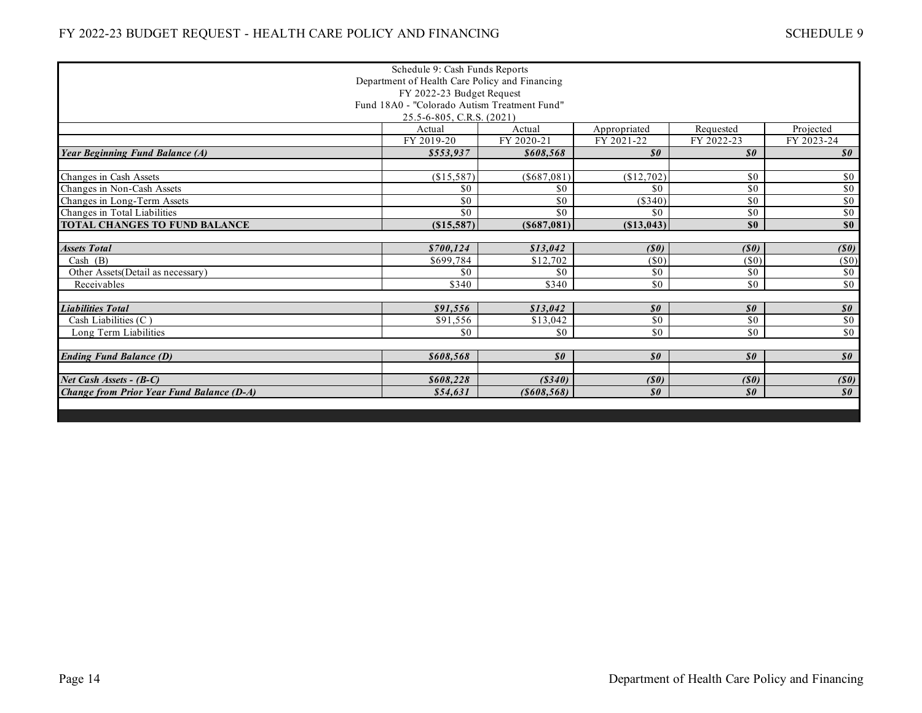|                                                | Schedule 9: Cash Funds Reports               |                            |                                               |                                               |                                               |  |  |
|------------------------------------------------|----------------------------------------------|----------------------------|-----------------------------------------------|-----------------------------------------------|-----------------------------------------------|--|--|
| Department of Health Care Policy and Financing |                                              |                            |                                               |                                               |                                               |  |  |
| FY 2022-23 Budget Request                      |                                              |                            |                                               |                                               |                                               |  |  |
|                                                | Fund 18A0 - "Colorado Autism Treatment Fund" |                            |                                               |                                               |                                               |  |  |
| 25.5-6-805, C.R.S. (2021)                      |                                              |                            |                                               |                                               |                                               |  |  |
|                                                | Actual                                       | Actual                     | Appropriated                                  | Requested                                     | Projected                                     |  |  |
|                                                | FY 2019-20                                   | FY 2020-21                 | FY 2021-22                                    | FY 2022-23                                    | FY 2023-24                                    |  |  |
| <b>Year Beginning Fund Balance (A)</b>         | \$553,937                                    | \$608.568                  | $\boldsymbol{\mathit{s0}}$                    | $\boldsymbol{\mathit{s0}}$                    | $\boldsymbol{\mathit{s0}}$                    |  |  |
|                                                |                                              |                            |                                               |                                               |                                               |  |  |
| Changes in Cash Assets                         | (\$15,587)                                   | (\$687,081)                | (\$12,702)                                    | \$0                                           | \$0                                           |  |  |
| Changes in Non-Cash Assets                     | \$0                                          | \$0                        | \$0                                           | \$0                                           | \$0                                           |  |  |
| Changes in Long-Term Assets                    | \$0                                          | \$0                        | (S340)                                        | \$0                                           | $\sqrt{50}$                                   |  |  |
| Changes in Total Liabilities                   | \$0                                          | \$0                        | \$0                                           | \$0                                           | \$0                                           |  |  |
| TOTAL CHANGES TO FUND BALANCE                  | (\$15,587)                                   | (S687,081)                 | (S13, 043)                                    | \$0                                           | \$0                                           |  |  |
|                                                |                                              |                            |                                               |                                               |                                               |  |  |
| <b>Assets Total</b>                            | \$700.124                                    | \$13.042                   | (S0)                                          | (S0)                                          | (S0)                                          |  |  |
| Cash (B)                                       | \$699,784                                    | \$12,702                   | $(\$0)$                                       | (S <sub>0</sub> )                             | $(\$0)$                                       |  |  |
| Other Assets(Detail as necessary)              | \$0                                          | \$0                        | \$0                                           | \$0                                           | \$0                                           |  |  |
| Receivables                                    | \$340                                        | \$340                      | $\sqrt{50}$                                   | $\overline{50}$                               | \$0                                           |  |  |
|                                                |                                              |                            |                                               |                                               |                                               |  |  |
| <b>Liabilities Total</b>                       | \$91,556                                     | \$13,042                   | $\boldsymbol{\mathcal{S}}\boldsymbol{\theta}$ | $\boldsymbol{\mathcal{S}}\boldsymbol{\theta}$ | $\boldsymbol{\mathcal{S}}\boldsymbol{\theta}$ |  |  |
| Cash Liabilities (C)                           | \$91,556                                     | \$13,042                   | \$0                                           | \$0                                           | $\sqrt{50}$                                   |  |  |
| Long Term Liabilities                          | \$0                                          | \$0                        | $\sqrt{6}$                                    | \$0                                           | $\sqrt{50}$                                   |  |  |
|                                                |                                              |                            |                                               |                                               |                                               |  |  |
| <b>Ending Fund Balance (D)</b>                 | \$608,568                                    | $\boldsymbol{\mathit{s0}}$ | $\boldsymbol{\mathit{s0}}$                    | $\boldsymbol{\mathit{s0}}$                    | $\boldsymbol{\mathcal{S}}\boldsymbol{\theta}$ |  |  |
|                                                |                                              |                            |                                               |                                               |                                               |  |  |
| Net Cash Assets - (B-C)                        | \$608,228                                    | (S340)                     | (S0)                                          | (S0)                                          | (S0)                                          |  |  |
| Change from Prior Year Fund Balance (D-A)      | \$54,631                                     | $($ \$608,568)             | $\boldsymbol{\mathcal{S}}\boldsymbol{\theta}$ | $\boldsymbol{\mathit{s0}}$                    | $\boldsymbol{\mathit{s0}}$                    |  |  |
|                                                |                                              |                            |                                               |                                               |                                               |  |  |
|                                                |                                              |                            |                                               |                                               |                                               |  |  |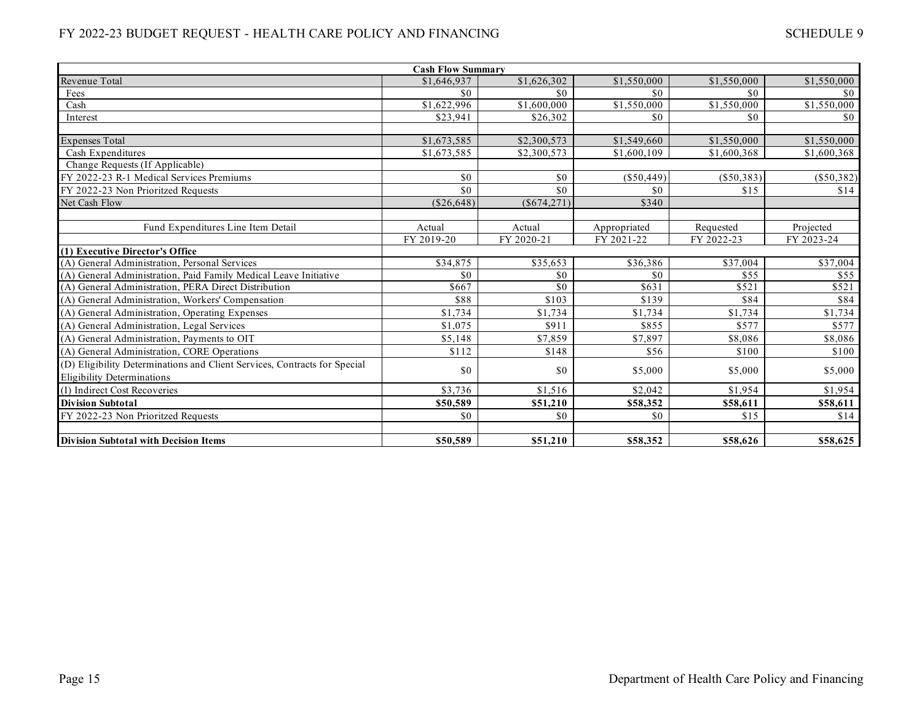| <b>Cash Flow Summary</b>                                                  |              |               |              |              |              |  |  |
|---------------------------------------------------------------------------|--------------|---------------|--------------|--------------|--------------|--|--|
| Revenue Total                                                             | \$1,646,937  | \$1,626,302   | \$1,550,000  | \$1,550,000  | \$1,550,000  |  |  |
| Fees                                                                      | \$0          | \$0           | \$0          | \$0          | $\$0$        |  |  |
| Cash                                                                      | \$1,622,996  | \$1,600,000   | \$1,550,000  | \$1,550,000  | \$1,550,000  |  |  |
| Interest                                                                  | \$23,941     | \$26,302      | \$0          | \$0          | \$0          |  |  |
|                                                                           |              |               |              |              |              |  |  |
| <b>Expenses Total</b>                                                     | \$1,673,585  | \$2,300,573   | \$1,549,660  | \$1,550,000  | \$1,550,000  |  |  |
| Cash Expenditures                                                         | \$1,673,585  | \$2,300,573   | \$1,600,109  | \$1,600,368  | \$1,600,368  |  |  |
| Change Requests (If Applicable)                                           |              |               |              |              |              |  |  |
| FY 2022-23 R-1 Medical Services Premiums                                  | \$0          | \$0           | $(\$50,449)$ | $(\$50,383)$ | $(\$50,382)$ |  |  |
| FY 2022-23 Non Prioritzed Requests                                        | \$0          | \$0           | \$0          | \$15         | \$14         |  |  |
| Net Cash Flow                                                             | $(\$26,648)$ | $(\$674,271)$ | \$340        |              |              |  |  |
|                                                                           |              |               |              |              |              |  |  |
| Fund Expenditures Line Item Detail                                        | Actual       | Actual        | Appropriated | Requested    | Projected    |  |  |
|                                                                           | FY 2019-20   | FY 2020-21    | FY 2021-22   | FY 2022-23   | FY 2023-24   |  |  |
| (1) Executive Director's Office                                           |              |               |              |              |              |  |  |
| (A) General Administration, Personal Services                             | \$34,875     | \$35,653      | \$36,386     | \$37,004     | \$37,004     |  |  |
| (A) General Administration, Paid Family Medical Leave Initiative          | \$0          | \$0           | \$0          | \$55         | \$55         |  |  |
| (A) General Administration, PERA Direct Distribution                      | \$667        | \$0           | \$631        | \$521        | \$521        |  |  |
| (A) General Administration, Workers' Compensation                         | \$88         | \$103         | \$139        | \$84         | \$84         |  |  |
| (A) General Administration, Operating Expenses                            | \$1,734      | \$1,734       | \$1,734      | \$1,734      | \$1,734      |  |  |
| (A) General Administration, Legal Services                                | \$1,075      | \$911         | \$855        | \$577        | \$577        |  |  |
| (A) General Administration. Payments to OIT                               | \$5,148      | \$7,859       | \$7.897      | \$8.086      | \$8,086      |  |  |
| (A) General Administration, CORE Operations                               | \$112        | \$148         | \$56         | \$100        | \$100        |  |  |
| (D) Eligibility Determinations and Client Services, Contracts for Special |              |               |              |              |              |  |  |
| <b>Eligibility Determinations</b>                                         | \$0          | \$0           | \$5,000      | \$5,000      | \$5,000      |  |  |
| (I) Indirect Cost Recoveries                                              | \$3,736      | \$1,516       | \$2,042      | \$1.954      | \$1,954      |  |  |
| <b>Division Subtotal</b>                                                  | \$50,589     | \$51,210      | \$58,352     | \$58,611     | \$58,611     |  |  |
| FY 2022-23 Non Prioritzed Requests                                        | \$0          | \$0           | \$0          | \$15         | \$14         |  |  |
|                                                                           |              |               |              |              |              |  |  |
| <b>Division Subtotal with Decision Items</b>                              | \$50,589     | \$51,210      | \$58,352     | \$58,626     | \$58,625     |  |  |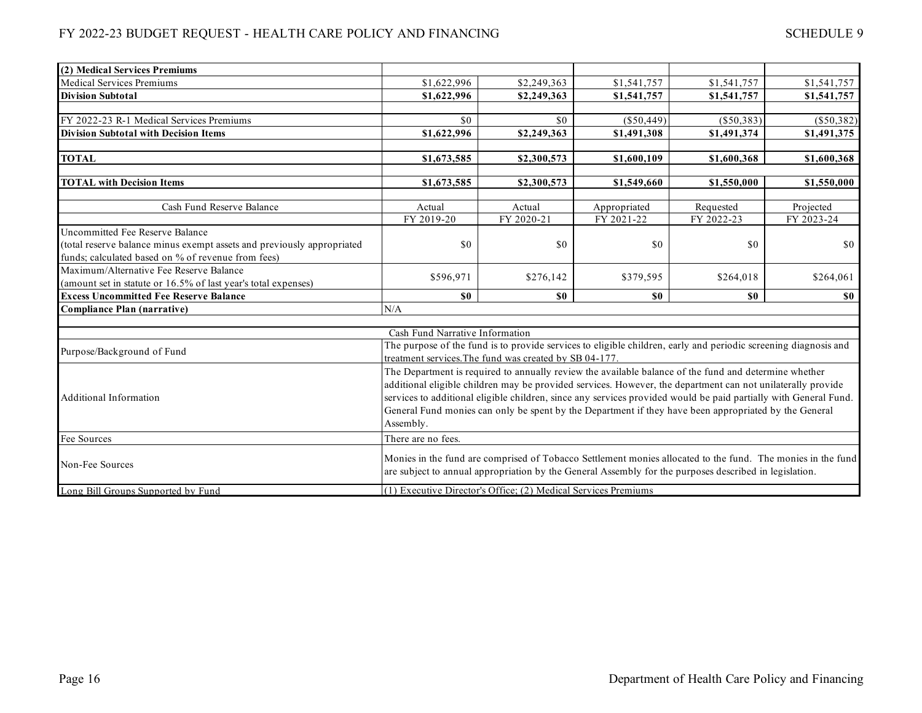| (2) Medical Services Premiums                                                                                                                                   |                                                                                                                                                                                                                                                                                                                                                                                                                                                                |                                                                                                                                                                                                                       |                |              |              |
|-----------------------------------------------------------------------------------------------------------------------------------------------------------------|----------------------------------------------------------------------------------------------------------------------------------------------------------------------------------------------------------------------------------------------------------------------------------------------------------------------------------------------------------------------------------------------------------------------------------------------------------------|-----------------------------------------------------------------------------------------------------------------------------------------------------------------------------------------------------------------------|----------------|--------------|--------------|
| <b>Medical Services Premiums</b>                                                                                                                                | \$1,622,996                                                                                                                                                                                                                                                                                                                                                                                                                                                    | \$2,249,363                                                                                                                                                                                                           | \$1,541,757    | \$1,541,757  | \$1,541,757  |
| <b>Division Subtotal</b>                                                                                                                                        | \$1,622,996                                                                                                                                                                                                                                                                                                                                                                                                                                                    | \$2,249,363                                                                                                                                                                                                           | \$1,541,757    | \$1,541,757  | \$1,541,757  |
|                                                                                                                                                                 |                                                                                                                                                                                                                                                                                                                                                                                                                                                                |                                                                                                                                                                                                                       |                |              |              |
| FY 2022-23 R-1 Medical Services Premiums                                                                                                                        | \$0                                                                                                                                                                                                                                                                                                                                                                                                                                                            | \$0                                                                                                                                                                                                                   | $(\$50,449)$   | $(\$50,383)$ | $(\$50,382)$ |
| <b>Division Subtotal with Decision Items</b>                                                                                                                    | \$1,622,996                                                                                                                                                                                                                                                                                                                                                                                                                                                    | \$2,249,363                                                                                                                                                                                                           | \$1,491,308    | \$1,491,374  | \$1,491,375  |
| <b>TOTAL</b>                                                                                                                                                    | \$1,673,585                                                                                                                                                                                                                                                                                                                                                                                                                                                    | \$2,300,573                                                                                                                                                                                                           | \$1,600,109    | \$1,600,368  | \$1,600,368  |
| <b>TOTAL with Decision Items</b>                                                                                                                                | \$1,673,585                                                                                                                                                                                                                                                                                                                                                                                                                                                    | \$2,300,573                                                                                                                                                                                                           | \$1,549,660    | \$1,550,000  | \$1,550,000  |
| Cash Fund Reserve Balance                                                                                                                                       | Actual                                                                                                                                                                                                                                                                                                                                                                                                                                                         | Actual                                                                                                                                                                                                                | Appropriated   | Requested    | Projected    |
|                                                                                                                                                                 | FY 2019-20                                                                                                                                                                                                                                                                                                                                                                                                                                                     | FY 2020-21                                                                                                                                                                                                            | FY 2021-22     | FY 2022-23   | FY 2023-24   |
| Uncommitted Fee Reserve Balance<br>(total reserve balance minus exempt assets and previously appropriated<br>funds; calculated based on % of revenue from fees) | \$0                                                                                                                                                                                                                                                                                                                                                                                                                                                            | \$0                                                                                                                                                                                                                   | \$0            | \$0          | $\$0$        |
| Maximum/Alternative Fee Reserve Balance<br>(amount set in statute or 16.5% of last year's total expenses)                                                       | \$596,971                                                                                                                                                                                                                                                                                                                                                                                                                                                      | \$276,142                                                                                                                                                                                                             | \$379,595      | \$264,018    | \$264,061    |
| <b>Excess Uncommitted Fee Reserve Balance</b>                                                                                                                   | \$0                                                                                                                                                                                                                                                                                                                                                                                                                                                            | S <sub>0</sub>                                                                                                                                                                                                        | S <sub>0</sub> | \$0          | <b>SO</b>    |
| <b>Compliance Plan (narrative)</b>                                                                                                                              | N/A                                                                                                                                                                                                                                                                                                                                                                                                                                                            |                                                                                                                                                                                                                       |                |              |              |
|                                                                                                                                                                 | Cash Fund Narrative Information                                                                                                                                                                                                                                                                                                                                                                                                                                |                                                                                                                                                                                                                       |                |              |              |
| Purpose/Background of Fund                                                                                                                                      |                                                                                                                                                                                                                                                                                                                                                                                                                                                                | The purpose of the fund is to provide services to eligible children, early and periodic screening diagnosis and<br>treatment services. The fund was created by SB 04-177.                                             |                |              |              |
| Additional Information                                                                                                                                          | The Department is required to annually review the available balance of the fund and determine whether<br>additional eligible children may be provided services. However, the department can not unilaterally provide<br>services to additional eligible children, since any services provided would be paid partially with General Fund.<br>General Fund monies can only be spent by the Department if they have been appropriated by the General<br>Assembly. |                                                                                                                                                                                                                       |                |              |              |
| Fee Sources                                                                                                                                                     | There are no fees.                                                                                                                                                                                                                                                                                                                                                                                                                                             |                                                                                                                                                                                                                       |                |              |              |
| Non-Fee Sources                                                                                                                                                 |                                                                                                                                                                                                                                                                                                                                                                                                                                                                | Monies in the fund are comprised of Tobacco Settlement monies allocated to the fund. The monies in the fund<br>are subject to annual appropriation by the General Assembly for the purposes described in legislation. |                |              |              |
| Long Bill Groups Supported by Fund                                                                                                                              |                                                                                                                                                                                                                                                                                                                                                                                                                                                                | (1) Executive Director's Office; (2) Medical Services Premiums                                                                                                                                                        |                |              |              |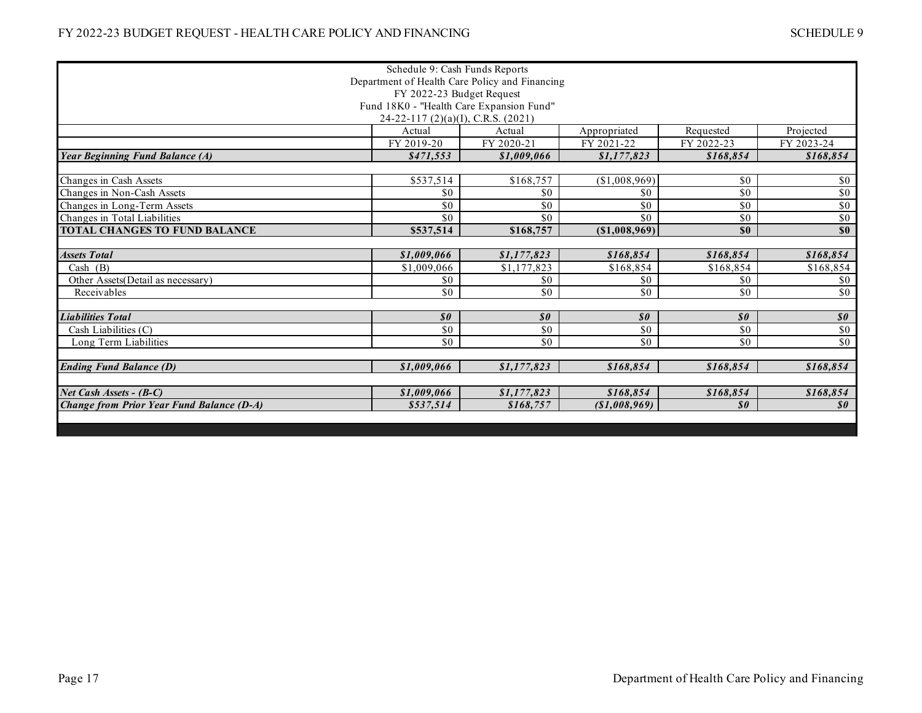|                                                  | Schedule 9: Cash Funds Reports |                            |                            |                            |                                               |  |  |  |
|--------------------------------------------------|--------------------------------|----------------------------|----------------------------|----------------------------|-----------------------------------------------|--|--|--|
| Department of Health Care Policy and Financing   |                                |                            |                            |                            |                                               |  |  |  |
| FY 2022-23 Budget Request                        |                                |                            |                            |                            |                                               |  |  |  |
| Fund 18K0 - "Health Care Expansion Fund"         |                                |                            |                            |                            |                                               |  |  |  |
| $24-22-117$ (2)(a)(I), C.R.S. (2021)             |                                |                            |                            |                            |                                               |  |  |  |
|                                                  | Actual                         | Actual                     | Appropriated               | Requested                  | Projected                                     |  |  |  |
|                                                  | FY 2019-20                     | FY 2020-21                 | FY 2021-22                 | FY 2022-23                 | FY 2023-24                                    |  |  |  |
| <b>Year Beginning Fund Balance (A)</b>           | \$471,553                      | \$1,009,066                | \$1,177,823                | \$168,854                  | \$168,854                                     |  |  |  |
|                                                  |                                |                            |                            |                            |                                               |  |  |  |
| Changes in Cash Assets                           | \$537,514                      | \$168,757                  | (\$1,008,969)              | \$0                        | $\sqrt{6}$                                    |  |  |  |
| Changes in Non-Cash Assets                       | \$0                            | \$0                        | \$0                        | \$0                        | $\sqrt{6}$                                    |  |  |  |
| Changes in Long-Term Assets                      | \$0                            | \$0                        | \$0                        | \$0                        | \$0\$                                         |  |  |  |
| Changes in Total Liabilities                     | \$0                            | \$0                        | \$0                        | \$0                        | $\sqrt{6}$                                    |  |  |  |
| TOTAL CHANGES TO FUND BALANCE                    | \$537,514                      | \$168,757                  | (\$1,008,969)              | \$0                        | \$0                                           |  |  |  |
|                                                  |                                |                            |                            |                            |                                               |  |  |  |
| <b>Assets Total</b>                              | \$1,009,066                    | \$1,177,823                | \$168,854                  | \$168,854                  | \$168,854                                     |  |  |  |
| Cash $(B)$                                       | \$1,009,066                    | \$1,177,823                | \$168,854                  | \$168,854                  | \$168,854                                     |  |  |  |
| Other Assets(Detail as necessary)                | \$0                            | \$0                        | \$0                        | \$0                        | \$0                                           |  |  |  |
| Receivables                                      | \$0                            | \$0                        | \$0                        | \$0                        | \$0                                           |  |  |  |
|                                                  |                                |                            |                            |                            |                                               |  |  |  |
| <b>Liabilities Total</b>                         | $\boldsymbol{\mathit{s0}}$     | $\boldsymbol{\mathit{s0}}$ | $\boldsymbol{\mathit{s0}}$ | $\boldsymbol{\mathit{s0}}$ | $\boldsymbol{\mathcal{S}}\boldsymbol{\theta}$ |  |  |  |
| Cash Liabilities (C)                             | \$0                            | $\overline{50}$            | \$0                        | \$0                        | $\sqrt{50}$                                   |  |  |  |
| Long Term Liabilities                            | \$0                            | \$0                        | \$0                        | \$0                        | \$0                                           |  |  |  |
|                                                  |                                |                            |                            |                            |                                               |  |  |  |
| <b>Ending Fund Balance (D)</b>                   | \$1,009,066                    | \$1,177,823                | \$168,854                  | \$168,854                  | \$168,854                                     |  |  |  |
|                                                  |                                |                            |                            |                            |                                               |  |  |  |
| Net Cash Assets - (B-C)                          | \$1,009,066                    | \$1,177,823                | \$168,854                  | \$168,854                  | \$168,854                                     |  |  |  |
| <b>Change from Prior Year Fund Balance (D-A)</b> | \$537,514                      | \$168,757                  | ( \$1,008,969)             | $\boldsymbol{\mathit{s0}}$ | $\boldsymbol{\mathit{s0}}$                    |  |  |  |
|                                                  |                                |                            |                            |                            |                                               |  |  |  |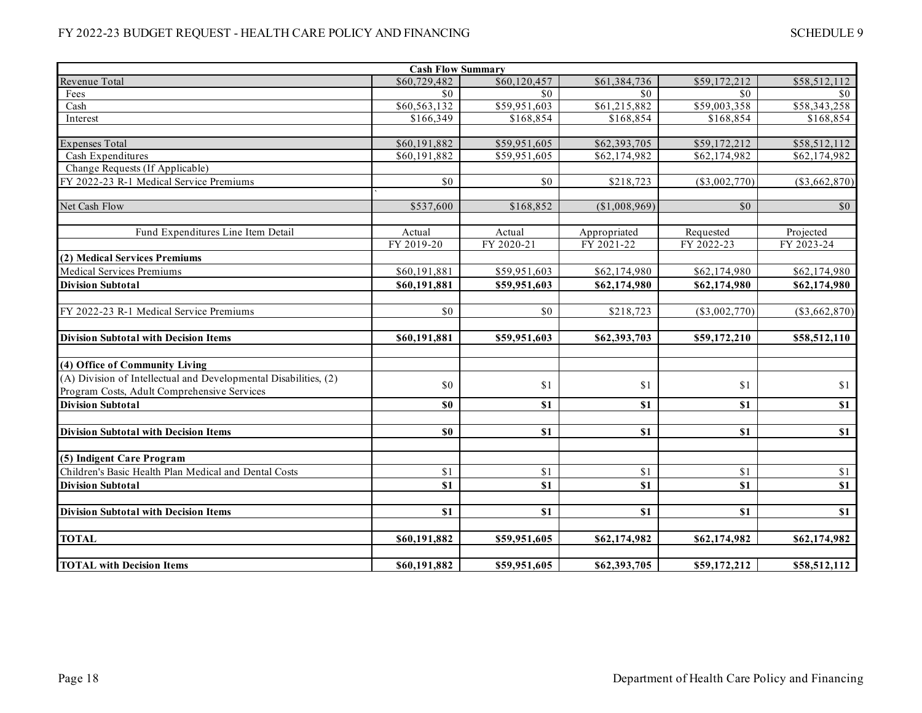| <b>Cash Flow Summary</b>                                                                                        |              |              |               |                 |                 |  |  |  |
|-----------------------------------------------------------------------------------------------------------------|--------------|--------------|---------------|-----------------|-----------------|--|--|--|
| Revenue Total                                                                                                   | \$60,729,482 | \$60,120,457 | \$61,384,736  | \$59,172,212    | \$58,512,112    |  |  |  |
| Fees                                                                                                            | \$0          | \$0          | \$0           | \$0             | \$0             |  |  |  |
| Cash                                                                                                            | \$60,563,132 | \$59,951,603 | \$61,215,882  | \$59,003,358    | \$58,343,258    |  |  |  |
| Interest                                                                                                        | \$166,349    | \$168,854    | \$168,854     | \$168,854       | \$168,854       |  |  |  |
|                                                                                                                 |              |              |               |                 |                 |  |  |  |
| <b>Expenses Total</b>                                                                                           | \$60,191,882 | \$59,951,605 | \$62,393,705  | \$59,172,212    | \$58,512,112    |  |  |  |
| Cash Expenditures                                                                                               | \$60,191,882 | \$59,951,605 | \$62,174,982  | \$62,174,982    | \$62,174,982    |  |  |  |
| Change Requests (If Applicable)                                                                                 |              |              |               |                 |                 |  |  |  |
| FY 2022-23 R-1 Medical Service Premiums                                                                         | \$0          | \$0          | \$218,723     | $(\$3,002,770)$ | $(\$3,662,870)$ |  |  |  |
| Net Cash Flow                                                                                                   | \$537,600    | \$168,852    | (\$1,008,969) | $\overline{50}$ | \$0             |  |  |  |
| Fund Expenditures Line Item Detail                                                                              | Actual       | Actual       | Appropriated  | Requested       | Projected       |  |  |  |
|                                                                                                                 | FY 2019-20   | FY 2020-21   | FY 2021-22    | FY 2022-23      | FY 2023-24      |  |  |  |
| (2) Medical Services Premiums                                                                                   |              |              |               |                 |                 |  |  |  |
| <b>Medical Services Premiums</b>                                                                                | \$60,191,881 | \$59,951,603 | \$62,174,980  | \$62,174,980    | \$62,174,980    |  |  |  |
| <b>Division Subtotal</b>                                                                                        | \$60,191,881 | \$59,951,603 | \$62,174,980  | \$62,174,980    | \$62,174,980    |  |  |  |
| FY 2022-23 R-1 Medical Service Premiums                                                                         | \$0          | \$0          | \$218,723     | $(\$3,002,770)$ | $(\$3,662,870)$ |  |  |  |
| <b>Division Subtotal with Decision Items</b>                                                                    | \$60,191,881 | \$59,951,603 | \$62,393,703  | \$59,172,210    | \$58,512,110    |  |  |  |
| (4) Office of Community Living                                                                                  |              |              |               |                 |                 |  |  |  |
| (A) Division of Intellectual and Developmental Disabilities, (2)<br>Program Costs, Adult Comprehensive Services | \$0          | \$1          | \$1           | \$1             | \$1             |  |  |  |
| <b>Division Subtotal</b>                                                                                        | \$0          | \$1          | \$1           | \$1             | \$1             |  |  |  |
| <b>Division Subtotal with Decision Items</b>                                                                    | \$0          | \$1          | \$1           | \$1             | \$1             |  |  |  |
| (5) Indigent Care Program                                                                                       |              |              |               |                 |                 |  |  |  |
| Children's Basic Health Plan Medical and Dental Costs                                                           | \$1          | \$1          | \$1           | \$1             | \$1             |  |  |  |
| <b>Division Subtotal</b>                                                                                        | \$1          | \$1          | \$1           | \$1             | \$1             |  |  |  |
| <b>Division Subtotal with Decision Items</b>                                                                    | \$1          | \$1          | \$1           | \$1             | \$1             |  |  |  |
| <b>TOTAL</b>                                                                                                    | \$60,191,882 | \$59,951,605 | \$62,174,982  | \$62,174,982    | \$62,174,982    |  |  |  |
| <b>TOTAL with Decision Items</b>                                                                                | \$60,191,882 | \$59,951,605 | \$62,393,705  | \$59,172,212    | \$58,512,112    |  |  |  |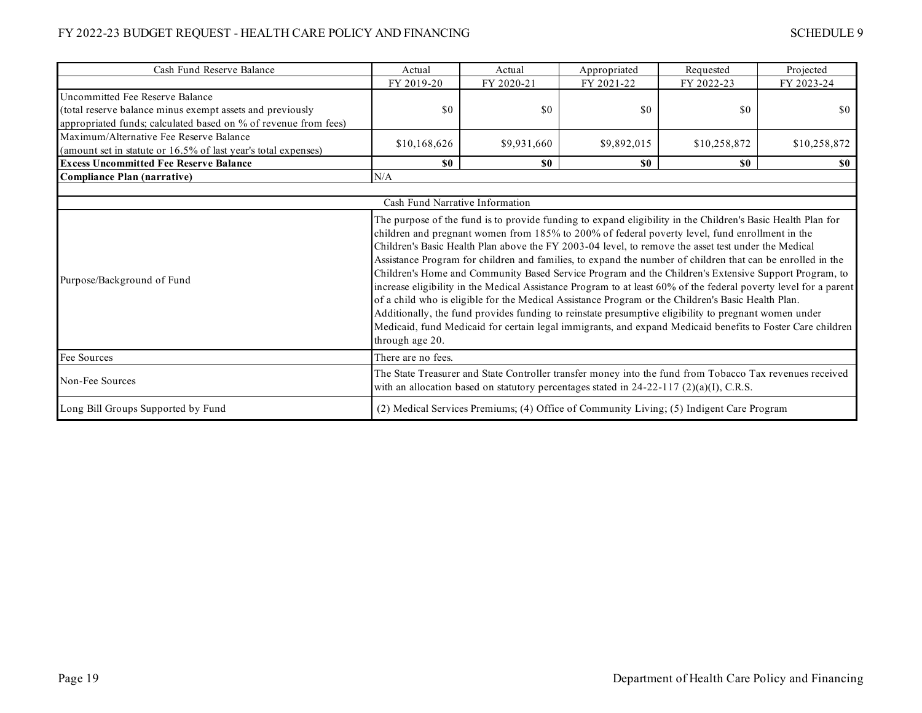| Cash Fund Reserve Balance                                                                                                                                       | Actual                                                                                                                                                                                                                                                                                                                                                                                                                                                                                                                                                                                                                                                                                                                                                                                                                                                                                                                                                                                                        | Actual      | Appropriated                                                                             | Requested    | Projected    |  |  |  |
|-----------------------------------------------------------------------------------------------------------------------------------------------------------------|---------------------------------------------------------------------------------------------------------------------------------------------------------------------------------------------------------------------------------------------------------------------------------------------------------------------------------------------------------------------------------------------------------------------------------------------------------------------------------------------------------------------------------------------------------------------------------------------------------------------------------------------------------------------------------------------------------------------------------------------------------------------------------------------------------------------------------------------------------------------------------------------------------------------------------------------------------------------------------------------------------------|-------------|------------------------------------------------------------------------------------------|--------------|--------------|--|--|--|
|                                                                                                                                                                 | FY 2019-20                                                                                                                                                                                                                                                                                                                                                                                                                                                                                                                                                                                                                                                                                                                                                                                                                                                                                                                                                                                                    | FY 2020-21  | FY 2021-22                                                                               | FY 2022-23   | FY 2023-24   |  |  |  |
| Uncommitted Fee Reserve Balance<br>(total reserve balance minus exempt assets and previously<br>appropriated funds; calculated based on % of revenue from fees) | \$0                                                                                                                                                                                                                                                                                                                                                                                                                                                                                                                                                                                                                                                                                                                                                                                                                                                                                                                                                                                                           | \$0         | \$0                                                                                      | \$0          | \$0          |  |  |  |
| Maximum/Alternative Fee Reserve Balance<br>(amount set in statute or 16.5% of last year's total expenses)                                                       | \$10,168,626                                                                                                                                                                                                                                                                                                                                                                                                                                                                                                                                                                                                                                                                                                                                                                                                                                                                                                                                                                                                  | \$9,931,660 | \$9,892,015                                                                              | \$10,258,872 | \$10,258,872 |  |  |  |
| <b>Excess Uncommitted Fee Reserve Balance</b>                                                                                                                   | \$0                                                                                                                                                                                                                                                                                                                                                                                                                                                                                                                                                                                                                                                                                                                                                                                                                                                                                                                                                                                                           | \$0\$       | \$0                                                                                      | \$0          | SO.          |  |  |  |
| <b>Compliance Plan (narrative)</b>                                                                                                                              | N/A                                                                                                                                                                                                                                                                                                                                                                                                                                                                                                                                                                                                                                                                                                                                                                                                                                                                                                                                                                                                           |             |                                                                                          |              |              |  |  |  |
| Cash Fund Narrative Information                                                                                                                                 |                                                                                                                                                                                                                                                                                                                                                                                                                                                                                                                                                                                                                                                                                                                                                                                                                                                                                                                                                                                                               |             |                                                                                          |              |              |  |  |  |
| Purpose/Background of Fund                                                                                                                                      | The purpose of the fund is to provide funding to expand eligibility in the Children's Basic Health Plan for<br>children and pregnant women from 185% to 200% of federal poverty level, fund enrollment in the<br>Children's Basic Health Plan above the FY 2003-04 level, to remove the asset test under the Medical<br>Assistance Program for children and families, to expand the number of children that can be enrolled in the<br>Children's Home and Community Based Service Program and the Children's Extensive Support Program, to<br>increase eligibility in the Medical Assistance Program to at least 60% of the federal poverty level for a parent<br>of a child who is eligible for the Medical Assistance Program or the Children's Basic Health Plan.<br>Additionally, the fund provides funding to reinstate presumptive eligibility to pregnant women under<br>Medicaid, fund Medicaid for certain legal immigrants, and expand Medicaid benefits to Foster Care children<br>through age 20. |             |                                                                                          |              |              |  |  |  |
| Fee Sources                                                                                                                                                     | There are no fees.                                                                                                                                                                                                                                                                                                                                                                                                                                                                                                                                                                                                                                                                                                                                                                                                                                                                                                                                                                                            |             |                                                                                          |              |              |  |  |  |
| Non-Fee Sources                                                                                                                                                 | The State Treasurer and State Controller transfer money into the fund from Tobacco Tax revenues received<br>with an allocation based on statutory percentages stated in $24-22-117$ (2)(a)(I), C.R.S.                                                                                                                                                                                                                                                                                                                                                                                                                                                                                                                                                                                                                                                                                                                                                                                                         |             |                                                                                          |              |              |  |  |  |
| Long Bill Groups Supported by Fund                                                                                                                              |                                                                                                                                                                                                                                                                                                                                                                                                                                                                                                                                                                                                                                                                                                                                                                                                                                                                                                                                                                                                               |             | (2) Medical Services Premiums; (4) Office of Community Living; (5) Indigent Care Program |              |              |  |  |  |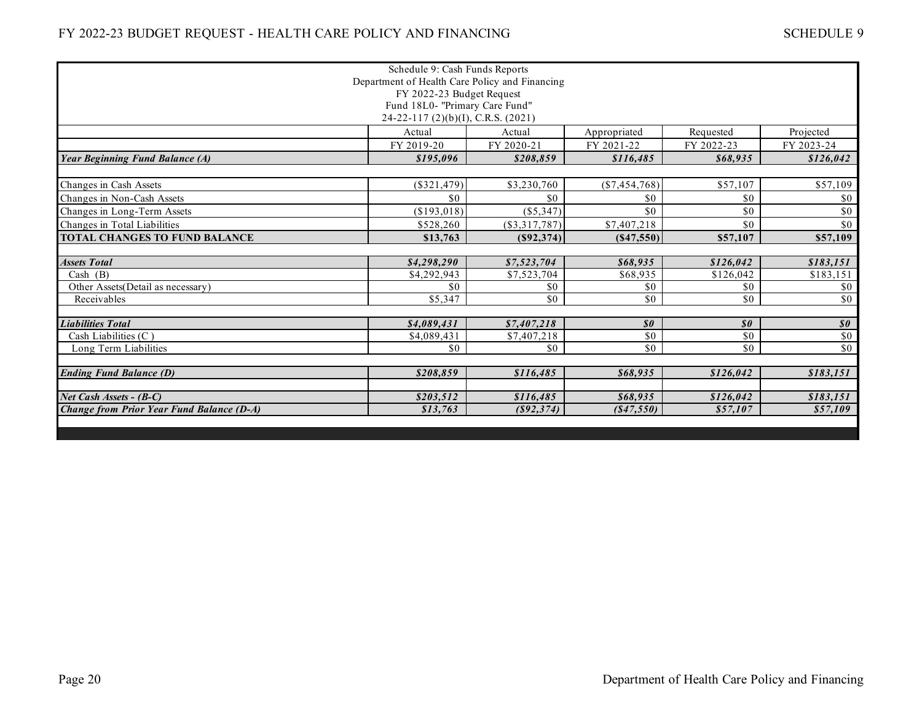| Schedule 9: Cash Funds Reports<br>Department of Health Care Policy and Financing |               |                 |                            |                            |                            |  |  |  |
|----------------------------------------------------------------------------------|---------------|-----------------|----------------------------|----------------------------|----------------------------|--|--|--|
| FY 2022-23 Budget Request                                                        |               |                 |                            |                            |                            |  |  |  |
| Fund 18L0- "Primary Care Fund"                                                   |               |                 |                            |                            |                            |  |  |  |
| 24-22-117 (2)(b)(I), C.R.S. (2021)                                               |               |                 |                            |                            |                            |  |  |  |
|                                                                                  | Actual        | Actual          | Appropriated               | Requested                  | Projected                  |  |  |  |
|                                                                                  | FY 2019-20    | FY 2020-21      | FY 2021-22                 | FY 2022-23                 | FY 2023-24                 |  |  |  |
| <b>Year Beginning Fund Balance (A)</b>                                           | \$195,096     | \$208,859       | \$116,485                  | \$68,935                   | \$126,042                  |  |  |  |
|                                                                                  |               |                 |                            |                            |                            |  |  |  |
| Changes in Cash Assets                                                           | $(\$321,479)$ | \$3,230,760     | $(\$7,454,768)$            | \$57,107                   | \$57,109                   |  |  |  |
| Changes in Non-Cash Assets                                                       | \$0           | \$0             | \$0                        | \$0                        | \$0                        |  |  |  |
| Changes in Long-Term Assets                                                      | (\$193,018)   | (\$5,347)       | \$0                        | \$0                        | \$0                        |  |  |  |
| Changes in Total Liabilities                                                     | \$528,260     | $(\$3,317,787)$ | \$7,407,218                | \$0                        | \$0                        |  |  |  |
| <b>TOTAL CHANGES TO FUND BALANCE</b>                                             | \$13,763      | (S92, 374)      | (S47, 550)                 | \$57,107                   | \$57,109                   |  |  |  |
|                                                                                  |               |                 |                            |                            |                            |  |  |  |
| <b>Assets Total</b>                                                              | \$4,298,290   | \$7,523,704     | \$68,935                   | \$126.042                  | \$183,151                  |  |  |  |
| Cash $(B)$                                                                       | \$4,292,943   | \$7,523,704     | \$68,935                   | \$126,042                  | \$183,151                  |  |  |  |
| Other Assets(Detail as necessary)                                                | \$0           | \$0             | \$0                        | \$0                        | \$0                        |  |  |  |
| Receivables                                                                      | \$5,347       | \$0             | \$0                        | \$0                        | \$0                        |  |  |  |
|                                                                                  |               |                 |                            |                            |                            |  |  |  |
| <b>Liabilities Total</b>                                                         | \$4,089,431   | \$7,407,218     | $\boldsymbol{\mathit{s0}}$ | $\boldsymbol{\mathit{s0}}$ | $\boldsymbol{\mathit{s0}}$ |  |  |  |
| Cash Liabilities (C)                                                             | \$4,089,431   | \$7,407,218     | \$0                        | \$0                        | \$0                        |  |  |  |
| Long Term Liabilities                                                            | \$0           | \$0             | \$0                        | \$0                        | \$0                        |  |  |  |
| <b>Ending Fund Balance (D)</b>                                                   | \$208,859     | \$116,485       | \$68,935                   | \$126,042                  | \$183,151                  |  |  |  |
| Net Cash Assets - (B-C)                                                          | \$203,512     | \$116,485       | \$68,935                   | \$126.042                  | \$183,151                  |  |  |  |
| Change from Prior Year Fund Balance (D-A)                                        | \$13,763      | (S92, 374)      | (S47, 550)                 | \$57,107                   | \$57,109                   |  |  |  |
|                                                                                  |               |                 |                            |                            |                            |  |  |  |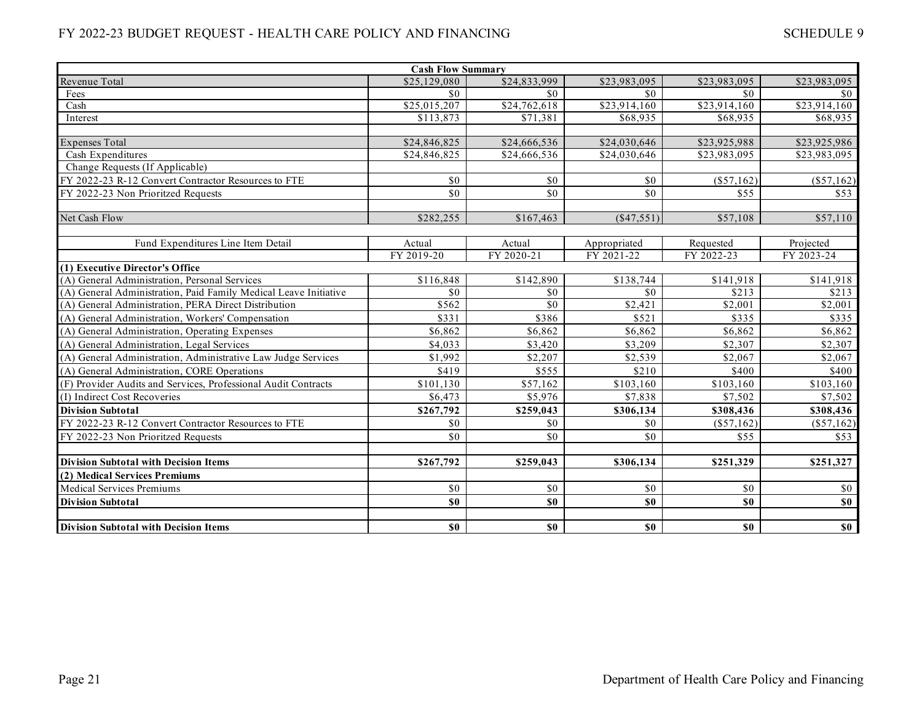| <b>Cash Flow Summary</b>                                         |              |                          |                          |                                                  |              |  |  |
|------------------------------------------------------------------|--------------|--------------------------|--------------------------|--------------------------------------------------|--------------|--|--|
| Revenue Total                                                    | \$25,129,080 | \$24,833,999             | \$23,983,095             | \$23,983,095                                     | \$23,983,095 |  |  |
| Fees                                                             | \$0          | \$0                      | \$0                      | \$0                                              | \$0          |  |  |
| Cash                                                             | \$25,015,207 | \$24,762,618             | \$23,914,160             | \$23,914,160                                     | \$23,914,160 |  |  |
| Interest                                                         | \$113,873    | \$71,381                 | \$68,935                 | \$68,935                                         | \$68,935     |  |  |
|                                                                  |              |                          |                          |                                                  |              |  |  |
| <b>Expenses Total</b>                                            | \$24,846,825 | \$24,666,536             | \$24,030,646             | \$23,925,988                                     | \$23,925,986 |  |  |
| Cash Expenditures                                                | \$24,846,825 | $\overline{$24,666,536}$ | $\overline{$24,030,646}$ | \$23,983,095                                     | \$23,983,095 |  |  |
| Change Requests (If Applicable)                                  |              |                          |                          |                                                  |              |  |  |
| FY 2022-23 R-12 Convert Contractor Resources to FTE              | \$0          | \$0                      | \$0                      | $(\$57,162)$                                     | $(\$57,162)$ |  |  |
| FY 2022-23 Non Prioritzed Requests                               | \$0          | \$0                      | \$0                      | \$55                                             | \$53         |  |  |
|                                                                  |              |                          |                          |                                                  |              |  |  |
| Net Cash Flow                                                    | \$282,255    | \$167,463                | $(\$47,551)$             | \$57,108                                         | \$57,110     |  |  |
|                                                                  |              |                          |                          |                                                  |              |  |  |
| Fund Expenditures Line Item Detail                               | Actual       | Actual                   | Appropriated             | Requested                                        | Projected    |  |  |
|                                                                  | FY 2019-20   | FY 2020-21               | FY 2021-22               | FY 2022-23                                       | FY 2023-24   |  |  |
| (1) Executive Director's Office                                  |              |                          |                          |                                                  |              |  |  |
| (A) General Administration, Personal Services                    | \$116,848    | \$142,890                | \$138,744                | \$141,918                                        | \$141,918    |  |  |
| (A) General Administration, Paid Family Medical Leave Initiative | \$0          | \$0                      | \$0                      | \$213                                            | \$213        |  |  |
| (A) General Administration, PERA Direct Distribution             | \$562        | \$0                      | \$2,421                  | \$2,001                                          | \$2,001      |  |  |
| (A) General Administration, Workers' Compensation                | \$331        | \$386                    | \$521                    | \$335                                            | \$335        |  |  |
| (A) General Administration, Operating Expenses                   | \$6,862      | \$6,862                  | \$6,862                  | \$6,862                                          | \$6,862      |  |  |
| (A) General Administration, Legal Services                       | \$4,033      | \$3,420                  | \$3,209                  | \$2,307                                          | \$2,307      |  |  |
| (A) General Administration, Administrative Law Judge Services    | \$1,992      | \$2,207                  | \$2,539                  | \$2,067                                          | \$2,067      |  |  |
| (A) General Administration, CORE Operations                      | \$419        | \$555                    | \$210                    | \$400                                            | \$400        |  |  |
| (F) Provider Audits and Services, Professional Audit Contracts   | \$101,130    | \$57,162                 | \$103,160                | \$103,160                                        | \$103,160    |  |  |
| (I) Indirect Cost Recoveries                                     | \$6,473      | \$5,976                  | \$7,838                  | \$7.502                                          | \$7,502      |  |  |
| <b>Division Subtotal</b>                                         | \$267,792    | \$259,043                | \$306,134                | \$308,436                                        | \$308,436    |  |  |
| FY 2022-23 R-12 Convert Contractor Resources to FTE              | \$0          | \$0                      | \$0                      | $(\$57,162)$                                     | $(\$57,162)$ |  |  |
| FY 2022-23 Non Prioritzed Requests                               | \$0          | \$0                      | \$0                      | \$55                                             | \$53         |  |  |
|                                                                  |              |                          |                          |                                                  |              |  |  |
| <b>Division Subtotal with Decision Items</b>                     | \$267,792    | \$259,043                | \$306,134                | \$251,329                                        | \$251,327    |  |  |
| (2) Medical Services Premiums                                    |              |                          |                          |                                                  |              |  |  |
| <b>Medical Services Premiums</b>                                 | \$0          | \$0                      | \$0                      | \$0                                              | \$0          |  |  |
| <b>Division Subtotal</b>                                         | \$0          | \$0                      | \$0                      | $\boldsymbol{\mathsf{s}}\boldsymbol{\mathsf{0}}$ | \$0          |  |  |
|                                                                  |              |                          |                          |                                                  |              |  |  |
| <b>Division Subtotal with Decision Items</b>                     | \$0          | \$0                      | S <sub>0</sub>           | S <sub>0</sub>                                   | \$0\$        |  |  |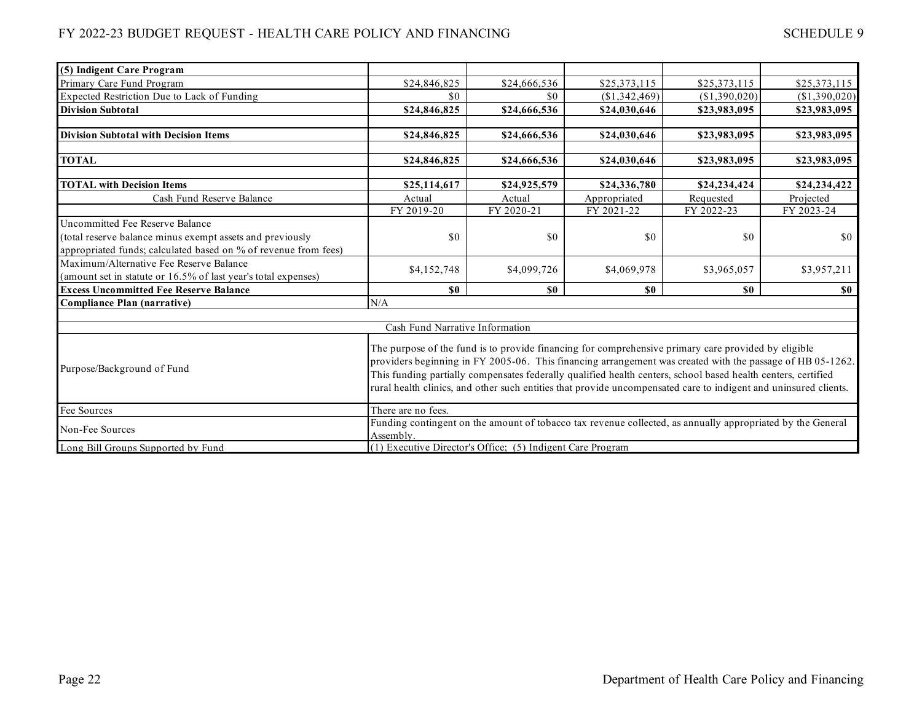| (5) Indigent Care Program                                       |                                                                                                                                                                                                                                                                                                                                                                                                                                                       |              |               |                |               |  |
|-----------------------------------------------------------------|-------------------------------------------------------------------------------------------------------------------------------------------------------------------------------------------------------------------------------------------------------------------------------------------------------------------------------------------------------------------------------------------------------------------------------------------------------|--------------|---------------|----------------|---------------|--|
| Primary Care Fund Program                                       | \$24,846,825                                                                                                                                                                                                                                                                                                                                                                                                                                          | \$24,666,536 | \$25,373,115  | \$25,373,115   | \$25,373,115  |  |
| Expected Restriction Due to Lack of Funding                     | \$0                                                                                                                                                                                                                                                                                                                                                                                                                                                   | \$0          | (\$1,342,469) | (\$1,390,020)  | (\$1,390,020) |  |
| <b>Division Subtotal</b>                                        | \$24,846,825                                                                                                                                                                                                                                                                                                                                                                                                                                          | \$24,666,536 | \$24,030,646  | \$23,983,095   | \$23,983,095  |  |
|                                                                 |                                                                                                                                                                                                                                                                                                                                                                                                                                                       |              |               |                |               |  |
| <b>Division Subtotal with Decision Items</b>                    | \$24,846,825                                                                                                                                                                                                                                                                                                                                                                                                                                          | \$24,666,536 | \$24,030,646  | \$23,983,095   | \$23,983,095  |  |
|                                                                 |                                                                                                                                                                                                                                                                                                                                                                                                                                                       |              |               |                |               |  |
| <b>TOTAL</b>                                                    | \$24,846,825                                                                                                                                                                                                                                                                                                                                                                                                                                          | \$24,666,536 | \$24,030,646  | \$23,983,095   | \$23,983,095  |  |
|                                                                 |                                                                                                                                                                                                                                                                                                                                                                                                                                                       |              |               |                |               |  |
| <b>TOTAL with Decision Items</b>                                | \$25,114,617                                                                                                                                                                                                                                                                                                                                                                                                                                          | \$24,925,579 | \$24,336,780  | \$24,234,424   | \$24,234,422  |  |
| Cash Fund Reserve Balance                                       | Actual                                                                                                                                                                                                                                                                                                                                                                                                                                                | Actual       | Appropriated  | Requested      | Projected     |  |
|                                                                 | FY 2019-20                                                                                                                                                                                                                                                                                                                                                                                                                                            | FY 2020-21   | FY 2021-22    | FY 2022-23     | FY 2023-24    |  |
| Uncommitted Fee Reserve Balance                                 |                                                                                                                                                                                                                                                                                                                                                                                                                                                       |              |               |                |               |  |
| (total reserve balance minus exempt assets and previously       | \$0                                                                                                                                                                                                                                                                                                                                                                                                                                                   | \$0          | \$0           | \$0            | \$0           |  |
| appropriated funds; calculated based on % of revenue from fees) |                                                                                                                                                                                                                                                                                                                                                                                                                                                       |              |               |                |               |  |
| Maximum/Alternative Fee Reserve Balance                         |                                                                                                                                                                                                                                                                                                                                                                                                                                                       |              |               |                |               |  |
| (amount set in statute or 16.5% of last year's total expenses)  | \$4,152,748                                                                                                                                                                                                                                                                                                                                                                                                                                           | \$4,099,726  | \$4,069,978   | \$3,965,057    | \$3,957,211   |  |
| <b>Excess Uncommitted Fee Reserve Balance</b>                   | \$0                                                                                                                                                                                                                                                                                                                                                                                                                                                   | \$0          | \$0           | S <sub>0</sub> | $\$0$         |  |
| Compliance Plan (narrative)                                     | N/A                                                                                                                                                                                                                                                                                                                                                                                                                                                   |              |               |                |               |  |
|                                                                 |                                                                                                                                                                                                                                                                                                                                                                                                                                                       |              |               |                |               |  |
|                                                                 | Cash Fund Narrative Information                                                                                                                                                                                                                                                                                                                                                                                                                       |              |               |                |               |  |
| Purpose/Background of Fund                                      | The purpose of the fund is to provide financing for comprehensive primary care provided by eligible<br>providers beginning in FY 2005-06. This financing arrangement was created with the passage of HB 05-1262.<br>This funding partially compensates federally qualified health centers, school based health centers, certified<br>rural health clinics, and other such entities that provide uncompensated care to indigent and uninsured clients. |              |               |                |               |  |
| Fee Sources                                                     | There are no fees.                                                                                                                                                                                                                                                                                                                                                                                                                                    |              |               |                |               |  |
| Non-Fee Sources                                                 | Funding contingent on the amount of tobacco tax revenue collected, as annually appropriated by the General<br>Assembly.                                                                                                                                                                                                                                                                                                                               |              |               |                |               |  |
| Long Bill Groups Supported by Fund                              | (1) Executive Director's Office; (5) Indigent Care Program                                                                                                                                                                                                                                                                                                                                                                                            |              |               |                |               |  |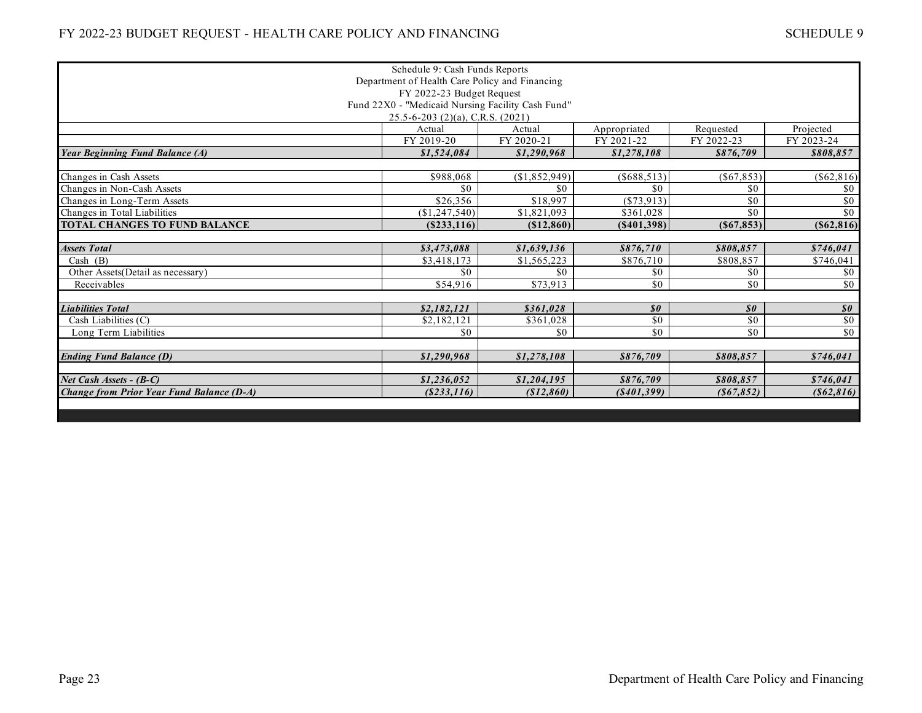|                                                | Schedule 9: Cash Funds Reports                    |               |                            |                            |                                                          |  |
|------------------------------------------------|---------------------------------------------------|---------------|----------------------------|----------------------------|----------------------------------------------------------|--|
| Department of Health Care Policy and Financing |                                                   |               |                            |                            |                                                          |  |
| FY 2022-23 Budget Request                      |                                                   |               |                            |                            |                                                          |  |
|                                                | Fund 22X0 - "Medicaid Nursing Facility Cash Fund" |               |                            |                            |                                                          |  |
| $25.5 - 6 - 203$ (2)(a), C.R.S. (2021)         |                                                   |               |                            |                            |                                                          |  |
|                                                | Actual                                            | Actual        | Appropriated               | Requested                  | Projected                                                |  |
|                                                | FY 2019-20                                        | FY 2020-21    | FY 2021-22                 | FY 2022-23                 | FY 2023-24                                               |  |
| <b>Year Beginning Fund Balance (A)</b>         | \$1,524,084                                       | \$1,290,968   | \$1,278,108                | \$876.709                  | \$808,857                                                |  |
|                                                |                                                   |               |                            |                            |                                                          |  |
| Changes in Cash Assets                         | \$988,068                                         | (\$1,852,949) | ( \$688, 513)              | $($ \$67,853) $ $          | ( \$62, 816)                                             |  |
| Changes in Non-Cash Assets                     | \$0                                               | \$0           | \$0                        | \$0                        | \$0                                                      |  |
| Changes in Long-Term Assets                    | \$26,356                                          | \$18,997      | $(*73,913)$                | \$0                        | \$0                                                      |  |
| Changes in Total Liabilities                   | (\$1,247,540)                                     | \$1,821,093   | \$361,028                  | \$0                        | \$0                                                      |  |
| TOTAL CHANGES TO FUND BALANCE                  | (S233, 116)                                       | ( \$12, 860)  | (S401, 398)                | (S67, 853)                 | (S62, 816)                                               |  |
|                                                |                                                   |               |                            |                            |                                                          |  |
| <b>Assets Total</b>                            | \$3,473,088                                       | \$1,639,136   | \$876,710                  | \$808.857                  | \$746.041                                                |  |
| Cash $(B)$                                     | \$3,418,173                                       | \$1,565,223   | \$876,710                  | \$808,857                  | \$746,041                                                |  |
| Other Assets(Detail as necessary)              | \$0                                               | \$0           | \$0                        | $\$0$                      | \$0                                                      |  |
| Receivables                                    | \$54,916                                          | \$73,913      | \$0                        | \$0                        | \$0                                                      |  |
|                                                |                                                   |               |                            |                            |                                                          |  |
| <b>Liabilities Total</b>                       | \$2,182,121                                       | \$361,028     | $\boldsymbol{\mathit{s0}}$ | $\boldsymbol{\mathit{s0}}$ | $\overline{\boldsymbol{\mathcal{S}}\boldsymbol{\theta}}$ |  |
| Cash Liabilities (C)                           | \$2,182,121                                       | \$361,028     | \$0                        | \$0                        | \$0                                                      |  |
| Long Term Liabilities                          | \$0                                               | \$0           | \$0                        | \$0                        | \$0                                                      |  |
|                                                |                                                   |               |                            |                            |                                                          |  |
| <b>Ending Fund Balance (D)</b>                 | \$1,290,968                                       | \$1,278,108   | \$876,709                  | \$808,857                  | \$746,041                                                |  |
|                                                |                                                   |               |                            |                            |                                                          |  |
| Net Cash Assets - (B-C)                        | \$1,236,052                                       | \$1,204,195   | \$876,709                  | \$808.857                  | \$746.041                                                |  |
| Change from Prior Year Fund Balance (D-A)      | ( \$233, 116)                                     | (\$12,860)    | ( \$401,399)               | (867, 852)                 | ( \$62, 816)                                             |  |
|                                                |                                                   |               |                            |                            |                                                          |  |
|                                                |                                                   |               |                            |                            |                                                          |  |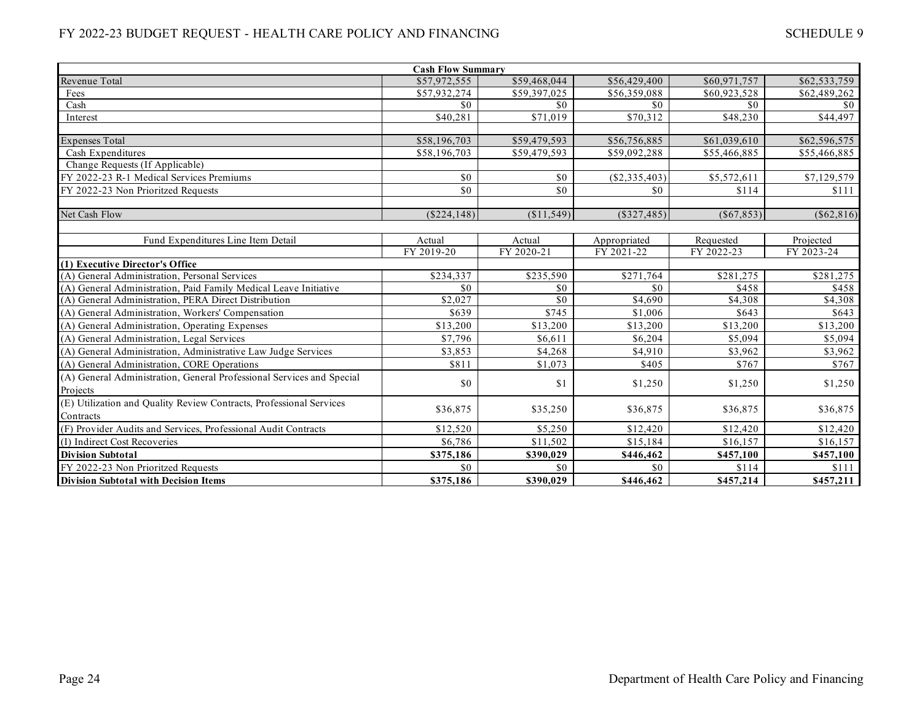| <b>Cash Flow Summary</b>                                              |                |                 |                    |               |              |  |  |
|-----------------------------------------------------------------------|----------------|-----------------|--------------------|---------------|--------------|--|--|
| Revenue Total                                                         | \$57,972,555   | \$59,468,044    | \$56,429,400       | \$60,971,757  | \$62,533,759 |  |  |
| Fees                                                                  | \$57,932,274   | \$59,397,025    | \$56,359,088       | \$60,923,528  | \$62,489,262 |  |  |
| Cash                                                                  | \$0            | \$0\$           | \$0                | \$0           | \$0          |  |  |
| Interest                                                              | \$40,281       | \$71,019        | \$70,312           | \$48,230      | \$44,497     |  |  |
|                                                                       |                |                 |                    |               |              |  |  |
| <b>Expenses Total</b>                                                 | \$58,196,703   | \$59,479,593    | \$56,756,885       | \$61,039,610  | \$62,596,575 |  |  |
| Cash Expenditures                                                     | \$58,196,703   | \$59,479,593    | \$59,092,288       | \$55,466,885  | \$55,466,885 |  |  |
| Change Requests (If Applicable)                                       |                |                 |                    |               |              |  |  |
| FY 2022-23 R-1 Medical Services Premiums                              | \$0            | \$0             | (\$2,335,403)      | \$5,572,611   | \$7,129,579  |  |  |
| FY 2022-23 Non Prioritzed Requests                                    | \$0            | \$0             | \$0                | \$114         | \$111        |  |  |
|                                                                       |                |                 |                    |               |              |  |  |
| Net Cash Flow                                                         | $($ \$224,148) | (\$11,549)      | $($ \$327,485) $ $ | $($ \$67,853) | ( \$62, 816) |  |  |
|                                                                       |                |                 |                    |               |              |  |  |
| Fund Expenditures Line Item Detail                                    | Actual         | Actual          | Appropriated       | Requested     | Projected    |  |  |
|                                                                       | FY 2019-20     | FY 2020-21      | FY 2021-22         | FY 2022-23    | FY 2023-24   |  |  |
| (1) Executive Director's Office                                       |                |                 |                    |               |              |  |  |
| (A) General Administration, Personal Services                         | \$234,337      | \$235,590       | \$271,764          | \$281,275     | \$281,275    |  |  |
| (A) General Administration, Paid Family Medical Leave Initiative      | \$0            | \$0             | \$0                | \$458         | \$458        |  |  |
| (A) General Administration, PERA Direct Distribution                  | \$2,027        | $\overline{50}$ | \$4,690            | \$4,308       | \$4,308      |  |  |
| (A) General Administration, Workers' Compensation                     | \$639          | \$745           | \$1,006            | \$643         | \$643        |  |  |
| (A) General Administration, Operating Expenses                        | \$13,200       | \$13,200        | \$13,200           | \$13,200      | \$13,200     |  |  |
| (A) General Administration, Legal Services                            | \$7,796        | \$6,611         | \$6,204            | \$5,094       | \$5,094      |  |  |
| (A) General Administration, Administrative Law Judge Services         | \$3,853        | \$4,268         | \$4,910            | \$3,962       | \$3,962      |  |  |
| (A) General Administration, CORE Operations                           | \$811          | \$1,073         | \$405              | \$767         | \$767        |  |  |
| (A) General Administration, General Professional Services and Special | \$0            | \$1             | \$1,250            | \$1,250       |              |  |  |
| Projects                                                              |                |                 |                    |               | \$1,250      |  |  |
| (E) Utilization and Quality Review Contracts, Professional Services   |                |                 |                    |               |              |  |  |
| Contracts                                                             | \$36,875       | \$35,250        | \$36,875           | \$36,875      | \$36,875     |  |  |
| (F) Provider Audits and Services, Professional Audit Contracts        | \$12,520       | \$5,250         | \$12,420           | \$12,420      | \$12,420     |  |  |
| (I) Indirect Cost Recoveries                                          | \$6,786        | \$11,502        | \$15,184           | \$16,157      | \$16,157     |  |  |
| <b>Division Subtotal</b>                                              | \$375,186      | \$390,029       | \$446,462          | \$457,100     | \$457,100    |  |  |
| FY 2022-23 Non Prioritzed Requests                                    | \$0            | \$0             | \$0                | \$114         | \$111        |  |  |
| <b>Division Subtotal with Decision Items</b>                          | \$375,186      | \$390,029       | \$446,462          | \$457,214     | \$457,211    |  |  |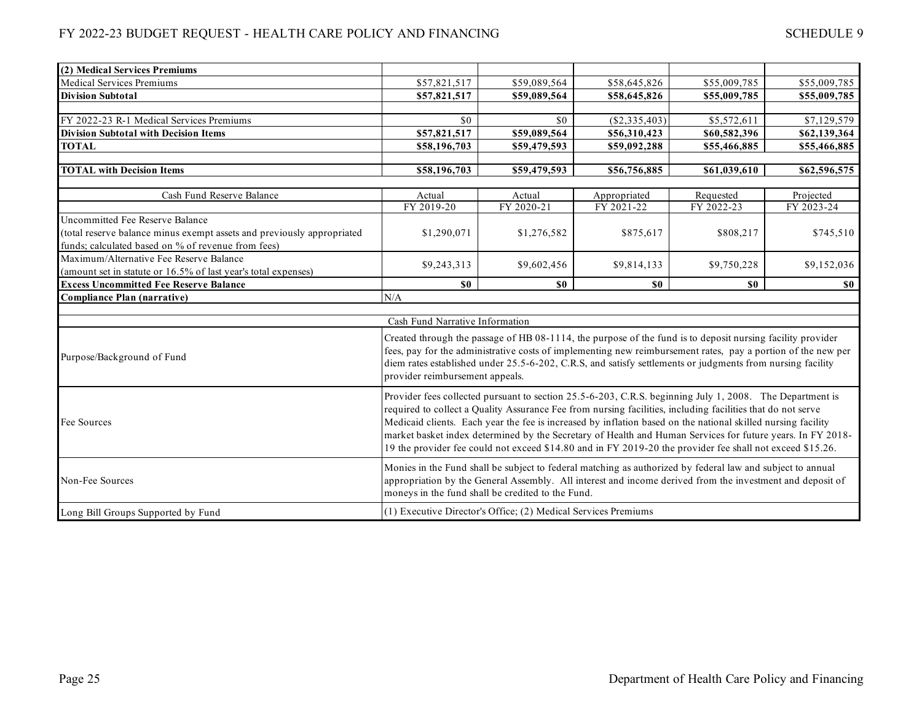| (2) Medical Services Premiums                                          |                                                                                                                                                                                                                                                                                                                                                                                                                                                                                                                                                                    |                                                                |                            |                                                                                                                                                                                                                                                                                                                                          |                         |  |
|------------------------------------------------------------------------|--------------------------------------------------------------------------------------------------------------------------------------------------------------------------------------------------------------------------------------------------------------------------------------------------------------------------------------------------------------------------------------------------------------------------------------------------------------------------------------------------------------------------------------------------------------------|----------------------------------------------------------------|----------------------------|------------------------------------------------------------------------------------------------------------------------------------------------------------------------------------------------------------------------------------------------------------------------------------------------------------------------------------------|-------------------------|--|
| <b>Medical Services Premiums</b>                                       | \$57,821,517                                                                                                                                                                                                                                                                                                                                                                                                                                                                                                                                                       | \$59,089,564                                                   | \$58,645,826               | \$55,009,785                                                                                                                                                                                                                                                                                                                             | \$55,009,785            |  |
| <b>Division Subtotal</b>                                               | \$57,821,517                                                                                                                                                                                                                                                                                                                                                                                                                                                                                                                                                       | \$59,089,564                                                   | \$58,645,826               | \$55,009,785                                                                                                                                                                                                                                                                                                                             | \$55,009,785            |  |
|                                                                        |                                                                                                                                                                                                                                                                                                                                                                                                                                                                                                                                                                    |                                                                |                            |                                                                                                                                                                                                                                                                                                                                          |                         |  |
| FY 2022-23 R-1 Medical Services Premiums                               | \$0                                                                                                                                                                                                                                                                                                                                                                                                                                                                                                                                                                | \$0                                                            | (\$2,335,403)              | \$5,572,611                                                                                                                                                                                                                                                                                                                              | \$7,129,579             |  |
| <b>Division Subtotal with Decision Items</b>                           | \$57,821,517                                                                                                                                                                                                                                                                                                                                                                                                                                                                                                                                                       | \$59,089,564                                                   | \$56,310,423               | \$60,582,396                                                                                                                                                                                                                                                                                                                             | \$62,139,364            |  |
| <b>TOTAL</b>                                                           | \$58,196,703                                                                                                                                                                                                                                                                                                                                                                                                                                                                                                                                                       | \$59,479,593                                                   | \$59,092,288               | \$55,466,885                                                                                                                                                                                                                                                                                                                             | \$55,466,885            |  |
|                                                                        |                                                                                                                                                                                                                                                                                                                                                                                                                                                                                                                                                                    |                                                                |                            |                                                                                                                                                                                                                                                                                                                                          |                         |  |
| <b>TOTAL</b> with Decision Items                                       | \$58,196,703                                                                                                                                                                                                                                                                                                                                                                                                                                                                                                                                                       | \$59,479,593                                                   | \$56,756,885               | \$61,039,610                                                                                                                                                                                                                                                                                                                             | \$62,596,575            |  |
| Cash Fund Reserve Balance                                              |                                                                                                                                                                                                                                                                                                                                                                                                                                                                                                                                                                    |                                                                |                            |                                                                                                                                                                                                                                                                                                                                          |                         |  |
|                                                                        | Actual<br>FY 2019-20                                                                                                                                                                                                                                                                                                                                                                                                                                                                                                                                               | Actual<br>FY 2020-21                                           | Appropriated<br>FY 2021-22 | Requested<br>FY 2022-23                                                                                                                                                                                                                                                                                                                  | Projected<br>FY 2023-24 |  |
| Uncommitted Fee Reserve Balance                                        |                                                                                                                                                                                                                                                                                                                                                                                                                                                                                                                                                                    |                                                                |                            |                                                                                                                                                                                                                                                                                                                                          |                         |  |
| (total reserve balance minus exempt assets and previously appropriated | \$1,290,071                                                                                                                                                                                                                                                                                                                                                                                                                                                                                                                                                        | \$1,276,582                                                    | \$875,617                  | \$808,217                                                                                                                                                                                                                                                                                                                                | \$745,510               |  |
| funds; calculated based on % of revenue from fees)                     |                                                                                                                                                                                                                                                                                                                                                                                                                                                                                                                                                                    |                                                                |                            |                                                                                                                                                                                                                                                                                                                                          |                         |  |
| Maximum/Alternative Fee Reserve Balance                                |                                                                                                                                                                                                                                                                                                                                                                                                                                                                                                                                                                    |                                                                |                            |                                                                                                                                                                                                                                                                                                                                          |                         |  |
| (amount set in statute or 16.5% of last year's total expenses)         | \$9,243,313                                                                                                                                                                                                                                                                                                                                                                                                                                                                                                                                                        | \$9,602,456                                                    | \$9,814,133                | \$9,750,228                                                                                                                                                                                                                                                                                                                              | \$9,152,036             |  |
| <b>Excess Uncommitted Fee Reserve Balance</b>                          | \$0                                                                                                                                                                                                                                                                                                                                                                                                                                                                                                                                                                | S <sub>0</sub>                                                 | S <sub>0</sub>             | S <sub>0</sub>                                                                                                                                                                                                                                                                                                                           | $\$0$                   |  |
| <b>Compliance Plan (narrative)</b>                                     | N/A                                                                                                                                                                                                                                                                                                                                                                                                                                                                                                                                                                |                                                                |                            |                                                                                                                                                                                                                                                                                                                                          |                         |  |
|                                                                        |                                                                                                                                                                                                                                                                                                                                                                                                                                                                                                                                                                    |                                                                |                            |                                                                                                                                                                                                                                                                                                                                          |                         |  |
|                                                                        | Cash Fund Narrative Information                                                                                                                                                                                                                                                                                                                                                                                                                                                                                                                                    |                                                                |                            |                                                                                                                                                                                                                                                                                                                                          |                         |  |
| Purpose/Background of Fund                                             | provider reimbursement appeals.                                                                                                                                                                                                                                                                                                                                                                                                                                                                                                                                    |                                                                |                            | Created through the passage of HB 08-1114, the purpose of the fund is to deposit nursing facility provider<br>fees, pay for the administrative costs of implementing new reimbursement rates, pay a portion of the new per<br>diem rates established under 25.5-6-202, C.R.S, and satisfy settlements or judgments from nursing facility |                         |  |
| Fee Sources                                                            | Provider fees collected pursuant to section 25.5-6-203, C.R.S. beginning July 1, 2008. The Department is<br>required to collect a Quality Assurance Fee from nursing facilities, including facilities that do not serve<br>Medicaid clients. Each year the fee is increased by inflation based on the national skilled nursing facility<br>market basket index determined by the Secretary of Health and Human Services for future years. In FY 2018-<br>19 the provider fee could not exceed \$14.80 and in FY 2019-20 the provider fee shall not exceed \$15.26. |                                                                |                            |                                                                                                                                                                                                                                                                                                                                          |                         |  |
| Non-Fee Sources                                                        | Monies in the Fund shall be subject to federal matching as authorized by federal law and subject to annual<br>appropriation by the General Assembly. All interest and income derived from the investment and deposit of<br>moneys in the fund shall be credited to the Fund.                                                                                                                                                                                                                                                                                       |                                                                |                            |                                                                                                                                                                                                                                                                                                                                          |                         |  |
| Long Bill Groups Supported by Fund                                     |                                                                                                                                                                                                                                                                                                                                                                                                                                                                                                                                                                    | (1) Executive Director's Office; (2) Medical Services Premiums |                            |                                                                                                                                                                                                                                                                                                                                          |                         |  |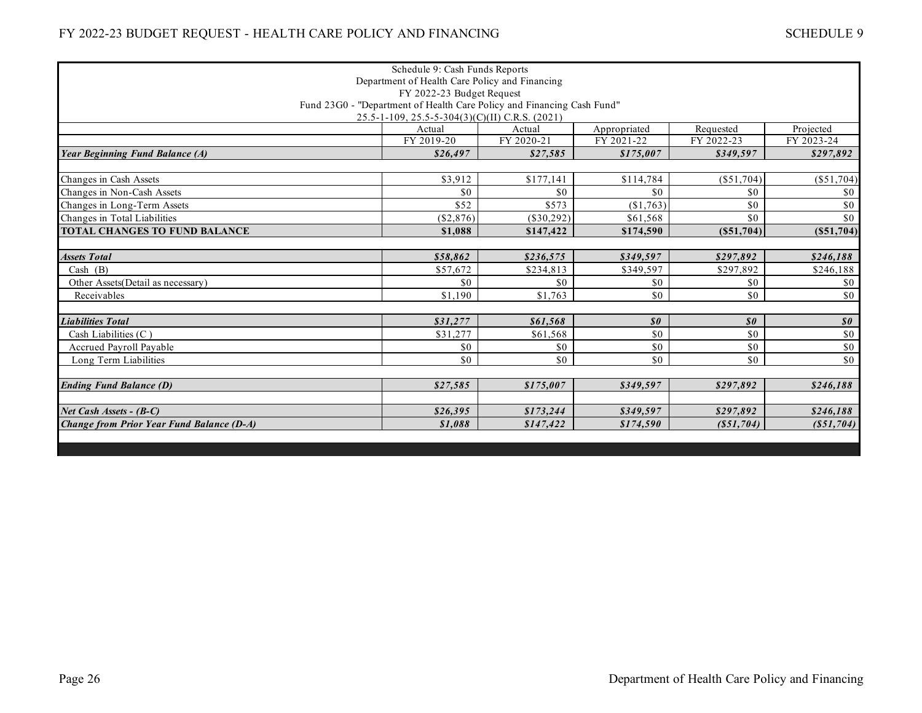|                                                  | Schedule 9: Cash Funds Reports                                         |            |                            |                            |                            |  |  |
|--------------------------------------------------|------------------------------------------------------------------------|------------|----------------------------|----------------------------|----------------------------|--|--|
| Department of Health Care Policy and Financing   |                                                                        |            |                            |                            |                            |  |  |
| FY 2022-23 Budget Request                        |                                                                        |            |                            |                            |                            |  |  |
|                                                  | Fund 23G0 - "Department of Health Care Policy and Financing Cash Fund" |            |                            |                            |                            |  |  |
| 25.5-1-109, 25.5-5-304(3)(C)(II) C.R.S. (2021)   |                                                                        |            |                            |                            |                            |  |  |
|                                                  | Actual                                                                 | Actual     | Appropriated               | Requested                  | Projected                  |  |  |
|                                                  | FY 2019-20                                                             | FY 2020-21 | FY 2021-22                 | FY 2022-23                 | FY 2023-24                 |  |  |
| <b>Year Beginning Fund Balance (A)</b>           | \$26,497                                                               | \$27,585   | \$175,007                  | \$349,597                  | \$297,892                  |  |  |
|                                                  |                                                                        |            |                            |                            |                            |  |  |
| Changes in Cash Assets                           | \$3,912                                                                | \$177,141  | \$114,784                  | $(\$51,704)$               | (S51,704)                  |  |  |
| Changes in Non-Cash Assets                       | \$0                                                                    | \$0        | \$0                        | \$0                        | \$0                        |  |  |
| Changes in Long-Term Assets                      | \$52                                                                   | \$573      | (\$1,763)                  | \$0                        | \$0                        |  |  |
| Changes in Total Liabilities                     | (S2, 876)                                                              | (\$30.292) | \$61.568                   | \$0                        | \$0                        |  |  |
| <b>TOTAL CHANGES TO FUND BALANCE</b>             | \$1,088                                                                | \$147,422  | \$174,590                  | (S51,704)                  | (S51,704)                  |  |  |
|                                                  |                                                                        |            |                            |                            |                            |  |  |
| <b>Assets Total</b>                              | \$58,862                                                               | \$236,575  | \$349,597                  | \$297,892                  | \$246,188                  |  |  |
| Cash (B)                                         | \$57,672                                                               | \$234,813  | \$349,597                  | \$297,892                  | \$246,188                  |  |  |
| Other Assets (Detail as necessary)               | \$0                                                                    | \$0        | \$0                        | \$0                        | \$0                        |  |  |
| Receivables                                      | \$1,190                                                                | \$1,763    | \$0                        | \$0                        | \$0                        |  |  |
|                                                  |                                                                        |            |                            |                            |                            |  |  |
| <b>Liabilities Total</b>                         | \$31,277                                                               | \$61.568   | $\boldsymbol{\mathit{s0}}$ | $\boldsymbol{\mathit{s0}}$ | $\boldsymbol{\mathit{s0}}$ |  |  |
| Cash Liabilities $(C)$                           | \$31,277                                                               | \$61,568   | \$0                        | \$0                        | \$0                        |  |  |
| <b>Accrued Pavroll Pavable</b>                   | \$0                                                                    | \$0        | \$0                        | \$0                        | \$0                        |  |  |
| Long Term Liabilities                            | \$0                                                                    | \$0        | \$0                        | \$0                        | \$0                        |  |  |
|                                                  |                                                                        |            |                            |                            |                            |  |  |
| <b>Ending Fund Balance (D)</b>                   | \$27,585                                                               | \$175,007  | \$349,597                  | \$297,892                  | \$246,188                  |  |  |
|                                                  |                                                                        |            |                            |                            |                            |  |  |
| Net Cash Assets - (B-C)                          | \$26,395                                                               | \$173,244  | \$349,597                  | \$297,892                  | \$246,188                  |  |  |
| <b>Change from Prior Year Fund Balance (D-A)</b> | \$1,088                                                                | \$147,422  | \$174,590                  | (S51,704)                  | (S51,704)                  |  |  |
|                                                  |                                                                        |            |                            |                            |                            |  |  |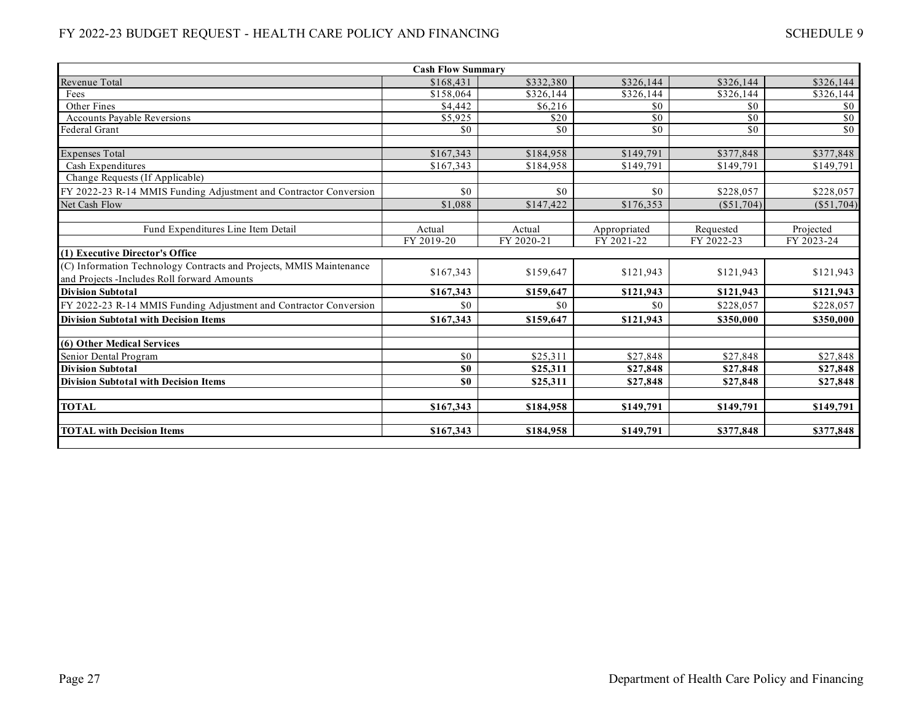| <b>Cash Flow Summary</b>                                            |            |                 |                   |                   |                 |  |  |
|---------------------------------------------------------------------|------------|-----------------|-------------------|-------------------|-----------------|--|--|
| Revenue Total                                                       | \$168,431  | \$332,380       | \$326,144         | \$326.144         | \$326,144       |  |  |
| Fees                                                                | \$158,064  | \$326,144       | $\sqrt{$326,144}$ | $\sqrt{$326,144}$ | \$326,144       |  |  |
| Other Fines                                                         | \$4.442    | \$6,216         | \$0               | \$0               | \$0             |  |  |
| <b>Accounts Payable Reversions</b>                                  | \$5,925    | \$20            | \$0               | \$0               | $\sqrt{50}$     |  |  |
| Federal Grant                                                       | \$0        | $\overline{50}$ | $\overline{50}$   | $\overline{50}$   | $\overline{50}$ |  |  |
| <b>Expenses Total</b>                                               | \$167,343  | \$184,958       | \$149,791         | \$377,848         | \$377,848       |  |  |
| Cash Expenditures                                                   | \$167,343  | \$184,958       | \$149,791         | \$149,791         | \$149,791       |  |  |
| Change Requests (If Applicable)                                     |            |                 |                   |                   |                 |  |  |
| FY 2022-23 R-14 MMIS Funding Adjustment and Contractor Conversion   | \$0        | \$0             | \$0               | \$228,057         | \$228,057       |  |  |
| Net Cash Flow                                                       | \$1,088    | \$147,422       | \$176,353         | (\$51,704)        | $(\$51,704)$    |  |  |
|                                                                     |            |                 |                   |                   |                 |  |  |
| Fund Expenditures Line Item Detail                                  | Actual     | Actual          | Appropriated      | Requested         | Projected       |  |  |
|                                                                     | FY 2019-20 | FY 2020-21      | FY 2021-22        | FY 2022-23        | FY 2023-24      |  |  |
| (1) Executive Director's Office                                     |            |                 |                   |                   |                 |  |  |
| (C) Information Technology Contracts and Projects, MMIS Maintenance | \$167,343  | \$159,647       | \$121,943         | \$121,943         | \$121,943       |  |  |
| and Projects - Includes Roll forward Amounts                        |            |                 |                   |                   |                 |  |  |
| <b>Division Subtotal</b>                                            | \$167,343  | \$159,647       | \$121,943         | \$121,943         | \$121,943       |  |  |
| FY 2022-23 R-14 MMIS Funding Adjustment and Contractor Conversion   | \$0        | \$0             | \$0               | \$228,057         | \$228,057       |  |  |
| <b>Division Subtotal with Decision Items</b>                        | \$167,343  | \$159,647       | \$121,943         | \$350,000         | \$350,000       |  |  |
| (6) Other Medical Services                                          |            |                 |                   |                   |                 |  |  |
| Senior Dental Program                                               | \$0        | \$25,311        | \$27,848          | \$27,848          | \$27,848        |  |  |
| <b>Division Subtotal</b>                                            | \$0        | \$25,311        | \$27,848          | \$27,848          | \$27,848        |  |  |
| <b>Division Subtotal with Decision Items</b>                        | \$0        | \$25,311        | \$27,848          | \$27,848          | \$27,848        |  |  |
| <b>TOTAL</b>                                                        | \$167,343  | \$184,958       | \$149,791         | \$149,791         | \$149,791       |  |  |
| <b>TOTAL with Decision Items</b>                                    | \$167,343  | \$184,958       | \$149,791         | \$377,848         | \$377,848       |  |  |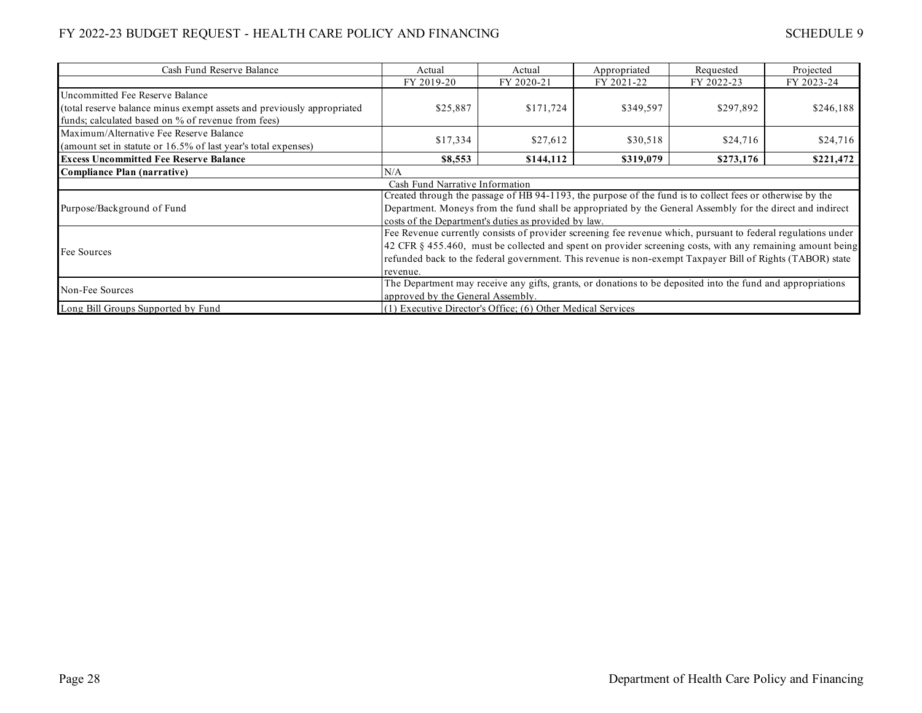| Cash Fund Reserve Balance                                              | Actual                                                                                                        | Actual     | Appropriated | Requested  | Projected  |  |  |
|------------------------------------------------------------------------|---------------------------------------------------------------------------------------------------------------|------------|--------------|------------|------------|--|--|
|                                                                        | FY 2019-20                                                                                                    | FY 2020-21 | FY 2021-22   | FY 2022-23 | FY 2023-24 |  |  |
| Uncommitted Fee Reserve Balance                                        |                                                                                                               |            |              |            |            |  |  |
| (total reserve balance minus exempt assets and previously appropriated | \$25,887                                                                                                      | \$171,724  | \$349,597    | \$297,892  | \$246,188  |  |  |
| funds; calculated based on % of revenue from fees)                     |                                                                                                               |            |              |            |            |  |  |
| Maximum/Alternative Fee Reserve Balance                                |                                                                                                               |            |              |            |            |  |  |
| (amount set in statute or 16.5% of last year's total expenses)         | \$17,334                                                                                                      | \$27,612   | \$30,518     | \$24,716   | \$24,716   |  |  |
| <b>Excess Uncommitted Fee Reserve Balance</b>                          | \$8,553                                                                                                       | \$144,112  | \$319,079    | \$273,176  | \$221,472  |  |  |
| <b>Compliance Plan (narrative)</b>                                     | N/A                                                                                                           |            |              |            |            |  |  |
|                                                                        | Cash Fund Narrative Information                                                                               |            |              |            |            |  |  |
|                                                                        | Created through the passage of HB 94-1193, the purpose of the fund is to collect fees or otherwise by the     |            |              |            |            |  |  |
| Purpose/Background of Fund                                             | Department. Moneys from the fund shall be appropriated by the General Assembly for the direct and indirect    |            |              |            |            |  |  |
|                                                                        | costs of the Department's duties as provided by law.                                                          |            |              |            |            |  |  |
|                                                                        | Fee Revenue currently consists of provider screening fee revenue which, pursuant to federal regulations under |            |              |            |            |  |  |
| Fee Sources                                                            | 42 CFR § 455.460, must be collected and spent on provider screening costs, with any remaining amount being    |            |              |            |            |  |  |
|                                                                        | refunded back to the federal government. This revenue is non-exempt Taxpayer Bill of Rights (TABOR) state     |            |              |            |            |  |  |
|                                                                        | revenue.                                                                                                      |            |              |            |            |  |  |
| Non-Fee Sources                                                        | The Department may receive any gifts, grants, or donations to be deposited into the fund and appropriations   |            |              |            |            |  |  |
|                                                                        | approved by the General Assembly.                                                                             |            |              |            |            |  |  |
| Long Bill Groups Supported by Fund                                     | $(1)$ Executive Director's Office; $(6)$ Other Medical Services                                               |            |              |            |            |  |  |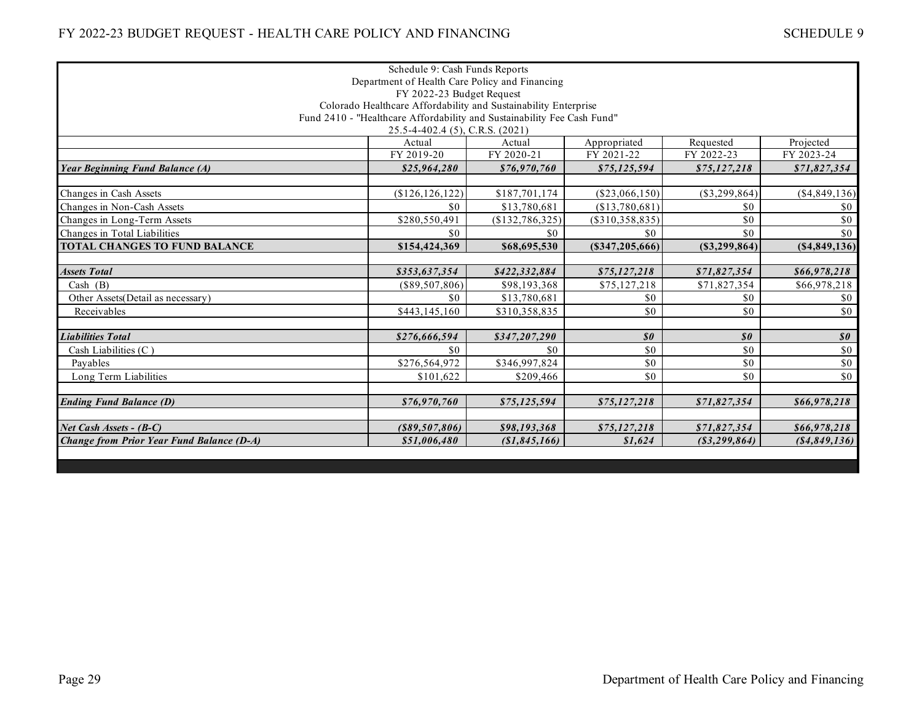|                                                | Schedule 9: Cash Funds Reports                                          |                 |                            |                            |                            |  |  |
|------------------------------------------------|-------------------------------------------------------------------------|-----------------|----------------------------|----------------------------|----------------------------|--|--|
| Department of Health Care Policy and Financing |                                                                         |                 |                            |                            |                            |  |  |
| FY 2022-23 Budget Request                      |                                                                         |                 |                            |                            |                            |  |  |
|                                                | Colorado Healthcare Affordability and Sustainability Enterprise         |                 |                            |                            |                            |  |  |
|                                                | Fund 2410 - "Healthcare Affordability and Sustainability Fee Cash Fund" |                 |                            |                            |                            |  |  |
|                                                | 25.5-4-402.4 (5), C.R.S. (2021)                                         |                 |                            |                            |                            |  |  |
|                                                | Actual                                                                  | Actual          | Appropriated               | Requested                  | Projected                  |  |  |
|                                                | FY 2019-20                                                              | FY 2020-21      | FY 2021-22                 | FY 2022-23                 | FY 2023-24                 |  |  |
| <b>Year Beginning Fund Balance (A)</b>         | \$25,964,280                                                            | \$76,970,760    | \$75,125,594               | \$75,127,218               | \$71,827,354               |  |  |
|                                                |                                                                         |                 |                            |                            |                            |  |  |
| Changes in Cash Assets                         | (\$126, 126, 122)                                                       | \$187,701,174   | $(\$23,066,150)$           | $(\$3,299,864)$            | (\$4,849,136)              |  |  |
| Changes in Non-Cash Assets                     | \$0                                                                     | \$13,780,681    | (\$13,780,681)             | \$0                        | \$0                        |  |  |
| Changes in Long-Term Assets                    | \$280,550,491                                                           | (\$132,786,325) | (S310, 358, 835)           | \$0                        | \$0                        |  |  |
| Changes in Total Liabilities                   | \$0                                                                     | \$0             | \$0                        | \$0                        | \$0                        |  |  |
| <b>TOTAL CHANGES TO FUND BALANCE</b>           | \$154,424,369                                                           | \$68,695,530    | (\$347,205,666)            | (S3, 299, 864)             | (S4, 849, 136)             |  |  |
|                                                |                                                                         |                 |                            |                            |                            |  |  |
| <b>Assets Total</b>                            | \$353,637,354                                                           | \$422,332,884   | \$75,127,218               | \$71,827,354               | \$66,978,218               |  |  |
| Cash $(B)$                                     | $(\$89,507,806)$                                                        | \$98,193,368    | \$75,127,218               | \$71,827,354               | \$66,978,218               |  |  |
| Other Assets(Detail as necessary)              | \$0                                                                     | \$13,780,681    | \$0                        | \$0                        | \$0                        |  |  |
| Receivables                                    | \$443,145,160                                                           | \$310,358,835   | \$0                        | \$0                        | \$0                        |  |  |
|                                                |                                                                         |                 |                            |                            |                            |  |  |
| <b>Liabilities Total</b>                       | \$276,666,594                                                           | \$347,207,290   | $\boldsymbol{\mathit{s0}}$ | $\boldsymbol{\mathit{s0}}$ | $\boldsymbol{\mathit{s0}}$ |  |  |
| Cash Liabilities $(C)$                         | \$0                                                                     | \$0             | \$0                        | \$0                        | \$0                        |  |  |
| Pavables                                       | \$276,564,972                                                           | \$346,997,824   | \$0                        | \$0                        | \$0                        |  |  |
| Long Term Liabilities                          | \$101,622                                                               | \$209,466       | \$0                        | \$0                        | \$0                        |  |  |
|                                                |                                                                         |                 |                            |                            |                            |  |  |
| <b>Ending Fund Balance (D)</b>                 | \$76,970,760                                                            | \$75,125,594    | \$75,127,218               | \$71,827,354               | \$66,978,218               |  |  |
| Net Cash Assets - (B-C)                        | $($ \$89,507,806)                                                       | \$98,193,368    | \$75,127,218               | \$71,827,354               | \$66,978,218               |  |  |
| Change from Prior Year Fund Balance (D-A)      | \$51,006,480                                                            | (\$1,845,166)   | \$1,624                    | $($ \$3,299,864 $)$        | ( \$4,849,136)             |  |  |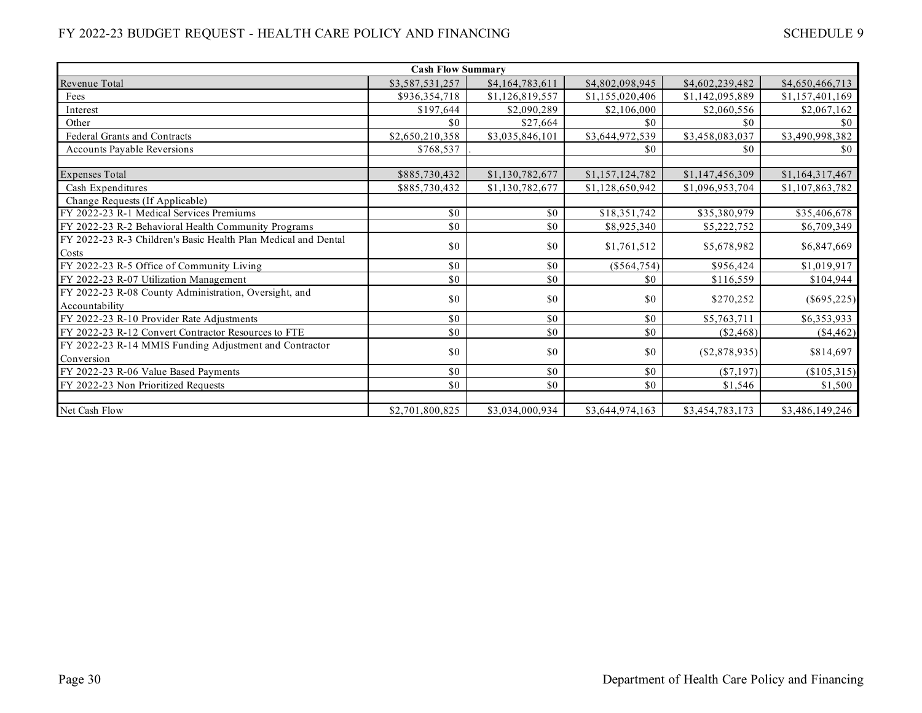| <b>Cash Flow Summary</b>                                       |                 |                 |                 |                 |                 |  |  |
|----------------------------------------------------------------|-----------------|-----------------|-----------------|-----------------|-----------------|--|--|
| Revenue Total                                                  | \$3,587,531,257 | \$4,164,783,611 | \$4,802,098,945 | \$4,602,239,482 | \$4,650,466,713 |  |  |
| Fees                                                           | \$936,354,718   | \$1,126,819,557 | \$1,155,020,406 | \$1,142,095,889 | \$1,157,401,169 |  |  |
| Interest                                                       | \$197,644       | \$2,090,289     | \$2,106,000     | \$2,060,556     | \$2,067,162     |  |  |
| Other                                                          | \$0             | \$27,664        | \$0             | \$0             | \$0             |  |  |
| <b>Federal Grants and Contracts</b>                            | \$2,650,210,358 | \$3,035,846,101 | \$3,644,972,539 | \$3,458,083,037 | \$3,490,998,382 |  |  |
| <b>Accounts Payable Reversions</b>                             | \$768,537       |                 | \$0             | \$0             | \$0             |  |  |
|                                                                |                 |                 |                 |                 |                 |  |  |
| <b>Expenses Total</b>                                          | \$885,730,432   | \$1,130,782,677 | \$1,157,124,782 | \$1,147,456,309 | \$1,164,317,467 |  |  |
| Cash Expenditures                                              | \$885,730,432   | \$1,130,782,677 | \$1,128,650,942 | \$1,096,953,704 | \$1,107,863,782 |  |  |
| Change Requests (If Applicable)                                |                 |                 |                 |                 |                 |  |  |
| FY 2022-23 R-1 Medical Services Premiums                       | \$0             | \$0             | \$18,351,742    | \$35,380,979    | \$35,406,678    |  |  |
| FY 2022-23 R-2 Behavioral Health Community Programs            | \$0             | \$0             | \$8,925,340     | \$5,222,752     | \$6,709,349     |  |  |
| FY 2022-23 R-3 Children's Basic Health Plan Medical and Dental | \$0             | \$0             | \$1,761,512     | \$5,678,982     | \$6,847,669     |  |  |
| Costs                                                          |                 |                 |                 |                 |                 |  |  |
| FY 2022-23 R-5 Office of Community Living                      | \$0             | \$0             | $(\$564,754)$   | \$956,424       | \$1,019,917     |  |  |
| FY 2022-23 R-07 Utilization Management                         | \$0             | \$0             | \$0             | \$116,559       | \$104,944       |  |  |
| FY 2022-23 R-08 County Administration, Oversight, and          | \$0             | \$0             | \$0             | \$270,252       | $(\$695,225)$   |  |  |
| Accountability                                                 |                 |                 |                 |                 |                 |  |  |
| FY 2022-23 R-10 Provider Rate Adjustments                      | \$0             | \$0             | \$0             | \$5,763,711     | \$6,353,933     |  |  |
| FY 2022-23 R-12 Convert Contractor Resources to FTE            | \$0             | \$0             | \$0             | $(\$2,468)$     | (\$4,462)       |  |  |
| FY 2022-23 R-14 MMIS Funding Adjustment and Contractor         | \$0             | \$0             | \$0             |                 |                 |  |  |
| Conversion                                                     |                 |                 |                 | (\$2,878,935)   | \$814,697       |  |  |
| FY 2022-23 R-06 Value Based Payments                           | \$0             | \$0             | \$0             | $(\$7,197)$     | (\$105,315)     |  |  |
| FY 2022-23 Non Prioritized Requests                            | \$0             | \$0             | \$0             | \$1,546         | \$1,500         |  |  |
|                                                                |                 |                 |                 |                 |                 |  |  |
| Net Cash Flow                                                  | \$2,701,800,825 | \$3,034,000,934 | \$3,644,974,163 | \$3,454,783,173 | \$3,486,149,246 |  |  |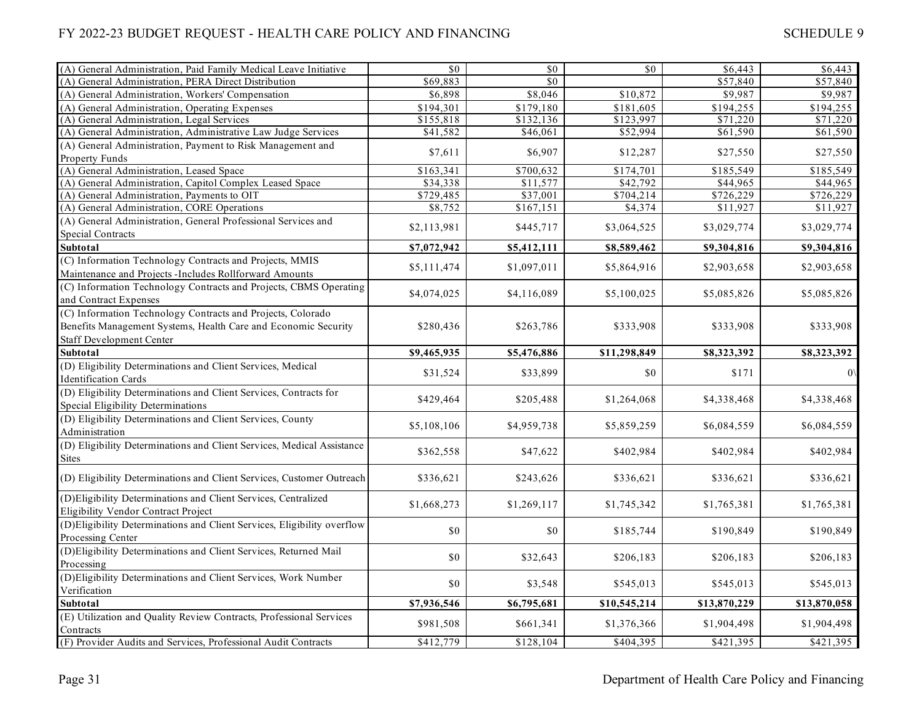| (A) General Administration, Paid Family Medical Leave Initiative                                      | \$0         | \$0         | \$0          | \$6,443      | \$6,443      |
|-------------------------------------------------------------------------------------------------------|-------------|-------------|--------------|--------------|--------------|
| (A) General Administration, PERA Direct Distribution                                                  | \$69,883    | \$0         |              | \$57,840     | \$57,840     |
| (A) General Administration, Workers' Compensation                                                     | \$6,898     | \$8,046     | \$10,872     | \$9,987      | \$9,987      |
| (A) General Administration, Operating Expenses                                                        | \$194,301   | \$179,180   | \$181,605    | \$194,255    | \$194,255    |
| (A) General Administration, Legal Services                                                            | \$155,818   | \$132,136   | \$123,997    | \$71,220     | \$71,220     |
| (A) General Administration, Administrative Law Judge Services                                         | \$41,582    | \$46,061    | \$52,994     | \$61,590     | \$61,590     |
| (A) General Administration, Payment to Risk Management and                                            | \$7,611     | \$6,907     | \$12,287     | \$27,550     | \$27,550     |
| Property Funds                                                                                        |             |             |              |              |              |
| (A) General Administration, Leased Space                                                              | \$163,341   | \$700,632   | \$174,701    | \$185,549    | \$185,549    |
| (A) General Administration, Capitol Complex Leased Space                                              | \$34,338    | \$11,577    | \$42,792     | \$44,965     | \$44,965     |
| (A) General Administration, Payments to OIT                                                           | \$729,485   | \$37,001    | \$704,214    | \$726,229    | \$726,229    |
| (A) General Administration, CORE Operations                                                           | \$8,752     | \$167,151   | \$4,374      | \$11,927     | \$11,927     |
| (A) General Administration, General Professional Services and<br><b>Special Contracts</b>             | \$2,113,981 | \$445,717   | \$3,064,525  | \$3,029,774  | \$3,029,774  |
| Subtotal                                                                                              | \$7,072,942 | \$5,412,111 | \$8,589,462  | \$9,304,816  | \$9,304,816  |
| (C) Information Technology Contracts and Projects, MMIS                                               |             |             |              |              |              |
| Maintenance and Projects -Includes Rollforward Amounts                                                | \$5,111,474 | \$1,097,011 | \$5,864,916  | \$2,903,658  | \$2,903,658  |
| (C) Information Technology Contracts and Projects, CBMS Operating                                     |             |             |              |              |              |
| and Contract Expenses                                                                                 | \$4,074,025 | \$4,116,089 | \$5,100,025  | \$5,085,826  | \$5,085,826  |
| (C) Information Technology Contracts and Projects, Colorado                                           |             |             |              |              |              |
| Benefits Management Systems, Health Care and Economic Security                                        | \$280,436   | \$263,786   | \$333,908    | \$333,908    | \$333,908    |
| <b>Staff Development Center</b>                                                                       |             |             |              |              |              |
| Subtotal                                                                                              | \$9,465,935 | \$5,476,886 | \$11,298,849 | \$8,323,392  | \$8,323,392  |
| (D) Eligibility Determinations and Client Services, Medical<br><b>Identification Cards</b>            | \$31,524    | \$33,899    | \$0          | \$171        |              |
| (D) Eligibility Determinations and Client Services, Contracts for                                     |             |             |              |              |              |
| <b>Special Eligibility Determinations</b>                                                             | \$429,464   | \$205,488   | \$1,264,068  | \$4,338,468  | \$4,338,468  |
| (D) Eligibility Determinations and Client Services, County<br>Administration                          | \$5,108,106 | \$4,959,738 | \$5,859,259  | \$6,084,559  | \$6,084,559  |
| (D) Eligibility Determinations and Client Services, Medical Assistance                                | \$362,558   | \$47,622    | \$402,984    | \$402,984    | \$402,984    |
| <b>Sites</b>                                                                                          |             |             |              |              |              |
| (D) Eligibility Determinations and Client Services, Customer Outreach                                 | \$336,621   | \$243,626   | \$336,621    | \$336,621    | \$336,621    |
| (D)Eligibility Determinations and Client Services, Centralized<br>Eligibility Vendor Contract Project | \$1,668,273 | \$1,269,117 | \$1,745,342  | \$1,765,381  | \$1,765,381  |
| (D) Eligibility Determinations and Client Services, Eligibility overflow                              |             |             |              |              |              |
| Processing Center                                                                                     | \$0         | \$0         | \$185,744    | \$190,849    | \$190,849    |
| (D)Eligibility Determinations and Client Services, Returned Mail                                      | \$0         | \$32,643    | \$206,183    | \$206,183    | \$206,183    |
| Processing                                                                                            |             |             |              |              |              |
| (D)Eligibility Determinations and Client Services, Work Number                                        | \$0         | \$3,548     | \$545,013    | \$545,013    | \$545,013    |
| Verification                                                                                          |             |             |              |              |              |
| Subtotal                                                                                              | \$7,936,546 | \$6,795,681 | \$10,545,214 | \$13,870,229 | \$13,870,058 |
| (E) Utilization and Quality Review Contracts, Professional Services                                   | \$981,508   | \$661,341   | \$1,376,366  | \$1,904,498  | \$1,904,498  |
| Contracts<br>(F) Provider Audits and Services, Professional Audit Contracts                           | \$412,779   | \$128,104   | \$404,395    | \$421,395    | \$421,395    |
|                                                                                                       |             |             |              |              |              |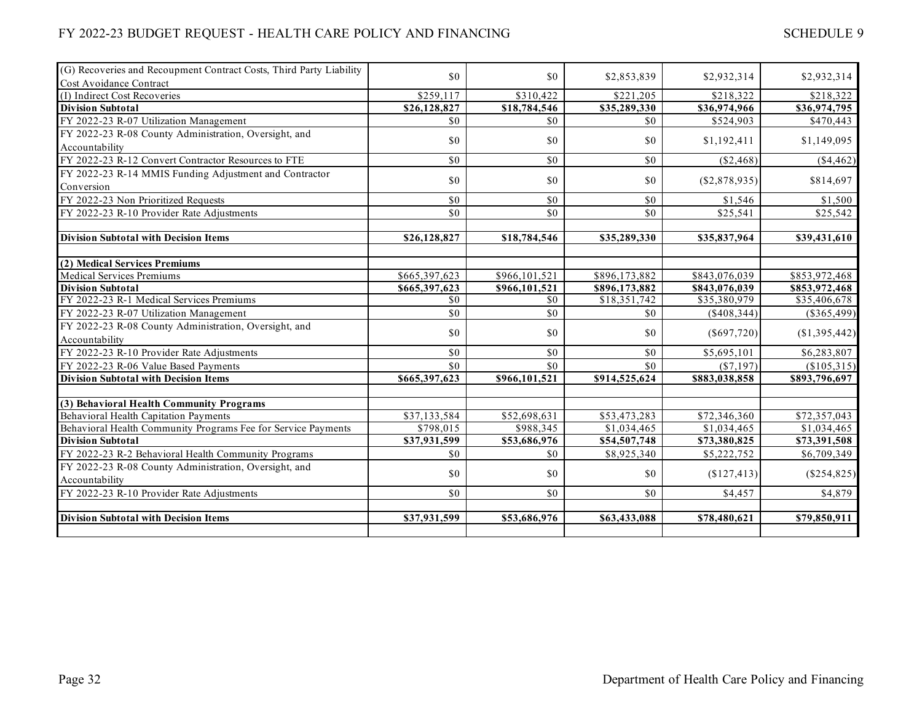#### (G) Recoveries and Recoupment Contract Costs, Third Party Liability Cost Avoidance Contract \$0 \$0 \$2,853,839 \$2,932,314 \$2,932,314 (I) Indirect Cost Recoveries 6218,322 \$218,322 \$218,322 \$218,322 \$218,322 \$218,322 \$218,322 \$218,322 \$218,322 \$218,322 \$218,322 \$218,322 \$218,322 \$218,322 \$218,322 \$218,322 \$218,322 \$218,322 \$218,322 \$218,322 \$218,322 \$218 **Division Subtotal \$26,128,827 \$18,784,546 \$35,289,330 \$36,974,966 \$36,974,795** FY 2022-23 R-07 Utilization Management **\$0** \$0 \$0 \$0 \$0 \$524,903 \$524,903 \$470,443 FY 2022-23 R-08 County Administration, Oversight, and Accountability **1.149,095 1.149,095 80 80 80 81,192,411 81,149,095** FY 2022-23 R-12 Convert Contractor Resources to FTE  $\overline{50}$   $\overline{50}$   $\overline{50}$   $\overline{50}$   $\overline{50}$   $\overline{50}$   $\overline{50}$   $\overline{50}$   $\overline{50}$   $\overline{50}$   $\overline{50}$   $\overline{50}$   $\overline{50}$   $\overline{50}$   $\overline{50}$   $\overline{50}$   $\overline{50}$ FY 2022-23 R-14 MMIS Funding Adjustment and Contractor Conversion  $\begin{bmatrix} 12022 & 2546 & 14604 & 1406 & 1406 & 1406 & 1406 & 1406 & 1406 & 1406 & 1406 & 1406 & 1406 & 1406 & 1406 & 1406 & 1406 & 1406 & 1406 & 1406 & 1406 & 1406 & 1406 & 1406 & 1406 & 1406 & 1406 & 1406 & 1406 & 1406 & 1406 & 1406 & 1406 & 14$ FY 2022-23 Non Prioritized Requests  $\begin{array}{ccc} 1 & 0 & 0 \\ 0 & 0 & 0 \\ 0 & 0 & 0 \end{array}$   $\begin{array}{ccc} 80 & 0 & 0 \\ 0 & 0 & 0 \\ 0 & 0 & 0 \end{array}$ FY 2022-23 R-10 Provider Rate Adjustments  $\begin{array}{ccc} 80 & 80 & 80 \\ 25.542 & 25.542 & 25.542 \end{array}$ **Division Subtotal with Decision Items \$26,128,827 \$18,784,546 \$35,289,330 \$35,837,964 \$39,431,610 (2) Medical Services Premiums** Medical Services Premiums 6653,972,468 \$965,397,623 \$966,101,521 \$896,173,882 \$843,076,039 \$853,972,468 **Division Subtotal \$665,397,623 \$966,101,521 \$896,173,882 \$843,076,039 \$853,972,468** FY 2022-23 R-1 Medical Services Premiums **\$0** \$0 \$0 \$18,351,742 \$35,380,979 \$35,406,678 FY 2022-23 R-07 Utilization Management \$0 \$0 \$0 (\$408,344) (\$365,499) FY 2022-23 R-08 County Administration, Oversight, and  $\begin{bmatrix} 1 & 2022 & -25 \\ 0 & 0 & 0 \end{bmatrix}$  (\$697,720) (\$1,395,442)<br>Accountability (\$1,395,442) FY 2022-23 R-10 Provider Rate Adjustments  $$80$   $$80$   $$80$   $$80$   $$85,695,101$   $$6,283,807$ FY 2022-23 R-06 Value Based Payments \$0 \$0 \$0 (\$7,197) (\$105,315) **Division Subtotal with Decision Items \$665,397,623 \$966,101,521 \$914,525,624 \$883,038,858 \$893,796,697 (3) Behavioral Health Community Programs** Behavioral Health Capitation Payments **52.698,631** \$37,133,584 \$52,698,631 \$53,473,283 \$72,346,360 \$72,357,043 Behavioral Health Community Programs Fee for Service Payments **\$2988,015** \$988,345 \$1,034,465 \$1,034,465 \$1,034,465 **Division Subtotal \$37,931,599 \$53,686,976 \$54,507,748 \$73,380,825 \$73,391,508** FY 2022-23 R-2 Behavioral Health Community Programs \$0 \$0 \$8,925,340 \$5,222,752 \$6,709,349 FY 2022-23 R-08 County Administration, Oversight, and  $\begin{bmatrix} 1 & 2022 & -25 \\ 0 & 0 & 0 \end{bmatrix}$  (\$127,413) (\$254,825)<br>Accountability (\$254,825) FY 2022-23 R-10 Provider Rate Adjustments  $$80$   $$80$   $$80$   $$9$   $$4,457$   $$4,879$ **Division Subtotal with Decision Items \$37,931,599 \$53,686,976 \$63,433,088 \$78,480,621 \$79,850,911**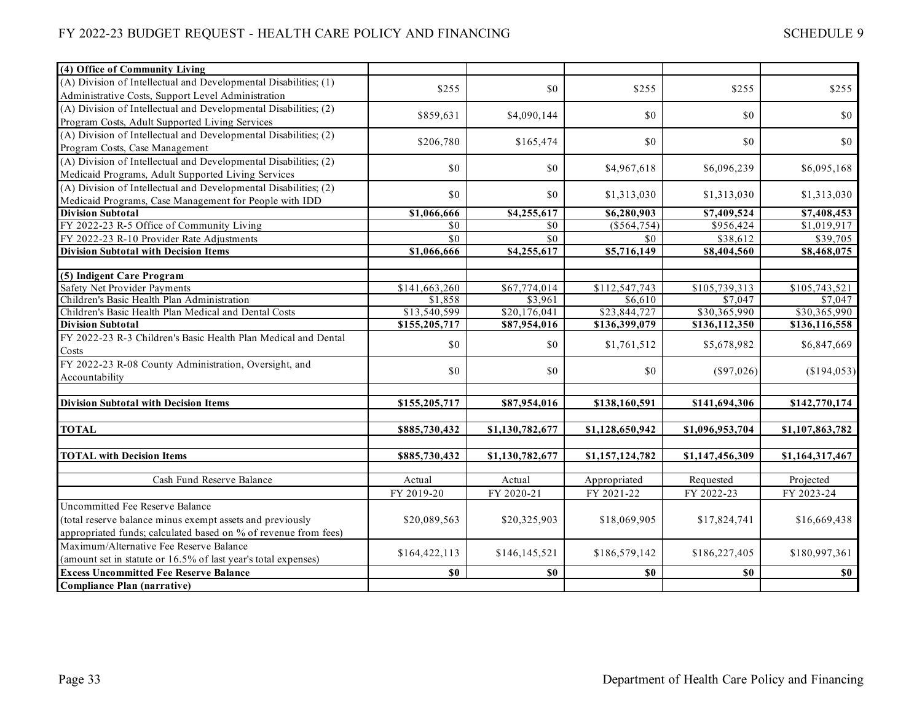| (4) Office of Community Living                                   |               |                 |                 |                 |                 |
|------------------------------------------------------------------|---------------|-----------------|-----------------|-----------------|-----------------|
| (A) Division of Intellectual and Developmental Disabilities; (1) |               |                 |                 |                 |                 |
| Administrative Costs, Support Level Administration               | \$255         | \$0             | \$255           | \$255           | \$255           |
| (A) Division of Intellectual and Developmental Disabilities; (2) |               |                 |                 |                 |                 |
| Program Costs, Adult Supported Living Services                   | \$859,631     | \$4,090,144     | \$0             | \$0             | \$0             |
| (A) Division of Intellectual and Developmental Disabilities; (2) |               |                 |                 |                 |                 |
| Program Costs, Case Management                                   | \$206,780     | \$165,474       | \$0             | \$0             | \$0             |
| (A) Division of Intellectual and Developmental Disabilities; (2) | \$0           | \$0             |                 |                 |                 |
| Medicaid Programs, Adult Supported Living Services               |               |                 | \$4,967,618     | \$6,096,239     | \$6,095,168     |
| (A) Division of Intellectual and Developmental Disabilities; (2) |               |                 |                 |                 |                 |
| Medicaid Programs, Case Management for People with IDD           | \$0           | \$0             | \$1,313,030     | \$1,313,030     | \$1,313,030     |
| <b>Division Subtotal</b>                                         | \$1,066,666   | \$4,255,617     | \$6,280,903     | \$7,409,524     | \$7,408,453     |
| FY 2022-23 R-5 Office of Community Living                        | \$0           | \$0             | $(\$564,754)$   | \$956,424       | \$1,019,917     |
| FY 2022-23 R-10 Provider Rate Adjustments                        | \$0           | \$0             | \$0             | \$38,612        | \$39,705        |
| <b>Division Subtotal with Decision Items</b>                     | \$1,066,666   | \$4,255,617     | \$5,716,149     | \$8,404,560     | \$8,468,075     |
|                                                                  |               |                 |                 |                 |                 |
| (5) Indigent Care Program                                        |               |                 |                 |                 |                 |
| Safety Net Provider Payments                                     | \$141,663,260 | \$67,774,014    | \$112,547,743   | \$105,739,313   | \$105,743,521   |
| Children's Basic Health Plan Administration                      | \$1,858       | \$3,961         | \$6,610         | \$7,047         | \$7,047         |
| Children's Basic Health Plan Medical and Dental Costs            | \$13,540,599  | \$20,176,041    | \$23,844,727    | \$30,365,990    | \$30,365,990    |
| <b>Division Subtotal</b>                                         | \$155,205,717 | \$87,954,016    | \$136,399,079   | \$136,112,350   | \$136,116,558   |
| FY 2022-23 R-3 Children's Basic Health Plan Medical and Dental   | \$0           | \$0             | \$1,761,512     | \$5,678,982     | \$6,847,669     |
| Costs                                                            |               |                 |                 |                 |                 |
| FY 2022-23 R-08 County Administration, Oversight, and            | \$0           | \$0             | \$0             | $(\$97,026)$    | (\$194,053)     |
| Accountability                                                   |               |                 |                 |                 |                 |
| <b>Division Subtotal with Decision Items</b>                     | \$155,205,717 | \$87,954,016    | \$138,160,591   | \$141,694,306   | \$142,770,174   |
|                                                                  |               |                 |                 |                 |                 |
| <b>TOTAL</b>                                                     | \$885,730,432 | \$1,130,782,677 | \$1,128,650,942 | \$1,096,953,704 | \$1,107,863,782 |
|                                                                  |               |                 |                 |                 |                 |
| <b>TOTAL with Decision Items</b>                                 | \$885,730,432 | \$1,130,782,677 | \$1,157,124,782 | \$1,147,456,309 | \$1,164,317,467 |
|                                                                  |               |                 |                 |                 |                 |
| Cash Fund Reserve Balance                                        | Actual        | Actual          | Appropriated    | Requested       | Projected       |
|                                                                  | FY 2019-20    | FY 2020-21      | FY 2021-22      | FY 2022-23      | FY 2023-24      |
| Uncommitted Fee Reserve Balance                                  |               |                 |                 |                 |                 |
| (total reserve balance minus exempt assets and previously        | \$20,089,563  | \$20,325,903    | \$18,069,905    | \$17,824,741    | \$16,669,438    |
| appropriated funds; calculated based on % of revenue from fees)  |               |                 |                 |                 |                 |
| Maximum/Alternative Fee Reserve Balance                          | \$164,422,113 | \$146,145,521   | \$186,579,142   | \$186,227,405   | \$180,997,361   |
| (amount set in statute or 16.5% of last year's total expenses)   |               |                 |                 |                 |                 |
| <b>Excess Uncommitted Fee Reserve Balance</b>                    | \$0           | \$0             | \$0             | \$0             | \$0             |
| Compliance Plan (narrative)                                      |               |                 |                 |                 |                 |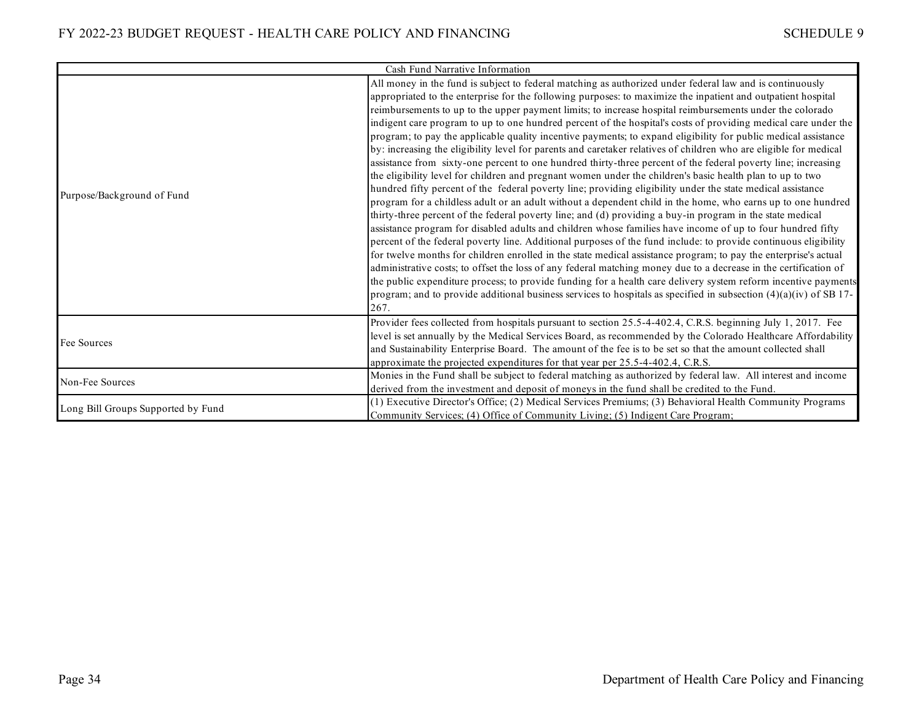|                                    | Cash Fund Narrative Information                                                                                                                                                                                                                                                                                                                                                                                                                                                                                                                                                                                                                                                                                                                                                                                                                                                                                                                                                                                                                                                                                                                                                                                                                                                                                                                                                                                                                                                                                                                                                                                                                                                                                                                                                                                                                                                                                                                                                                  |
|------------------------------------|--------------------------------------------------------------------------------------------------------------------------------------------------------------------------------------------------------------------------------------------------------------------------------------------------------------------------------------------------------------------------------------------------------------------------------------------------------------------------------------------------------------------------------------------------------------------------------------------------------------------------------------------------------------------------------------------------------------------------------------------------------------------------------------------------------------------------------------------------------------------------------------------------------------------------------------------------------------------------------------------------------------------------------------------------------------------------------------------------------------------------------------------------------------------------------------------------------------------------------------------------------------------------------------------------------------------------------------------------------------------------------------------------------------------------------------------------------------------------------------------------------------------------------------------------------------------------------------------------------------------------------------------------------------------------------------------------------------------------------------------------------------------------------------------------------------------------------------------------------------------------------------------------------------------------------------------------------------------------------------------------|
| Purpose/Background of Fund         | All money in the fund is subject to federal matching as authorized under federal law and is continuously<br>appropriated to the enterprise for the following purposes: to maximize the inpatient and outpatient hospital<br>reimbursements to up to the upper payment limits; to increase hospital reimbursements under the colorado<br>indigent care program to up to one hundred percent of the hospital's costs of providing medical care under the<br>program; to pay the applicable quality incentive payments; to expand eligibility for public medical assistance<br>by: increasing the eligibility level for parents and caretaker relatives of children who are eligible for medical<br>assistance from sixty-one percent to one hundred thirty-three percent of the federal poverty line; increasing<br>the eligibility level for children and pregnant women under the children's basic health plan to up to two<br>hundred fifty percent of the federal poverty line; providing eligibility under the state medical assistance<br>program for a childless adult or an adult without a dependent child in the home, who earns up to one hundred<br>thirty-three percent of the federal poverty line; and (d) providing a buy-in program in the state medical<br>assistance program for disabled adults and children whose families have income of up to four hundred fifty<br>percent of the federal poverty line. Additional purposes of the fund include: to provide continuous eligibility<br>for twelve months for children enrolled in the state medical assistance program; to pay the enterprise's actual<br>administrative costs; to offset the loss of any federal matching money due to a decrease in the certification of<br>the public expenditure process; to provide funding for a health care delivery system reform incentive payments<br>program; and to provide additional business services to hospitals as specified in subsection $(4)(a)(iv)$ of SB 17-<br>267. |
| Fee Sources                        | Provider fees collected from hospitals pursuant to section 25.5-4-402.4, C.R.S. beginning July 1, 2017. Fee<br>level is set annually by the Medical Services Board, as recommended by the Colorado Healthcare Affordability<br>and Sustainability Enterprise Board. The amount of the fee is to be set so that the amount collected shall<br>approximate the projected expenditures for that year per 25.5-4-402.4, C.R.S.                                                                                                                                                                                                                                                                                                                                                                                                                                                                                                                                                                                                                                                                                                                                                                                                                                                                                                                                                                                                                                                                                                                                                                                                                                                                                                                                                                                                                                                                                                                                                                       |
| Non-Fee Sources                    | Monies in the Fund shall be subject to federal matching as authorized by federal law. All interest and income<br>derived from the investment and deposit of moneys in the fund shall be credited to the Fund.                                                                                                                                                                                                                                                                                                                                                                                                                                                                                                                                                                                                                                                                                                                                                                                                                                                                                                                                                                                                                                                                                                                                                                                                                                                                                                                                                                                                                                                                                                                                                                                                                                                                                                                                                                                    |
| Long Bill Groups Supported by Fund | (1) Executive Director's Office; (2) Medical Services Premiums; (3) Behavioral Health Community Programs<br>Community Services; (4) Office of Community Living; (5) Indigent Care Program;                                                                                                                                                                                                                                                                                                                                                                                                                                                                                                                                                                                                                                                                                                                                                                                                                                                                                                                                                                                                                                                                                                                                                                                                                                                                                                                                                                                                                                                                                                                                                                                                                                                                                                                                                                                                       |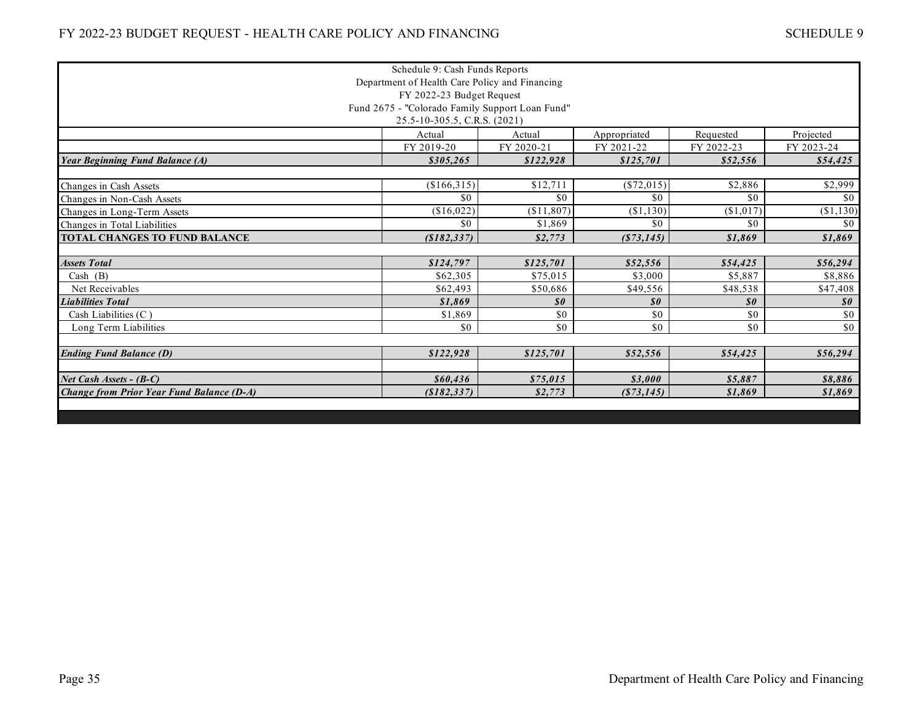|                                                  | Schedule 9: Cash Funds Reports                  |                            |                            |                            |                            |  |  |
|--------------------------------------------------|-------------------------------------------------|----------------------------|----------------------------|----------------------------|----------------------------|--|--|
|                                                  | Department of Health Care Policy and Financing  |                            |                            |                            |                            |  |  |
|                                                  | FY 2022-23 Budget Request                       |                            |                            |                            |                            |  |  |
|                                                  | Fund 2675 - "Colorado Family Support Loan Fund" |                            |                            |                            |                            |  |  |
| 25.5-10-305.5, C.R.S. (2021)                     |                                                 |                            |                            |                            |                            |  |  |
|                                                  | Actual                                          | Actual                     | Appropriated               | Requested                  | Projected                  |  |  |
|                                                  | FY 2019-20                                      | FY 2020-21                 | FY 2021-22                 | FY 2022-23                 | FY 2023-24                 |  |  |
| <b>Year Beginning Fund Balance (A)</b>           | \$305,265                                       | \$122,928                  | \$125,701                  | \$52,556                   | \$54,425                   |  |  |
|                                                  |                                                 |                            |                            |                            |                            |  |  |
| Changes in Cash Assets                           | (\$166,315)                                     | \$12,711                   | (\$72,015)                 | \$2,886                    | \$2,999                    |  |  |
| Changes in Non-Cash Assets                       | \$0                                             | \$0                        | \$0                        | \$0                        | \$0                        |  |  |
| Changes in Long-Term Assets                      | (\$16,022)                                      | (\$11,807)                 | (\$1,130)                  | (\$1,017)                  | (\$1,130)                  |  |  |
| Changes in Total Liabilities                     | \$0                                             | \$1,869                    | \$0                        | \$0                        | \$0                        |  |  |
| <b>TOTAL CHANGES TO FUND BALANCE</b>             | (\$182,337)                                     | \$2,773                    | (S73, 145)                 | \$1,869                    | \$1,869                    |  |  |
|                                                  |                                                 |                            |                            |                            |                            |  |  |
| <b>Assets Total</b>                              | \$124,797                                       | \$125,701                  | \$52,556                   | \$54,425                   | \$56,294                   |  |  |
| Cash (B)                                         | \$62,305                                        | \$75,015                   | \$3,000                    | \$5,887                    | \$8,886                    |  |  |
| Net Receivables                                  | \$62,493                                        | \$50,686                   | \$49,556                   | \$48,538                   | \$47,408                   |  |  |
| <b>Liabilities Total</b>                         | \$1,869                                         | $\boldsymbol{\mathit{s0}}$ | $\boldsymbol{\mathit{s0}}$ | $\boldsymbol{\mathit{s0}}$ | $\boldsymbol{\mathit{s0}}$ |  |  |
| Cash Liabilities (C)                             | \$1,869                                         | \$0                        | \$0                        | \$0                        | \$0                        |  |  |
| Long Term Liabilities                            | \$0                                             | \$0                        | \$0                        | \$0                        | \$0                        |  |  |
|                                                  |                                                 |                            |                            |                            |                            |  |  |
| <b>Ending Fund Balance (D)</b>                   | \$122,928                                       | \$125,701                  | \$52,556                   | \$54,425                   | \$56,294                   |  |  |
|                                                  |                                                 |                            |                            |                            |                            |  |  |
| Net Cash Assets - $(B-C)$                        | \$60,436                                        | \$75,015                   | \$3,000                    | \$5,887                    | \$8,886                    |  |  |
| <b>Change from Prior Year Fund Balance (D-A)</b> | ( \$182, 337)                                   | \$2,773                    | (S73, 145)                 | \$1,869                    | \$1,869                    |  |  |
|                                                  |                                                 |                            |                            |                            |                            |  |  |
|                                                  |                                                 |                            |                            |                            |                            |  |  |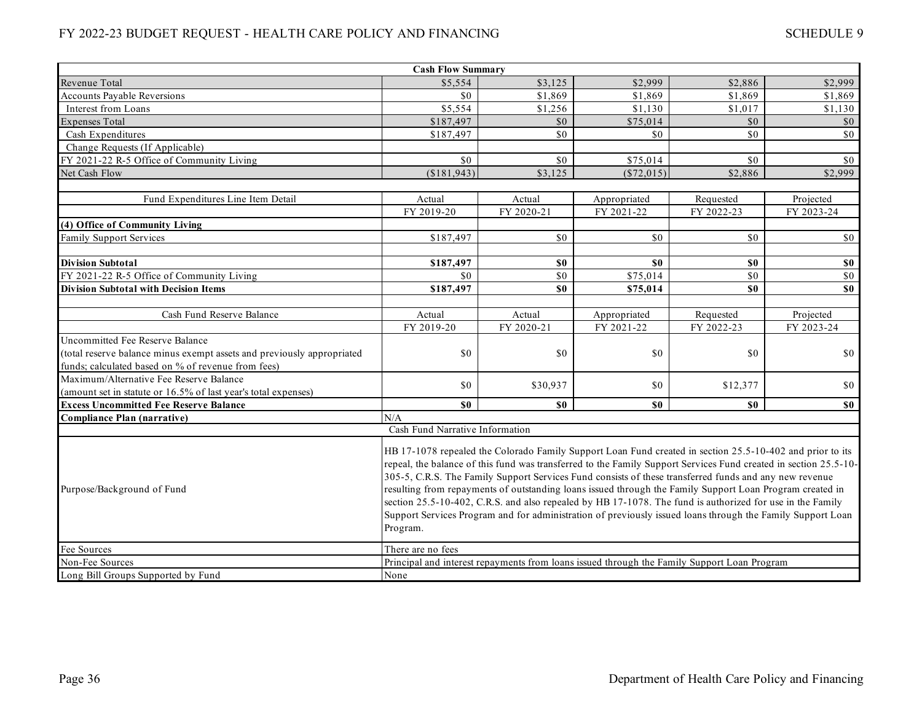|                                                                        | <b>Cash Flow Summary</b>                                                                                                                                                                                                                                                                                                                                                                                                                                                                                                                                                                                                                                                                   |                  |              |                 |             |  |  |
|------------------------------------------------------------------------|--------------------------------------------------------------------------------------------------------------------------------------------------------------------------------------------------------------------------------------------------------------------------------------------------------------------------------------------------------------------------------------------------------------------------------------------------------------------------------------------------------------------------------------------------------------------------------------------------------------------------------------------------------------------------------------------|------------------|--------------|-----------------|-------------|--|--|
| Revenue Total                                                          | \$5,554                                                                                                                                                                                                                                                                                                                                                                                                                                                                                                                                                                                                                                                                                    | \$3,125          | \$2,999      | \$2,886         | \$2,999     |  |  |
| <b>Accounts Pavable Reversions</b>                                     | \$0                                                                                                                                                                                                                                                                                                                                                                                                                                                                                                                                                                                                                                                                                        | \$1,869          | \$1,869      | \$1,869         | \$1,869     |  |  |
| Interest from Loans                                                    | \$5,554                                                                                                                                                                                                                                                                                                                                                                                                                                                                                                                                                                                                                                                                                    | \$1,256          | \$1,130      | \$1,017         | \$1,130     |  |  |
| <b>Expenses Total</b>                                                  | \$187,497                                                                                                                                                                                                                                                                                                                                                                                                                                                                                                                                                                                                                                                                                  | \$0              | \$75,014     | \$0             | \$0         |  |  |
| Cash Expenditures                                                      | \$187,497                                                                                                                                                                                                                                                                                                                                                                                                                                                                                                                                                                                                                                                                                  | \$0              | \$0          | \$0             | \$0         |  |  |
| Change Requests (If Applicable)                                        |                                                                                                                                                                                                                                                                                                                                                                                                                                                                                                                                                                                                                                                                                            |                  |              |                 |             |  |  |
| FY 2021-22 R-5 Office of Community Living                              | \$0                                                                                                                                                                                                                                                                                                                                                                                                                                                                                                                                                                                                                                                                                        | \$0              | \$75,014     | \$0             | \$0         |  |  |
| Net Cash Flow                                                          | (\$181,943)                                                                                                                                                                                                                                                                                                                                                                                                                                                                                                                                                                                                                                                                                | \$3,125          | (\$72,015)   | \$2,886         | \$2,999     |  |  |
|                                                                        |                                                                                                                                                                                                                                                                                                                                                                                                                                                                                                                                                                                                                                                                                            |                  |              |                 |             |  |  |
| Fund Expenditures Line Item Detail                                     | Actual                                                                                                                                                                                                                                                                                                                                                                                                                                                                                                                                                                                                                                                                                     | Actual           | Appropriated | Requested       | Projected   |  |  |
|                                                                        | FY 2019-20                                                                                                                                                                                                                                                                                                                                                                                                                                                                                                                                                                                                                                                                                 | FY 2020-21       | FY 2021-22   | FY 2022-23      | FY 2023-24  |  |  |
| (4) Office of Community Living                                         |                                                                                                                                                                                                                                                                                                                                                                                                                                                                                                                                                                                                                                                                                            |                  |              |                 |             |  |  |
| <b>Family Support Services</b>                                         | \$187,497                                                                                                                                                                                                                                                                                                                                                                                                                                                                                                                                                                                                                                                                                  | \$0              | \$0          | \$0             | \$0         |  |  |
|                                                                        |                                                                                                                                                                                                                                                                                                                                                                                                                                                                                                                                                                                                                                                                                            |                  |              |                 |             |  |  |
| <b>Division Subtotal</b>                                               | \$187,497                                                                                                                                                                                                                                                                                                                                                                                                                                                                                                                                                                                                                                                                                  | \$0              | \$0          | \$0             | \$0         |  |  |
| FY 2021-22 R-5 Office of Community Living                              | \$0                                                                                                                                                                                                                                                                                                                                                                                                                                                                                                                                                                                                                                                                                        | $\overline{\$0}$ | \$75,014     | $\overline{50}$ | $\sqrt{50}$ |  |  |
| <b>Division Subtotal with Decision Items</b>                           | \$187,497                                                                                                                                                                                                                                                                                                                                                                                                                                                                                                                                                                                                                                                                                  | \$0              | \$75,014     | \$0             | \$0         |  |  |
|                                                                        |                                                                                                                                                                                                                                                                                                                                                                                                                                                                                                                                                                                                                                                                                            |                  |              |                 |             |  |  |
| Cash Fund Reserve Balance                                              | Actual                                                                                                                                                                                                                                                                                                                                                                                                                                                                                                                                                                                                                                                                                     | Actual           | Appropriated | Requested       | Projected   |  |  |
|                                                                        | FY 2019-20                                                                                                                                                                                                                                                                                                                                                                                                                                                                                                                                                                                                                                                                                 | FY 2020-21       | FY 2021-22   | FY 2022-23      | FY 2023-24  |  |  |
| Uncommitted Fee Reserve Balance                                        |                                                                                                                                                                                                                                                                                                                                                                                                                                                                                                                                                                                                                                                                                            |                  |              |                 |             |  |  |
| (total reserve balance minus exempt assets and previously appropriated | \$0                                                                                                                                                                                                                                                                                                                                                                                                                                                                                                                                                                                                                                                                                        | \$0              | \$0          | \$0             | \$0         |  |  |
| funds; calculated based on % of revenue from fees)                     |                                                                                                                                                                                                                                                                                                                                                                                                                                                                                                                                                                                                                                                                                            |                  |              |                 |             |  |  |
| Maximum/Alternative Fee Reserve Balance                                | \$0                                                                                                                                                                                                                                                                                                                                                                                                                                                                                                                                                                                                                                                                                        | \$30,937         | \$0          | \$12,377        | \$0         |  |  |
| (amount set in statute or 16.5% of last year's total expenses)         |                                                                                                                                                                                                                                                                                                                                                                                                                                                                                                                                                                                                                                                                                            |                  |              |                 |             |  |  |
| <b>Excess Uncommitted Fee Reserve Balance</b>                          | \$0                                                                                                                                                                                                                                                                                                                                                                                                                                                                                                                                                                                                                                                                                        | \$0              | \$0          | \$0             | \$0         |  |  |
| <b>Compliance Plan (narrative)</b>                                     | N/A                                                                                                                                                                                                                                                                                                                                                                                                                                                                                                                                                                                                                                                                                        |                  |              |                 |             |  |  |
|                                                                        | Cash Fund Narrative Information                                                                                                                                                                                                                                                                                                                                                                                                                                                                                                                                                                                                                                                            |                  |              |                 |             |  |  |
| Purpose/Background of Fund                                             | HB 17-1078 repealed the Colorado Family Support Loan Fund created in section 25.5-10-402 and prior to its<br>repeal, the balance of this fund was transferred to the Family Support Services Fund created in section 25.5-10-<br>305-5, C.R.S. The Family Support Services Fund consists of these transferred funds and any new revenue<br>resulting from repayments of outstanding loans issued through the Family Support Loan Program created in<br>section 25.5-10-402, C.R.S. and also repealed by HB 17-1078. The fund is authorized for use in the Family<br>Support Services Program and for administration of previously issued loans through the Family Support Loan<br>Program. |                  |              |                 |             |  |  |
| Fee Sources                                                            | There are no fees                                                                                                                                                                                                                                                                                                                                                                                                                                                                                                                                                                                                                                                                          |                  |              |                 |             |  |  |
| Non-Fee Sources                                                        | Principal and interest repayments from loans issued through the Family Support Loan Program                                                                                                                                                                                                                                                                                                                                                                                                                                                                                                                                                                                                |                  |              |                 |             |  |  |
| Long Bill Groups Supported by Fund                                     | None                                                                                                                                                                                                                                                                                                                                                                                                                                                                                                                                                                                                                                                                                       |                  |              |                 |             |  |  |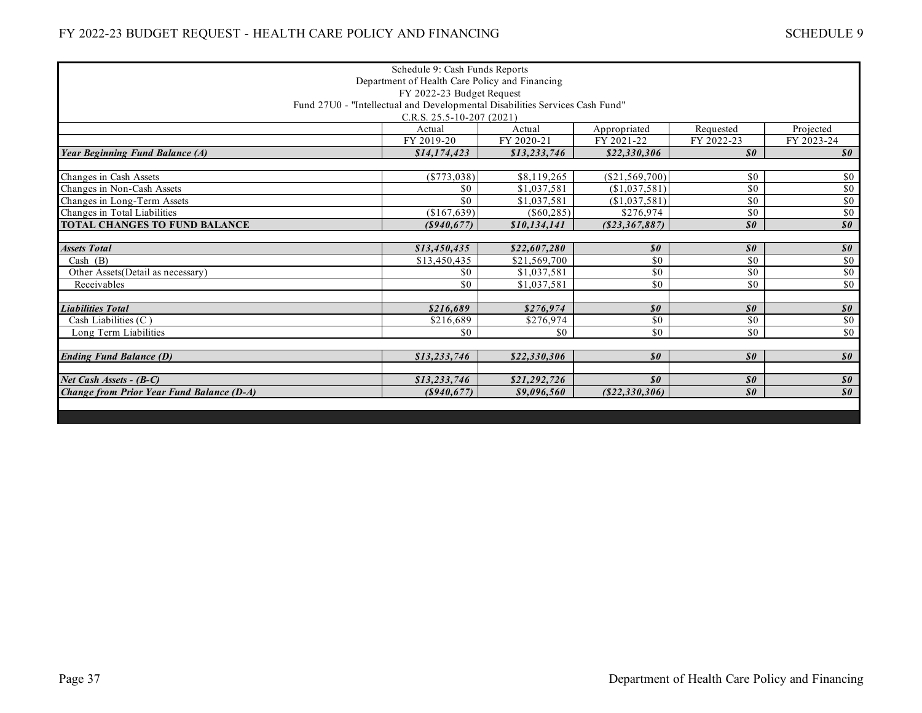| Schedule 9: Cash Funds Reports                                               |                |              |                            |                                               |                                                          |  |  |
|------------------------------------------------------------------------------|----------------|--------------|----------------------------|-----------------------------------------------|----------------------------------------------------------|--|--|
| Department of Health Care Policy and Financing                               |                |              |                            |                                               |                                                          |  |  |
| FY 2022-23 Budget Request                                                    |                |              |                            |                                               |                                                          |  |  |
| Fund 27U0 - "Intellectual and Developmental Disabilities Services Cash Fund" |                |              |                            |                                               |                                                          |  |  |
| C.R.S. $25.5 - 10 - 207$ (2021)                                              |                |              |                            |                                               |                                                          |  |  |
|                                                                              | Actual         | Actual       | Appropriated               | Requested                                     | Projected                                                |  |  |
|                                                                              | FY 2019-20     | FY 2020-21   | FY 2021-22                 | FY 2022-23                                    | FY 2023-24                                               |  |  |
| <b>Year Beginning Fund Balance (A)</b>                                       | \$14,174,423   | \$13,233,746 | \$22,330,306               | $\boldsymbol{s}$ o                            | $\boldsymbol{\mathit{s0}}$                               |  |  |
|                                                                              |                |              |                            |                                               |                                                          |  |  |
| Changes in Cash Assets                                                       | ( \$773, 038)  | \$8,119,265  | (\$21,569,700)             | \$0                                           | \$0                                                      |  |  |
| Changes in Non-Cash Assets                                                   | \$0            | \$1,037,581  | (\$1,037,581)              | \$0                                           | \$0                                                      |  |  |
| Changes in Long-Term Assets                                                  | \$0            | \$1,037,581  | (\$1,037,581)              | \$0                                           | \$0                                                      |  |  |
| Changes in Total Liabilities                                                 | (\$167,639)    | (S60, 285)   | \$276,974                  | \$0                                           | \$0                                                      |  |  |
| <b>TOTAL CHANGES TO FUND BALANCE</b>                                         | $($ \$940,677) | \$10,134,141 | (S23, 367, 887)            | $\boldsymbol{\mathit{s0}}$                    | $\overline{\boldsymbol{\mathcal{S}}\boldsymbol{\theta}}$ |  |  |
|                                                                              |                |              |                            |                                               |                                                          |  |  |
| <b>Assets Total</b>                                                          | \$13,450,435   | \$22,607,280 | $\boldsymbol{\mathit{s0}}$ | $\boldsymbol{\mathcal{S}}\boldsymbol{\theta}$ | $\boldsymbol{\mathcal{S}}\boldsymbol{\theta}$            |  |  |
| Cash $(B)$                                                                   | \$13,450,435   | \$21,569,700 | \$0                        | \$0                                           | \$0                                                      |  |  |
| Other Assets(Detail as necessary)                                            | \$0            | \$1,037,581  | \$0                        | \$0                                           | \$0                                                      |  |  |
| Receivables                                                                  | \$0            | \$1,037,581  | \$0                        | \$0                                           | $\overline{50}$                                          |  |  |
|                                                                              |                |              |                            |                                               |                                                          |  |  |
| <b>Liabilities Total</b>                                                     | \$216,689      | \$276.974    | $\boldsymbol{\mathit{s0}}$ | $\boldsymbol{\mathit{s0}}$                    | $\boldsymbol{\mathcal{S}}\boldsymbol{\theta}$            |  |  |
| Cash Liabilities (C)                                                         | \$216,689      | \$276.974    | \$0                        | \$0                                           | \$0                                                      |  |  |
| Long Term Liabilities                                                        | \$0            | \$0          | \$0                        | \$0                                           | \$0                                                      |  |  |
|                                                                              |                |              |                            |                                               |                                                          |  |  |
| <b>Ending Fund Balance (D)</b>                                               | \$13,233,746   | \$22,330,306 | $\boldsymbol{\mathit{s0}}$ | $\boldsymbol{\mathcal{S}}\boldsymbol{\theta}$ | $\boldsymbol{\mathcal{S}}\boldsymbol{\theta}$            |  |  |
|                                                                              |                |              |                            |                                               |                                                          |  |  |
| Net Cash Assets - (B-C)                                                      | \$13,233,746   | \$21,292,726 | $\boldsymbol{s}$ o         | $\boldsymbol{\mathcal{S}}\boldsymbol{\theta}$ | $\boldsymbol{\mathit{s0}}$                               |  |  |
| <b>Change from Prior Year Fund Balance (D-A)</b>                             | (S940, 677)    | \$9,096,560  | (S22, 330, 306)            | $\boldsymbol{\mathit{s0}}$                    | $\boldsymbol{\mathit{s0}}$                               |  |  |
|                                                                              |                |              |                            |                                               |                                                          |  |  |
|                                                                              |                |              |                            |                                               |                                                          |  |  |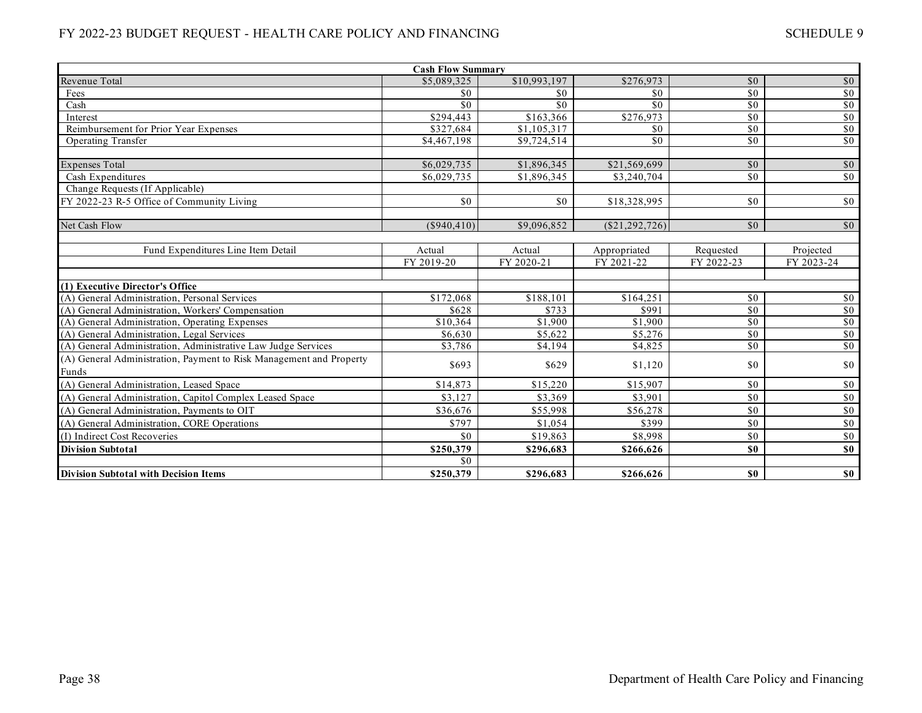| <b>Cash Flow Summary</b>                                            |               |              |                |                 |                  |  |  |
|---------------------------------------------------------------------|---------------|--------------|----------------|-----------------|------------------|--|--|
| Revenue Total                                                       | \$5,089,325   | \$10,993,197 | \$276,973      | \$0             | \$0              |  |  |
| Fees                                                                | \$0           | \$0          | \$0            | $\overline{50}$ | \$0              |  |  |
| Cash                                                                | \$0           | \$0          | \$0            | $\overline{50}$ | \$0              |  |  |
| Interest                                                            | \$294,443     | \$163,366    | \$276,973      | $\overline{50}$ | \$0              |  |  |
| Reimbursement for Prior Year Expenses                               | \$327,684     | \$1,105,317  | \$0            | \$0             | \$0              |  |  |
| <b>Operating Transfer</b>                                           | \$4,467,198   | \$9,724,514  | \$0            | $\overline{50}$ | \$0              |  |  |
|                                                                     |               |              |                |                 |                  |  |  |
| <b>Expenses Total</b>                                               | \$6,029,735   | \$1,896,345  | \$21,569,699   | \$0             | $\sqrt{60}$      |  |  |
| Cash Expenditures                                                   | \$6,029,735   | \$1,896,345  | \$3,240,704    | \$0             | \$0              |  |  |
| Change Requests (If Applicable)                                     |               |              |                |                 |                  |  |  |
| FY 2022-23 R-5 Office of Community Living                           | \$0           | \$0          | \$18,328,995   | \$0             | \$0              |  |  |
| Net Cash Flow                                                       | $(\$940,410)$ | \$9,096,852  | (\$21,292,726) | $\overline{50}$ | \$0              |  |  |
|                                                                     |               |              |                |                 |                  |  |  |
| Fund Expenditures Line Item Detail                                  | Actual        | Actual       | Appropriated   | Requested       | Projected        |  |  |
|                                                                     | FY 2019-20    | FY 2020-21   | FY 2021-22     | FY 2022-23      | FY 2023-24       |  |  |
|                                                                     |               |              |                |                 |                  |  |  |
| (1) Executive Director's Office                                     |               |              |                |                 |                  |  |  |
| (A) General Administration, Personal Services                       | \$172,068     | \$188,101    | \$164,251      | \$0             | \$0              |  |  |
| (A) General Administration, Workers' Compensation                   | \$628         | \$733        | \$991          | \$0             | \$0\$            |  |  |
| (A) General Administration, Operating Expenses                      | \$10,364      | \$1,900      | \$1,900        | $\overline{50}$ | $\frac{$0}{$0}$  |  |  |
| (A) General Administration, Legal Services                          | \$6,630       | \$5,622      | \$5,276        | $\overline{50}$ |                  |  |  |
| (A) General Administration, Administrative Law Judge Services       | \$3,786       | \$4.194      | \$4,825        | \$0             | $\sqrt{50}$      |  |  |
| (A) General Administration, Payment to Risk Management and Property | \$693         | \$629        | \$1,120        | \$0             | \$0              |  |  |
| Funds                                                               |               |              |                |                 |                  |  |  |
| (A) General Administration, Leased Space                            | \$14,873      | \$15,220     | \$15,907       | \$0             | \$0              |  |  |
| (A) General Administration, Capitol Complex Leased Space            | \$3.127       | \$3,369      | \$3.901        | \$0             | \$0              |  |  |
| (A) General Administration, Payments to OIT                         | \$36,676      | \$55,998     | \$56,278       | \$0             | $\$0$            |  |  |
| (A) General Administration, CORE Operations                         | \$797         | \$1,054      | \$399          | \$0             | $\$0$            |  |  |
| (I) Indirect Cost Recoveries                                        | \$0           | \$19,863     | \$8,998        | \$0             | \$0              |  |  |
| <b>Division Subtotal</b>                                            | \$250,379     | \$296,683    | \$266,626      | \$0             | $\overline{\$0}$ |  |  |
|                                                                     | \$0           |              |                |                 |                  |  |  |
| <b>Division Subtotal with Decision Items</b>                        | \$250,379     | \$296,683    | \$266,626      | \$0             | \$0              |  |  |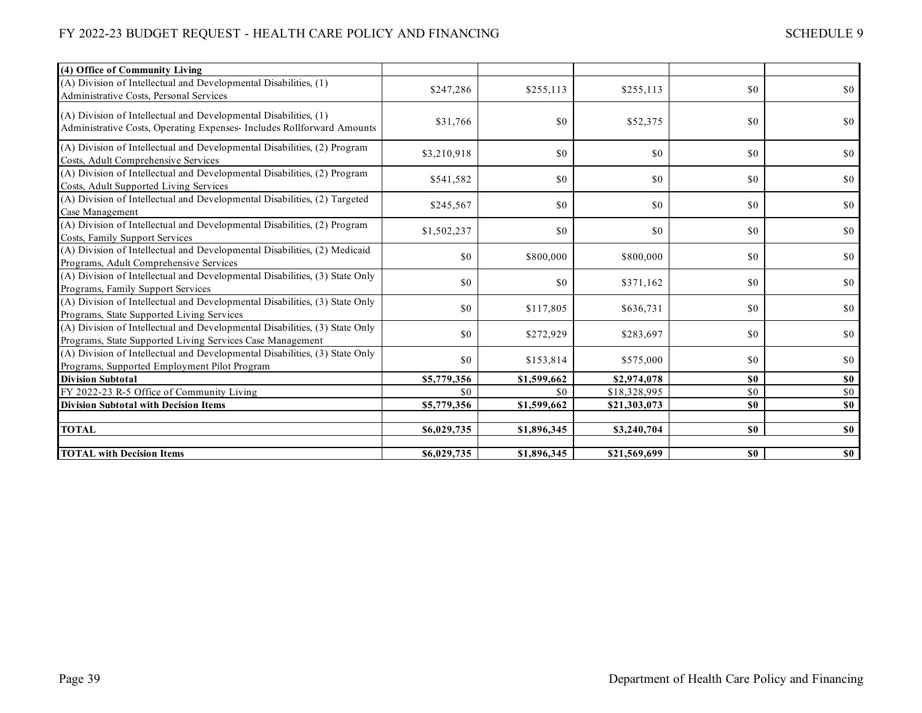| (4) Office of Community Living                                                                                                             |             |             |              |     |       |
|--------------------------------------------------------------------------------------------------------------------------------------------|-------------|-------------|--------------|-----|-------|
| (A) Division of Intellectual and Developmental Disabilities, (1)<br>Administrative Costs, Personal Services                                | \$247,286   | \$255,113   | \$255,113    | \$0 | \$0   |
| (A) Division of Intellectual and Developmental Disabilities, (1)<br>Administrative Costs, Operating Expenses- Includes Rollforward Amounts | \$31,766    | \$0         | \$52,375     | \$0 | \$0   |
| (A) Division of Intellectual and Developmental Disabilities, (2) Program<br>Costs, Adult Comprehensive Services                            | \$3,210,918 | \$0         | \$0          | \$0 | \$0   |
| (A) Division of Intellectual and Developmental Disabilities, (2) Program<br>Costs, Adult Supported Living Services                         | \$541,582   | \$0         | \$0          | \$0 | \$0   |
| (A) Division of Intellectual and Developmental Disabilities, (2) Targeted<br>Case Management                                               | \$245,567   | \$0         | \$0          | \$0 | \$0   |
| (A) Division of Intellectual and Developmental Disabilities, (2) Program<br>Costs, Family Support Services                                 | \$1,502,237 | \$0         | \$0          | \$0 | \$0   |
| (A) Division of Intellectual and Developmental Disabilities, (2) Medicaid<br>Programs, Adult Comprehensive Services                        | \$0         | \$800,000   | \$800,000    | \$0 | \$0   |
| (A) Division of Intellectual and Developmental Disabilities, (3) State Only<br>Programs, Family Support Services                           | \$0         | \$0         | \$371,162    | \$0 | \$0   |
| (A) Division of Intellectual and Developmental Disabilities, (3) State Only<br>Programs, State Supported Living Services                   | \$0         | \$117,805   | \$636,731    | \$0 | \$0   |
| (A) Division of Intellectual and Developmental Disabilities, (3) State Only<br>Programs, State Supported Living Services Case Management   | \$0         | \$272,929   | \$283,697    | \$0 | \$0   |
| (A) Division of Intellectual and Developmental Disabilities, (3) State Only<br>Programs, Supported Employment Pilot Program                | \$0         | \$153,814   | \$575,000    | \$0 | \$0   |
| <b>Division Subtotal</b>                                                                                                                   | \$5,779,356 | \$1,599,662 | \$2,974,078  | \$0 | \$0   |
| FY 2022-23 R-5 Office of Community Living                                                                                                  | \$0         | \$0         | \$18,328,995 | \$0 | $\$0$ |
| <b>Division Subtotal with Decision Items</b>                                                                                               | \$5,779,356 | \$1,599,662 | \$21,303,073 | \$0 | \$0   |
|                                                                                                                                            |             |             |              |     |       |
| <b>TOTAL</b>                                                                                                                               | \$6,029,735 | \$1,896,345 | \$3,240,704  | \$0 | \$0   |
| <b>TOTAL with Decision Items</b>                                                                                                           | \$6,029,735 | \$1,896,345 | \$21,569,699 | \$0 | $\$0$ |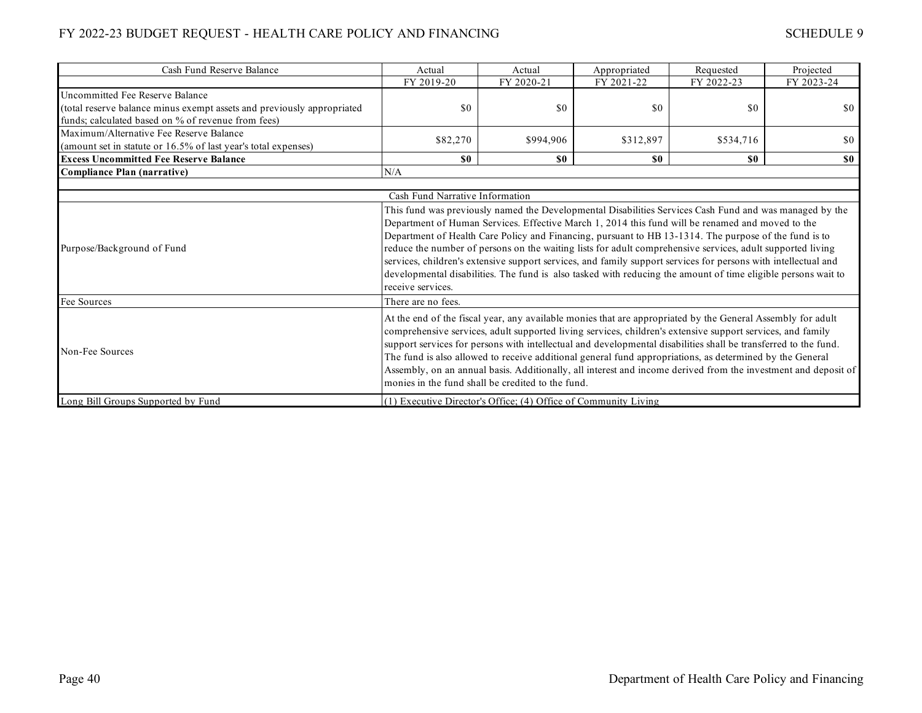| Cash Fund Reserve Balance                                              | Actual                                                                                                                                                                                                                                                                                                                                                                                                                                                                                                                                                                                                                                                                                     | Actual                                                          | Appropriated   | Requested  | Projected  |
|------------------------------------------------------------------------|--------------------------------------------------------------------------------------------------------------------------------------------------------------------------------------------------------------------------------------------------------------------------------------------------------------------------------------------------------------------------------------------------------------------------------------------------------------------------------------------------------------------------------------------------------------------------------------------------------------------------------------------------------------------------------------------|-----------------------------------------------------------------|----------------|------------|------------|
|                                                                        | FY 2019-20                                                                                                                                                                                                                                                                                                                                                                                                                                                                                                                                                                                                                                                                                 | FY 2020-21                                                      | FY 2021-22     | FY 2022-23 | FY 2023-24 |
| Uncommitted Fee Reserve Balance                                        |                                                                                                                                                                                                                                                                                                                                                                                                                                                                                                                                                                                                                                                                                            |                                                                 |                |            |            |
| (total reserve balance minus exempt assets and previously appropriated | \$0                                                                                                                                                                                                                                                                                                                                                                                                                                                                                                                                                                                                                                                                                        | \$0                                                             | \$0            | \$0        | \$0        |
| funds; calculated based on % of revenue from fees)                     |                                                                                                                                                                                                                                                                                                                                                                                                                                                                                                                                                                                                                                                                                            |                                                                 |                |            |            |
| Maximum/Alternative Fee Reserve Balance                                | \$82,270                                                                                                                                                                                                                                                                                                                                                                                                                                                                                                                                                                                                                                                                                   | \$994,906                                                       | \$312,897      | \$534,716  | \$0        |
| (amount set in statute or 16.5% of last year's total expenses)         |                                                                                                                                                                                                                                                                                                                                                                                                                                                                                                                                                                                                                                                                                            |                                                                 |                |            |            |
| <b>Excess Uncommitted Fee Reserve Balance</b>                          | $\boldsymbol{\mathsf{s}}\boldsymbol{\mathsf{0}}$                                                                                                                                                                                                                                                                                                                                                                                                                                                                                                                                                                                                                                           | S <sub>0</sub>                                                  | S <sub>0</sub> | <b>SO</b>  | \$0        |
| <b>Compliance Plan (narrative)</b>                                     | N/A                                                                                                                                                                                                                                                                                                                                                                                                                                                                                                                                                                                                                                                                                        |                                                                 |                |            |            |
|                                                                        |                                                                                                                                                                                                                                                                                                                                                                                                                                                                                                                                                                                                                                                                                            |                                                                 |                |            |            |
|                                                                        | Cash Fund Narrative Information                                                                                                                                                                                                                                                                                                                                                                                                                                                                                                                                                                                                                                                            |                                                                 |                |            |            |
| Purpose/Background of Fund                                             | This fund was previously named the Developmental Disabilities Services Cash Fund and was managed by the<br>Department of Human Services. Effective March 1, 2014 this fund will be renamed and moved to the<br>Department of Health Care Policy and Financing, pursuant to HB 13-1314. The purpose of the fund is to<br>reduce the number of persons on the waiting lists for adult comprehensive services, adult supported living<br>services, children's extensive support services, and family support services for persons with intellectual and<br>developmental disabilities. The fund is also tasked with reducing the amount of time eligible persons wait to<br>receive services. |                                                                 |                |            |            |
| Fee Sources                                                            | There are no fees.                                                                                                                                                                                                                                                                                                                                                                                                                                                                                                                                                                                                                                                                         |                                                                 |                |            |            |
| Non-Fee Sources                                                        | At the end of the fiscal year, any available monies that are appropriated by the General Assembly for adult<br>comprehensive services, adult supported living services, children's extensive support services, and family<br>support services for persons with intellectual and developmental disabilities shall be transferred to the fund.<br>The fund is also allowed to receive additional general fund appropriations, as determined by the General<br>Assembly, on an annual basis. Additionally, all interest and income derived from the investment and deposit of<br>monies in the fund shall be credited to the fund.                                                            |                                                                 |                |            |            |
| Long Bill Groups Supported by Fund                                     |                                                                                                                                                                                                                                                                                                                                                                                                                                                                                                                                                                                                                                                                                            | (1) Executive Director's Office; (4) Office of Community Living |                |            |            |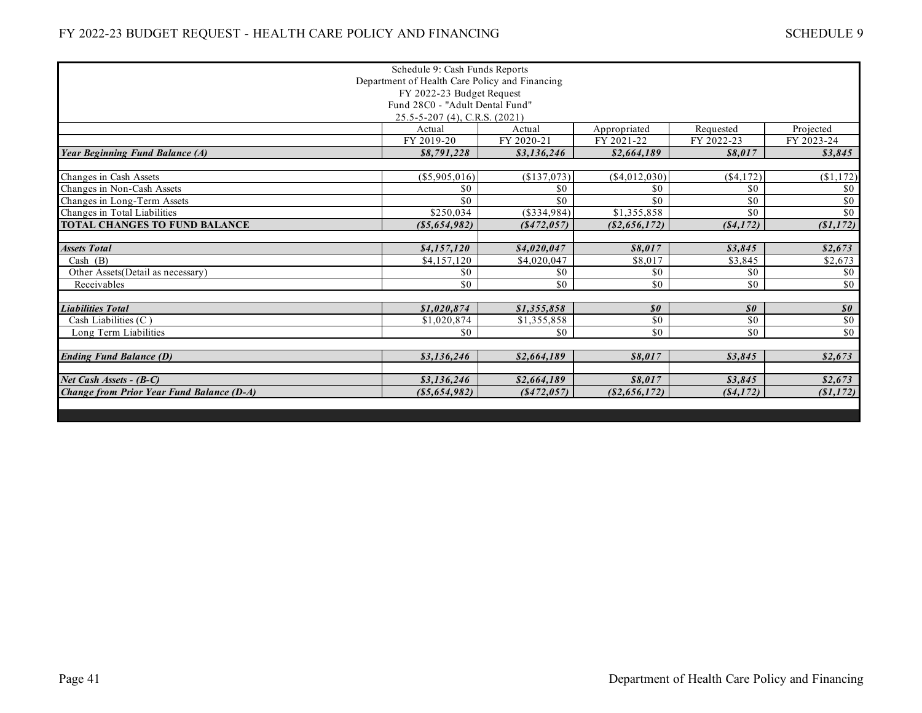|                                                  | Schedule 9: Cash Funds Reports |             |                                               |                                               |                                               |  |  |
|--------------------------------------------------|--------------------------------|-------------|-----------------------------------------------|-----------------------------------------------|-----------------------------------------------|--|--|
| Department of Health Care Policy and Financing   |                                |             |                                               |                                               |                                               |  |  |
| FY 2022-23 Budget Request                        |                                |             |                                               |                                               |                                               |  |  |
| Fund 28C0 - "Adult Dental Fund"                  |                                |             |                                               |                                               |                                               |  |  |
| 25.5-5-207 (4), C.R.S. (2021)                    |                                |             |                                               |                                               |                                               |  |  |
|                                                  | Actual                         | Actual      | Appropriated                                  | Requested                                     | Projected                                     |  |  |
|                                                  | FY 2019-20                     | FY 2020-21  | FY 2021-22                                    | FY 2022-23                                    | FY 2023-24                                    |  |  |
| <b>Year Beginning Fund Balance (A)</b>           | \$8,791,228                    | \$3,136,246 | \$2,664,189                                   | \$8.017                                       | \$3,845                                       |  |  |
|                                                  |                                |             |                                               |                                               |                                               |  |  |
| Changes in Cash Assets                           | $(\$5,905,016)$                | (\$137,073) | (\$4,012,030)                                 | (\$4,172)                                     | (\$1,172)                                     |  |  |
| Changes in Non-Cash Assets                       | \$0                            | \$0         | \$0                                           | \$0                                           | \$0                                           |  |  |
| Changes in Long-Term Assets                      | \$0                            | \$0         | \$0                                           | \$0                                           | \$0                                           |  |  |
| Changes in Total Liabilities                     | \$250,034                      | (\$334,984) | \$1,355,858                                   | \$0                                           | \$0                                           |  |  |
| <b>TOTAL CHANGES TO FUND BALANCE</b>             | $($ \$5,654,982 $)$            | (8472, 057) | (S2, 656, 172)                                | (S4, 172)                                     | (S1, 172)                                     |  |  |
|                                                  |                                |             |                                               |                                               |                                               |  |  |
| <b>Assets Total</b>                              | \$4,157,120                    | \$4,020,047 | \$8,017                                       | \$3.845                                       | \$2,673                                       |  |  |
| Cash $(B)$                                       | \$4,157,120                    | \$4,020,047 | \$8,017                                       | \$3,845                                       | \$2,673                                       |  |  |
| Other Assets (Detail as necessary)               | \$0                            | \$0         | \$0                                           | \$0                                           | \$0                                           |  |  |
| Receivables                                      | \$0                            | \$0         | \$0\$                                         | $\overline{50}$                               | \$0                                           |  |  |
|                                                  |                                |             |                                               |                                               |                                               |  |  |
| <b>Liabilities Total</b>                         | \$1,020,874                    | \$1,355,858 | $\boldsymbol{\mathcal{S}}\boldsymbol{\theta}$ | $\boldsymbol{\mathcal{S}}\boldsymbol{\theta}$ | $\boldsymbol{\mathcal{S}}\boldsymbol{\theta}$ |  |  |
| Cash Liabilities (C)                             | \$1,020,874                    | \$1,355,858 | $\overline{50}$                               | \$0                                           | \$0                                           |  |  |
| Long Term Liabilities                            | \$0                            | \$0         | \$0                                           | \$0                                           | $\sqrt{50}$                                   |  |  |
|                                                  |                                |             |                                               |                                               |                                               |  |  |
| <b>Ending Fund Balance (D)</b>                   | \$3,136,246                    | \$2,664,189 | \$8.017                                       | \$3,845                                       | \$2,673                                       |  |  |
|                                                  |                                |             |                                               |                                               |                                               |  |  |
| Net Cash Assets - (B-C)                          | \$3,136,246                    | \$2,664,189 | \$8.017                                       | \$3.845                                       | \$2,673                                       |  |  |
| <b>Change from Prior Year Fund Balance (D-A)</b> | ( \$5,654,982)                 | (8472, 057) | (S2, 656, 172)                                | (S4, 172)                                     | (S1, 172)                                     |  |  |
|                                                  |                                |             |                                               |                                               |                                               |  |  |
|                                                  |                                |             |                                               |                                               |                                               |  |  |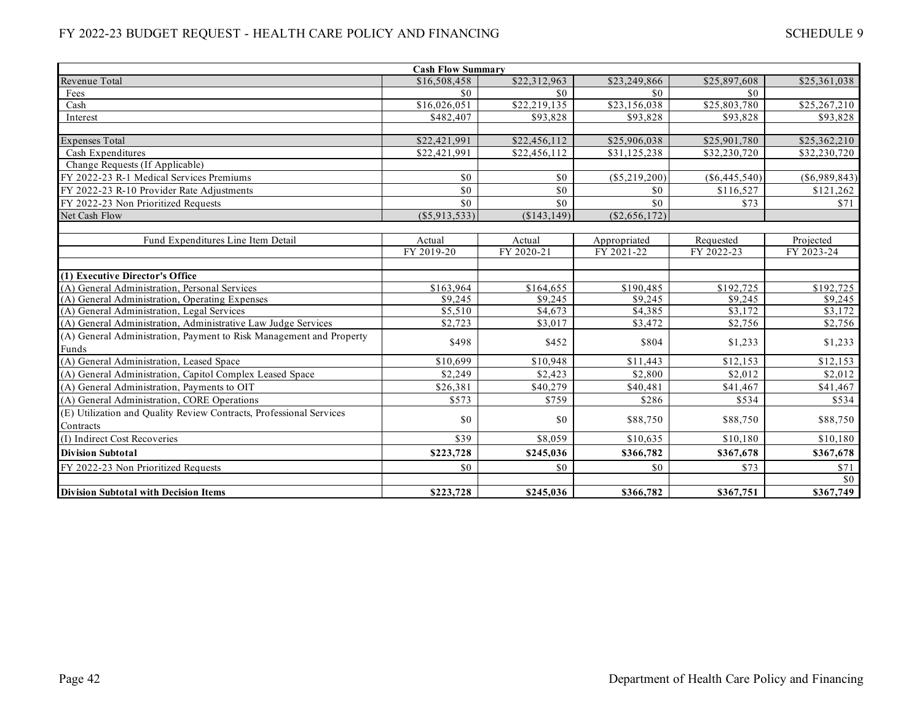| <b>Cash Flow Summary</b>                                            |                  |              |                 |                       |                 |  |  |
|---------------------------------------------------------------------|------------------|--------------|-----------------|-----------------------|-----------------|--|--|
| Revenue Total                                                       | \$16,508,458     | \$22,312,963 | \$23,249,866    | \$25,897,608          | \$25,361,038    |  |  |
| Fees                                                                | \$0              | \$0          | \$0             | \$0                   |                 |  |  |
| Cash                                                                | \$16,026,051     | \$22,219,135 | \$23,156,038    | \$25,803,780          | \$25,267,210    |  |  |
| Interest                                                            | \$482,407        | \$93,828     | \$93,828        | \$93,828              | \$93,828        |  |  |
|                                                                     |                  |              |                 |                       |                 |  |  |
| <b>Expenses Total</b>                                               | \$22,421,991     | \$22,456,112 | \$25,906,038    | \$25,901,780          | \$25,362,210    |  |  |
| Cash Expenditures                                                   | \$22,421,991     | \$22,456,112 | \$31,125,238    | \$32,230,720          | \$32,230,720    |  |  |
| Change Requests (If Applicable)                                     |                  |              |                 |                       |                 |  |  |
| FY 2022-23 R-1 Medical Services Premiums                            | \$0              | \$0          | (\$5,219,200)   | $(\$6,445,540)$       | $(\$6,989,843)$ |  |  |
| FY 2022-23 R-10 Provider Rate Adjustments                           | \$0              | \$0          | \$0             | \$116,527             | \$121,262       |  |  |
| FY 2022-23 Non Prioritized Requests                                 | \$0              | \$0          | \$0             | \$73                  | \$71            |  |  |
| Net Cash Flow                                                       | $($ \$5,913,533) | (\$143,149)  | $(\$2,656,172)$ |                       |                 |  |  |
|                                                                     |                  |              |                 |                       |                 |  |  |
| Fund Expenditures Line Item Detail                                  | Actual           | Actual       | Appropriated    | Requested             | Projected       |  |  |
|                                                                     | FY 2019-20       | FY 2020-21   | FY 2021-22      | FY 2022-23            | FY 2023-24      |  |  |
|                                                                     |                  |              |                 |                       |                 |  |  |
| (1) Executive Director's Office                                     |                  |              |                 |                       |                 |  |  |
| (A) General Administration, Personal Services                       | \$163,964        | \$164,655    | \$190.485       | $\overline{$192,725}$ | \$192,725       |  |  |
| (A) General Administration, Operating Expenses                      | \$9,245          | \$9,245      | \$9,245         | \$9,245               | \$9,245         |  |  |
| (A) General Administration, Legal Services                          | \$5,510          | \$4,673      | \$4,385         | \$3,172               | \$3,172         |  |  |
| (A) General Administration, Administrative Law Judge Services       | \$2,723          | \$3,017      | \$3,472         | \$2,756               | \$2,756         |  |  |
| (A) General Administration, Payment to Risk Management and Property | \$498            | \$452        | \$804           | \$1,233               | \$1,233         |  |  |
| Funds                                                               |                  |              |                 |                       |                 |  |  |
| (A) General Administration, Leased Space                            | \$10,699         | \$10,948     | \$11,443        | \$12,153              | \$12,153        |  |  |
| (A) General Administration, Capitol Complex Leased Space            | \$2,249          | \$2,423      | \$2,800         | \$2,012               | \$2,012         |  |  |
| (A) General Administration, Payments to OIT                         | \$26,381         | \$40,279     | \$40,481        | \$41,467              | \$41,467        |  |  |
| (A) General Administration, CORE Operations                         | \$573            | \$759        | \$286           | \$534                 | \$534           |  |  |
| (E) Utilization and Quality Review Contracts, Professional Services |                  |              |                 |                       |                 |  |  |
| Contracts                                                           | \$0              | \$0          | \$88,750        | \$88,750              | \$88,750        |  |  |
| (I) Indirect Cost Recoveries                                        | \$39             | \$8,059      | \$10,635        | \$10,180              | \$10,180        |  |  |
| <b>Division Subtotal</b>                                            | \$223,728        | \$245,036    | \$366,782       | \$367,678             | \$367,678       |  |  |
| FY 2022-23 Non Prioritized Requests                                 | \$0              | \$0          | \$0             | \$73                  | \$71            |  |  |
|                                                                     |                  |              |                 |                       | \$0             |  |  |
| <b>Division Subtotal with Decision Items</b>                        | \$223,728        | \$245,036    | \$366,782       | \$367,751             | \$367,749       |  |  |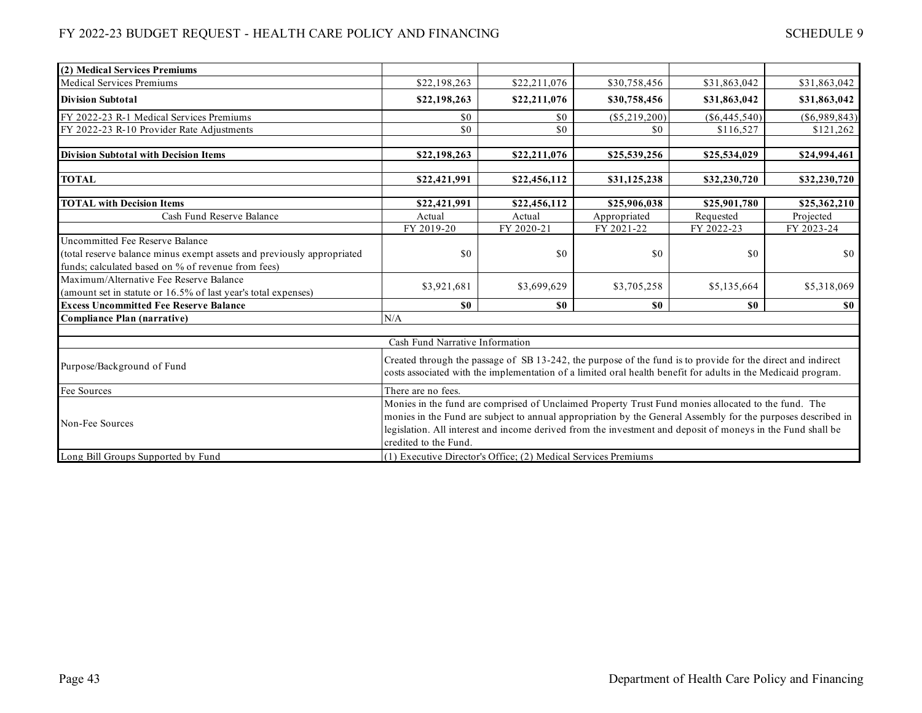| (2) Medical Services Premiums                                          |                                                                                                                                                                                                                     |                                                                |                                                  |                 |                 |  |
|------------------------------------------------------------------------|---------------------------------------------------------------------------------------------------------------------------------------------------------------------------------------------------------------------|----------------------------------------------------------------|--------------------------------------------------|-----------------|-----------------|--|
| <b>Medical Services Premiums</b>                                       | \$22,198,263                                                                                                                                                                                                        | \$22,211,076                                                   | \$30,758,456                                     | \$31,863,042    | \$31,863,042    |  |
| <b>Division Subtotal</b>                                               | \$22,198,263                                                                                                                                                                                                        | \$22,211,076                                                   | \$30,758,456                                     | \$31,863,042    | \$31,863,042    |  |
| FY 2022-23 R-1 Medical Services Premiums                               | \$0                                                                                                                                                                                                                 | \$0                                                            | $(\$5,219,200)$                                  | $(\$6,445,540)$ | $(\$6,989,843)$ |  |
| FY 2022-23 R-10 Provider Rate Adjustments                              | \$0                                                                                                                                                                                                                 | \$0                                                            | \$0                                              | \$116,527       | \$121,262       |  |
|                                                                        |                                                                                                                                                                                                                     |                                                                |                                                  |                 |                 |  |
| <b>Division Subtotal with Decision Items</b>                           | \$22,198,263                                                                                                                                                                                                        | \$22,211,076                                                   | \$25,539,256                                     | \$25,534,029    | \$24,994,461    |  |
| <b>TOTAL</b>                                                           | \$22,421,991                                                                                                                                                                                                        | \$22,456,112                                                   | \$31,125,238                                     | \$32,230,720    | \$32,230,720    |  |
|                                                                        |                                                                                                                                                                                                                     |                                                                |                                                  |                 |                 |  |
| <b>TOTAL with Decision Items</b>                                       | \$22,421,991                                                                                                                                                                                                        | \$22,456,112                                                   | \$25,906,038                                     | \$25,901,780    | \$25,362,210    |  |
| Cash Fund Reserve Balance                                              | Actual                                                                                                                                                                                                              | Actual                                                         | Appropriated                                     | Requested       | Projected       |  |
|                                                                        | FY 2019-20                                                                                                                                                                                                          | FY 2020-21                                                     | FY 2021-22                                       | FY 2022-23      | FY 2023-24      |  |
| <b>Uncommitted Fee Reserve Balance</b>                                 |                                                                                                                                                                                                                     |                                                                |                                                  |                 |                 |  |
| (total reserve balance minus exempt assets and previously appropriated | \$0                                                                                                                                                                                                                 | \$0                                                            | \$0                                              | \$0             | \$0             |  |
| funds; calculated based on % of revenue from fees)                     |                                                                                                                                                                                                                     |                                                                |                                                  |                 |                 |  |
| Maximum/Alternative Fee Reserve Balance                                |                                                                                                                                                                                                                     |                                                                |                                                  |                 |                 |  |
| (amount set in statute or 16.5% of last year's total expenses)         | \$3,921,681                                                                                                                                                                                                         | \$3,699,629                                                    | \$3,705,258                                      | \$5,135,664     | \$5,318,069     |  |
| <b>Excess Uncommitted Fee Reserve Balance</b>                          | \$0                                                                                                                                                                                                                 | \$0                                                            | $\boldsymbol{\mathsf{s}}\boldsymbol{\mathsf{0}}$ | \$0             | <b>SO</b>       |  |
| <b>Compliance Plan (narrative)</b>                                     | N/A                                                                                                                                                                                                                 |                                                                |                                                  |                 |                 |  |
|                                                                        |                                                                                                                                                                                                                     |                                                                |                                                  |                 |                 |  |
|                                                                        | Cash Fund Narrative Information                                                                                                                                                                                     |                                                                |                                                  |                 |                 |  |
|                                                                        | Created through the passage of SB 13-242, the purpose of the fund is to provide for the direct and indirect                                                                                                         |                                                                |                                                  |                 |                 |  |
| Purpose/Background of Fund                                             | costs associated with the implementation of a limited oral health benefit for adults in the Medicaid program.                                                                                                       |                                                                |                                                  |                 |                 |  |
| Fee Sources                                                            | There are no fees.                                                                                                                                                                                                  |                                                                |                                                  |                 |                 |  |
|                                                                        |                                                                                                                                                                                                                     |                                                                |                                                  |                 |                 |  |
|                                                                        | Monies in the fund are comprised of Unclaimed Property Trust Fund monies allocated to the fund. The<br>monies in the Fund are subject to annual appropriation by the General Assembly for the purposes described in |                                                                |                                                  |                 |                 |  |
| Non-Fee Sources                                                        | legislation. All interest and income derived from the investment and deposit of moneys in the Fund shall be                                                                                                         |                                                                |                                                  |                 |                 |  |
|                                                                        | credited to the Fund.                                                                                                                                                                                               |                                                                |                                                  |                 |                 |  |
|                                                                        |                                                                                                                                                                                                                     | (1) Executive Director's Office; (2) Medical Services Premiums |                                                  |                 |                 |  |
| Long Bill Groups Supported by Fund                                     |                                                                                                                                                                                                                     |                                                                |                                                  |                 |                 |  |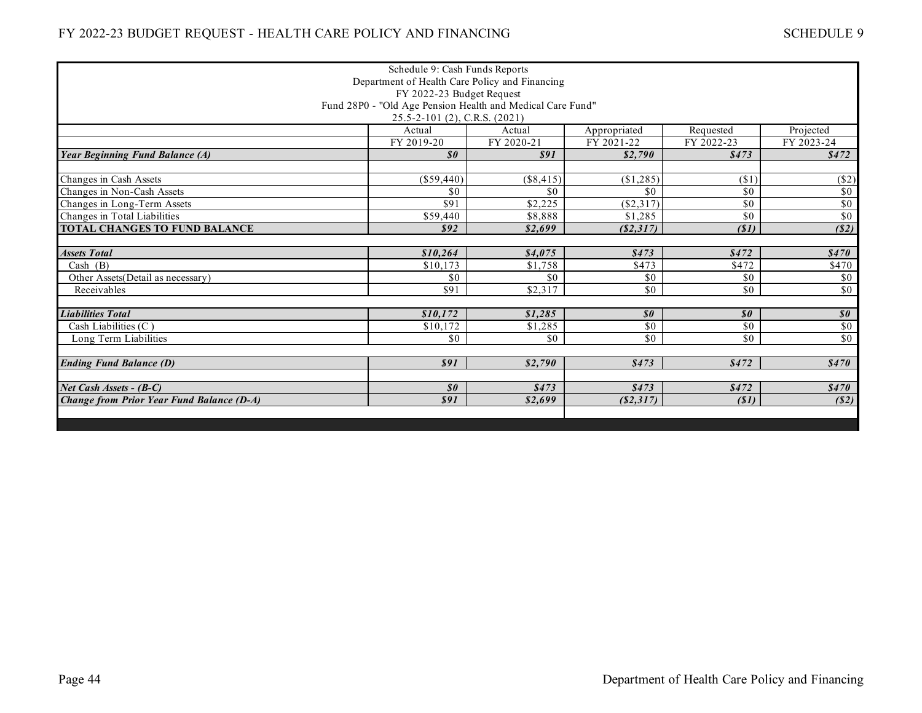| Schedule 9: Cash Funds Reports                   |                                                            |             |                            |                            |                                               |  |
|--------------------------------------------------|------------------------------------------------------------|-------------|----------------------------|----------------------------|-----------------------------------------------|--|
| Department of Health Care Policy and Financing   |                                                            |             |                            |                            |                                               |  |
| FY 2022-23 Budget Request                        |                                                            |             |                            |                            |                                               |  |
|                                                  | Fund 28P0 - "Old Age Pension Health and Medical Care Fund" |             |                            |                            |                                               |  |
|                                                  | 25.5-2-101 (2), C.R.S. (2021)                              |             |                            |                            |                                               |  |
|                                                  | Actual                                                     | Actual      | Appropriated               | Requested                  | Projected                                     |  |
|                                                  | FY 2019-20                                                 | FY 2020-21  | FY 2021-22                 | FY 2022-23                 | FY 2023-24                                    |  |
| <b>Year Beginning Fund Balance (A)</b>           | $\boldsymbol{\mathcal{S}}\boldsymbol{\theta}$              | \$91        | \$2,790                    | \$473                      | \$472                                         |  |
|                                                  |                                                            |             |                            |                            |                                               |  |
| Changes in Cash Assets                           | (\$59,440)                                                 | $(\$8,415)$ | (\$1,285)                  | (\$1)                      | ( \$2)                                        |  |
| Changes in Non-Cash Assets                       | \$0                                                        | \$0         | \$0                        | \$0                        | \$0                                           |  |
| Changes in Long-Term Assets                      | \$91                                                       | \$2,225     | (\$2,317)                  | \$0                        | $\overline{50}$                               |  |
| Changes in Total Liabilities                     | $\overline{$}59,440$                                       | \$8,888     | \$1,285                    | \$0                        | \$0                                           |  |
| TOTAL CHANGES TO FUND BALANCE                    | \$92                                                       | \$2,699     | ( \$2,317)                 | (S1)                       | (S2)                                          |  |
|                                                  |                                                            |             |                            |                            |                                               |  |
| <b>Assets Total</b>                              | \$10,264                                                   | \$4,075     | \$473                      | \$472                      | \$470                                         |  |
| Cash $(B)$                                       | \$10,173                                                   | \$1,758     | \$473                      | \$472                      | \$470                                         |  |
| Other Assets (Detail as necessary)               | \$0                                                        | \$0         | \$0                        | \$0                        | \$0                                           |  |
| Receivables                                      | \$91                                                       | \$2,317     | \$0                        | \$0                        | $\overline{50}$                               |  |
|                                                  |                                                            |             |                            |                            |                                               |  |
| <b>Liabilities Total</b>                         | \$10,172                                                   | \$1,285     | $\boldsymbol{\mathit{s0}}$ | $\boldsymbol{\mathit{s0}}$ | $\boldsymbol{\mathcal{S}}\boldsymbol{\theta}$ |  |
| Cash Liabilities $(C)$                           | \$10.172                                                   | \$1,285     | $\overline{50}$            | $\overline{50}$            | $\sqrt{6}$                                    |  |
| Long Term Liabilities                            | \$0                                                        | \$0         | \$0                        | \$0                        | $\overline{50}$                               |  |
|                                                  |                                                            |             |                            |                            |                                               |  |
| <b>Ending Fund Balance (D)</b>                   | \$91                                                       | \$2,790     | \$473                      | \$472                      | \$470                                         |  |
|                                                  |                                                            |             |                            |                            |                                               |  |
| Net Cash Assets - (B-C)                          | $\boldsymbol{\mathcal{S}}\boldsymbol{\theta}$              | \$473       | \$473                      | \$472                      | \$470                                         |  |
| <b>Change from Prior Year Fund Balance (D-A)</b> | <b>\$91</b>                                                | \$2,699     | (S2,317)                   | (S1)                       | (S2)                                          |  |
|                                                  |                                                            |             |                            |                            |                                               |  |
|                                                  |                                                            |             |                            |                            |                                               |  |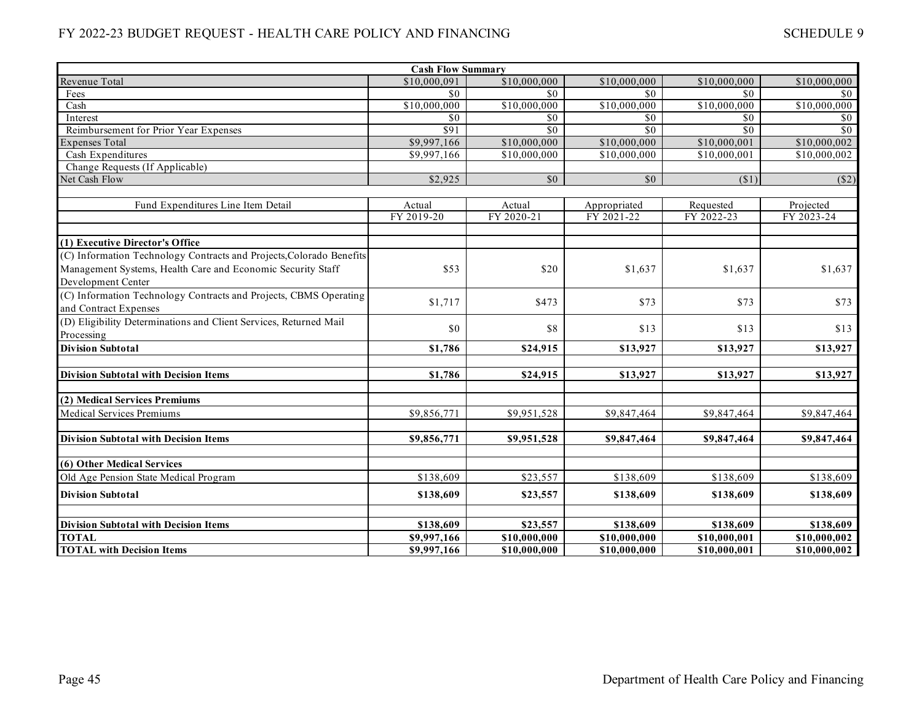| <b>Cash Flow Summary</b>                                                                   |              |                 |                 |                 |              |  |  |
|--------------------------------------------------------------------------------------------|--------------|-----------------|-----------------|-----------------|--------------|--|--|
| Revenue Total                                                                              | \$10,000,091 | \$10,000,000    | \$10,000,000    | \$10,000,000    | \$10,000,000 |  |  |
| Fees                                                                                       | \$0          | \$0             | \$0             | \$0             | \$0          |  |  |
| Cash                                                                                       | \$10,000,000 | \$10,000,000    | \$10,000,000    | \$10,000,000    | \$10,000,000 |  |  |
| Interest                                                                                   | \$0          | \$0             | \$0             | \$0             | \$0          |  |  |
| Reimbursement for Prior Year Expenses                                                      | \$91         | \$0             | \$0             | $\overline{50}$ | \$0          |  |  |
| <b>Expenses Total</b>                                                                      | \$9,997,166  | \$10,000,000    | \$10,000,000    | \$10,000,001    | \$10,000,002 |  |  |
| Cash Expenditures                                                                          | \$9,997,166  | \$10,000,000    | \$10,000,000    | \$10,000,001    | \$10,000,002 |  |  |
| Change Requests (If Applicable)                                                            |              |                 |                 |                 |              |  |  |
| Net Cash Flow                                                                              | \$2,925      | $\overline{50}$ | $\overline{50}$ | (\$1)           | $($ \$2)     |  |  |
|                                                                                            |              |                 |                 |                 |              |  |  |
| Fund Expenditures Line Item Detail                                                         | Actual       | Actual          | Appropriated    | Requested       | Projected    |  |  |
|                                                                                            | FY 2019-20   | FY 2020-21      | FY 2021-22      | FY 2022-23      | FY 2023-24   |  |  |
| (1) Executive Director's Office                                                            |              |                 |                 |                 |              |  |  |
| (C) Information Technology Contracts and Projects, Colorado Benefits                       |              |                 |                 |                 |              |  |  |
| Management Systems, Health Care and Economic Security Staff                                | \$53         | \$20            | \$1,637         | \$1,637         | \$1,637      |  |  |
| Development Center                                                                         |              |                 |                 |                 |              |  |  |
|                                                                                            |              |                 |                 |                 |              |  |  |
| (C) Information Technology Contracts and Projects, CBMS Operating                          | \$1,717      | \$473           | \$73            | \$73            | \$73         |  |  |
| and Contract Expenses<br>(D) Eligibility Determinations and Client Services, Returned Mail |              |                 |                 |                 |              |  |  |
|                                                                                            | \$0          | \$8             | \$13            | \$13            | \$13         |  |  |
| Processing                                                                                 |              |                 |                 |                 |              |  |  |
| <b>Division Subtotal</b>                                                                   | \$1,786      | \$24,915        | \$13,927        | \$13,927        | \$13,927     |  |  |
| <b>Division Subtotal with Decision Items</b>                                               | \$1,786      | \$24,915        | \$13,927        | \$13,927        | \$13,927     |  |  |
|                                                                                            |              |                 |                 |                 |              |  |  |
| (2) Medical Services Premiums                                                              |              |                 |                 |                 |              |  |  |
| <b>Medical Services Premiums</b>                                                           | \$9,856,771  | \$9,951,528     | \$9,847,464     | \$9,847,464     | \$9,847,464  |  |  |
|                                                                                            |              |                 |                 |                 |              |  |  |
| <b>Division Subtotal with Decision Items</b>                                               | \$9,856,771  | \$9,951,528     | \$9,847,464     | \$9,847,464     | \$9,847,464  |  |  |
|                                                                                            |              |                 |                 |                 |              |  |  |
| (6) Other Medical Services                                                                 |              |                 |                 |                 |              |  |  |
| Old Age Pension State Medical Program                                                      | \$138,609    | \$23,557        | \$138,609       | \$138,609       | \$138,609    |  |  |
| <b>Division Subtotal</b>                                                                   | \$138,609    | \$23,557        | \$138,609       | \$138,609       | \$138,609    |  |  |
|                                                                                            |              |                 |                 |                 |              |  |  |
| <b>Division Subtotal with Decision Items</b>                                               | \$138,609    | \$23,557        | \$138,609       | \$138,609       | \$138,609    |  |  |
| <b>TOTAL</b>                                                                               | \$9,997,166  | \$10,000,000    | \$10,000,000    | \$10,000,001    | \$10,000,002 |  |  |
| <b>TOTAL with Decision Items</b>                                                           | \$9,997,166  | \$10,000,000    | \$10,000,000    | \$10,000,001    | \$10,000,002 |  |  |